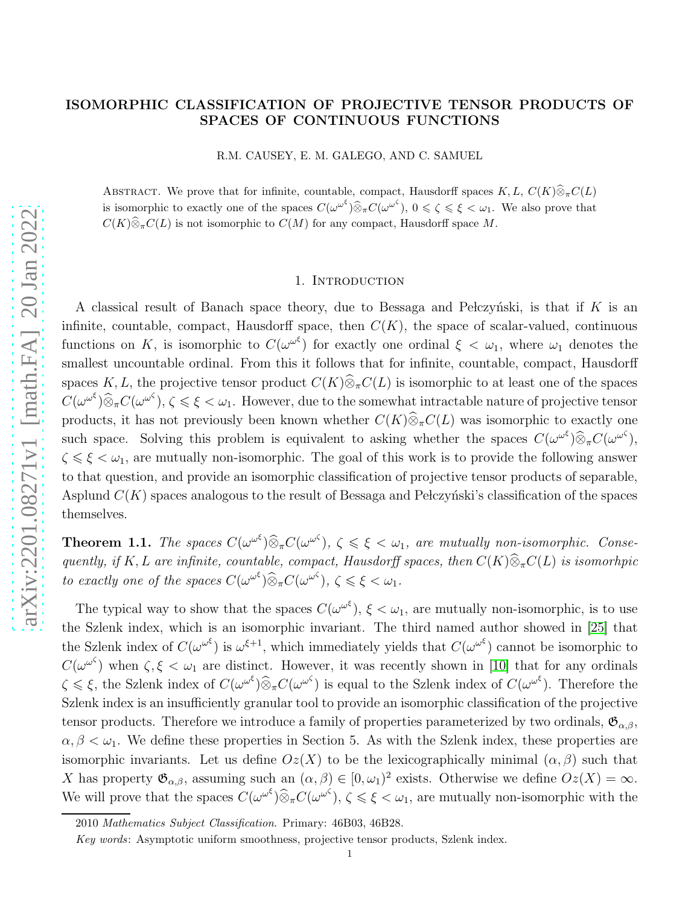# ISOMORPHIC CLASSIFICATION OF PROJECTIVE TENSOR PRODUCTS OF SPACES OF CONTINUOUS FUNCTIONS

R.M. CAUSEY, E. M. GALEGO, AND C. SAMUEL

ABSTRACT. We prove that for infinite, countable, compact, Hausdorff spaces  $K, L, C(K)\widehat{\otimes}_{\pi}C(L)$ is isomorphic to exactly one of the spaces  $C(\omega^{\omega^{\xi}}) \widehat{\otimes}_{\pi} C(\omega^{\omega^{\zeta}})$ ,  $0 \leq \zeta \leq \xi < \omega_1$ . We also prove that  $C(K)\widehat{\otimes}_{\pi}C(L)$  is not isomorphic to  $C(M)$  for any compact, Hausdorff space M.

#### 1. INTRODUCTION

A classical result of Banach space theory, due to Bessaga and Pelczyński, is that if  $K$  is an infinite, countable, compact, Hausdorff space, then  $C(K)$ , the space of scalar-valued, continuous functions on K, is isomorphic to  $C(\omega^{\omega^{\xi}})$  for exactly one ordinal  $\xi < \omega_1$ , where  $\omega_1$  denotes the smallest uncountable ordinal. From this it follows that for infinite, countable, compact, Hausdorff spaces K, L, the projective tensor product  $C(K)\widehat{\otimes}_{\pi}C(L)$  is isomorphic to at least one of the spaces  $C(\omega^{\omega^{\zeta}}) \widehat{\otimes}_{\pi} C(\omega^{\omega^{\zeta}}), \zeta \leq \xi < \omega_1$ . However, due to the somewhat intractable nature of projective tensor products, it has not previously been known whether  $C(K)\widehat{\otimes}_{\pi}C(L)$  was isomorphic to exactly one such space. Solving this problem is equivalent to asking whether the spaces  $C(\omega^{\omega^{\xi}}) \widehat{\otimes}_{\pi} C(\omega^{\omega^{\zeta}})$ ,  $\zeta \leq \xi \leq \omega_1$ , are mutually non-isomorphic. The goal of this work is to provide the following answer to that question, and provide an isomorphic classification of projective tensor products of separable, Asplund  $C(K)$  spaces analogous to the result of Bessaga and Pe lczyński's classification of the spaces themselves.

**Theorem 1.1.** The spaces  $C(\omega^{\omega^{\zeta}}) \widehat{\otimes}_{\pi} C(\omega^{\omega^{\zeta}})$ ,  $\zeta \leq \xi < \omega_1$ , are mutually non-isomorphic. Consequently, if K, L are infinite, countable, compact, Hausdorff spaces, then  $C(K)\widehat{\otimes}_{\pi}C(L)$  is isomorhpic to exactly one of the spaces  $C(\omega^{\omega^{\xi}}) \widehat{\otimes}_{\pi} C(\omega^{\omega^{\zeta}})$ ,  $\zeta \leq \xi < \omega_1$ .

The typical way to show that the spaces  $C(\omega^{\omega^{\xi}})$ ,  $\xi < \omega_1$ , are mutually non-isomorphic, is to use the Szlenk index, which is an isomorphic invariant. The third named author showed in [\[25\]](#page-38-0) that the Szlenk index of  $C(\omega^{\omega^{\xi}})$  is  $\omega^{\xi+1}$ , which immediately yields that  $C(\omega^{\omega^{\xi}})$  cannot be isomorphic to  $C(\omega^{\omega^{\zeta}})$  when  $\zeta, \xi < \omega_1$  are distinct. However, it was recently shown in [\[10\]](#page-37-0) that for any ordinals  $\zeta \leq \xi$ , the Szlenk index of  $C(\omega^{\omega^{\xi}}) \widehat{\otimes}_{\pi} C(\omega^{\omega^{\zeta}})$  is equal to the Szlenk index of  $C(\omega^{\omega^{\xi}})$ . Therefore the Szlenk index is an insufficiently granular tool to provide an isomorphic classification of the projective tensor products. Therefore we introduce a family of properties parameterized by two ordinals,  $\mathfrak{G}_{\alpha,\beta}$ ,  $\alpha, \beta < \omega_1$ . We define these properties in Section 5. As with the Szlenk index, these properties are isomorphic invariants. Let us define  $Oz(X)$  to be the lexicographically minimal  $(\alpha, \beta)$  such that X has property  $\mathfrak{G}_{\alpha,\beta}$ , assuming such an  $(\alpha,\beta) \in [0,\omega_1)^2$  exists. Otherwise we define  $Oz(X) = \infty$ . We will prove that the spaces  $C(\omega^{\omega^{\zeta}}) \widehat{\otimes}_{\pi} C(\omega^{\omega^{\zeta}})$ ,  $\zeta \leq \xi < \omega_1$ , are mutually non-isomorphic with the

<sup>2010</sup> Mathematics Subject Classification. Primary: 46B03, 46B28.

Key words: Asymptotic uniform smoothness, projective tensor products, Szlenk index.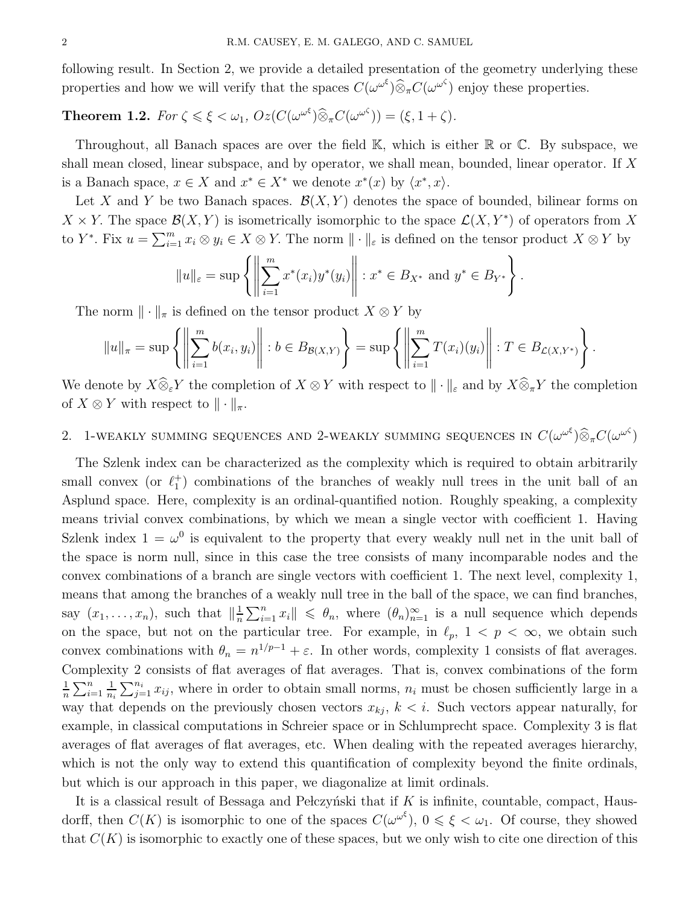following result. In Section 2, we provide a detailed presentation of the geometry underlying these properties and how we will verify that the spaces  $C(\omega^{\omega^{\xi}}) \widehat{\otimes}_{\pi} C(\omega^{\omega^{\zeta}})$  enjoy these properties.

# **Theorem 1.2.** For  $\zeta \le \xi < \omega_1$ ,  $Oz(C(\omega^{\omega^{\xi}})) \widehat{\otimes}_{\pi} C(\omega^{\omega^{\zeta}})) = (\xi, 1 + \zeta)$ .

Throughout, all Banach spaces are over the field K, which is either R or C. By subspace, we shall mean closed, linear subspace, and by operator, we shall mean, bounded, linear operator. If X is a Banach space,  $x \in X$  and  $x^* \in X^*$  we denote  $x^*(x)$  by  $\langle x^*, x \rangle$ .

Let X and Y be two Banach spaces.  $\mathcal{B}(X, Y)$  denotes the space of bounded, bilinear forms on  $X \times Y$ . The space  $\mathcal{B}(X, Y)$  is isometrically isomorphic to the space  $\mathcal{L}(X, Y^*)$  of operators from X to Y<sup>\*</sup>. Fix  $u = \sum_{i=1}^m x_i \otimes y_i \in X \otimes Y$ . The norm  $\|\cdot\|_{\varepsilon}$  is defined on the tensor product  $X \otimes Y$  by

$$
||u||_{\varepsilon} = \sup \left\{ \left\| \sum_{i=1}^{m} x^*(x_i) y^*(y_i) \right\| : x^* \in B_{X^*} \text{ and } y^* \in B_{Y^*} \right\}.
$$

The norm  $\|\cdot\|_{\pi}$  is defined on the tensor product  $X \otimes Y$  by

$$
||u||_{\pi} = \sup \left\{ \left\| \sum_{i=1}^{m} b(x_i, y_i) \right\| : b \in B_{\mathcal{B}(X,Y)} \right\} = \sup \left\{ \left\| \sum_{i=1}^{m} T(x_i)(y_i) \right\| : T \in B_{\mathcal{L}(X,Y^*)} \right\}.
$$

We denote by  $X\widehat{\otimes}_{\varepsilon} Y$  the completion of  $X\otimes Y$  with respect to  $\|\cdot\|_{\varepsilon}$  and by  $X\widehat{\otimes}_{\pi} Y$  the completion of  $X \otimes Y$  with respect to  $\|\cdot\|_{\pi}$ .

# 2. 1-WEAKLY SUMMING SEQUENCES AND 2-WEAKLY SUMMING SEQUENCES IN  $C(\omega^{\omega^{\xi}}) \widehat{\otimes}_{\pi} C(\omega^{\omega^{\zeta}})$

The Szlenk index can be characterized as the complexity which is required to obtain arbitrarily small convex (or  $\ell_1^+$ ) combinations of the branches of weakly null trees in the unit ball of an Asplund space. Here, complexity is an ordinal-quantified notion. Roughly speaking, a complexity means trivial convex combinations, by which we mean a single vector with coefficient 1. Having Szlenk index  $1 = \omega^0$  is equivalent to the property that every weakly null net in the unit ball of the space is norm null, since in this case the tree consists of many incomparable nodes and the convex combinations of a branch are single vectors with coefficient 1. The next level, complexity 1, means that among the branches of a weakly null tree in the ball of the space, we can find branches, say  $(x_1, \ldots, x_n)$ , such that  $\|\frac{1}{n}\|$  $\frac{1}{n}\sum_{i=1}^n x_i$   $\leq \theta_n$ , where  $(\theta_n)_{n=1}^{\infty}$  is a null sequence which depends on the space, but not on the particular tree. For example, in  $\ell_p$ ,  $1 < p < \infty$ , we obtain such convex combinations with  $\theta_n = n^{1/p-1} + \varepsilon$ . In other words, complexity 1 consists of flat averages. Complexity 2 consists of flat averages of flat averages. That is, convex combinations of the form 1  $\frac{1}{n}\sum_{i=1}^n$ 1  $\frac{1}{n_i} \sum_{j=1}^{n_i} x_{ij}$ , where in order to obtain small norms,  $n_i$  must be chosen sufficiently large in a way that depends on the previously chosen vectors  $x_{kj}$ ,  $k < i$ . Such vectors appear naturally, for example, in classical computations in Schreier space or in Schlumprecht space. Complexity 3 is flat averages of flat averages of flat averages, etc. When dealing with the repeated averages hierarchy, which is not the only way to extend this quantification of complexity beyond the finite ordinals, but which is our approach in this paper, we diagonalize at limit ordinals.

It is a classical result of Bessaga and Pełczyński that if  $K$  is infinite, countable, compact, Hausdorff, then  $C(K)$  is isomorphic to one of the spaces  $C(\omega^{\omega^{\xi}})$ ,  $0 \leq \xi < \omega_1$ . Of course, they showed that  $C(K)$  is isomorphic to exactly one of these spaces, but we only wish to cite one direction of this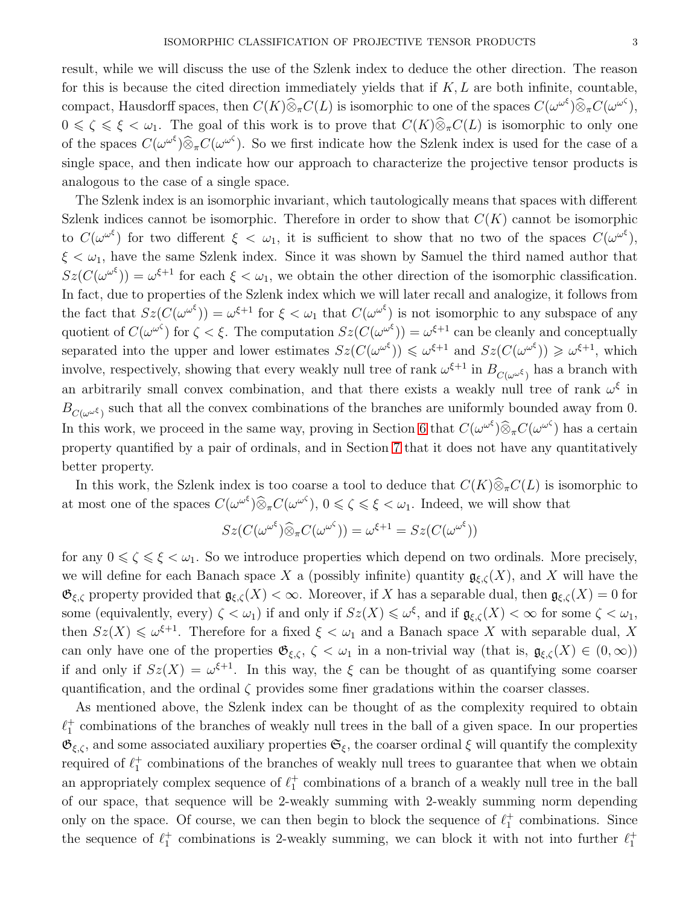result, while we will discuss the use of the Szlenk index to deduce the other direction. The reason for this is because the cited direction immediately yields that if  $K, L$  are both infinite, countable, compact, Hausdorff spaces, then  $C(K)\widehat{\otimes}_{\pi}C(L)$  is isomorphic to one of the spaces  $C(\omega^{\omega^{\xi}})\widehat{\otimes}_{\pi}C(\omega^{\omega^{\zeta}})$ ,  $0 \le \zeta \le \xi \le \omega_1$ . The goal of this work is to prove that  $C(K)\widehat{\otimes}_\pi C(L)$  is isomorphic to only one of the spaces  $C(\omega^{\omega^{\zeta}}) \widehat{\otimes}_{\pi} C(\omega^{\omega^{\zeta}})$ . So we first indicate how the Szlenk index is used for the case of a single space, and then indicate how our approach to characterize the projective tensor products is analogous to the case of a single space.

The Szlenk index is an isomorphic invariant, which tautologically means that spaces with different Szlenk indices cannot be isomorphic. Therefore in order to show that  $C(K)$  cannot be isomorphic to  $C(\omega^{\omega^{\xi}})$  for two different  $\xi < \omega_1$ , it is sufficient to show that no two of the spaces  $C(\omega^{\omega^{\xi}})$ ,  $\xi < \omega_1$ , have the same Szlenk index. Since it was shown by Samuel the third named author that  $Sz(C(\omega^{\omega^{\xi}})) = \omega^{\xi+1}$  for each  $\xi < \omega_1$ , we obtain the other direction of the isomorphic classification. In fact, due to properties of the Szlenk index which we will later recall and analogize, it follows from the fact that  $Sz(C(\omega^{\omega^{\xi}})) = \omega^{\xi+1}$  for  $\xi < \omega_1$  that  $C(\omega^{\omega^{\xi}})$  is not isomorphic to any subspace of any quotient of  $C(\omega^{\omega^{\zeta}})$  for  $\zeta < \xi$ . The computation  $Sz(C(\omega^{\omega^{\zeta}})) = \omega^{\xi+1}$  can be cleanly and conceptually separated into the upper and lower estimates  $Sz(C(\omega^{\omega^{\xi}})) \leq \omega^{\xi+1}$  and  $Sz(C(\omega^{\omega^{\xi}})) \geq \omega^{\xi+1}$ , which involve, respectively, showing that every weakly null tree of rank  $\omega^{\xi+1}$  in  $B_{C(\omega^{\omega^{\xi}})}$  has a branch with an arbitrarily small convex combination, and that there exists a weakly null tree of rank  $\omega^{\xi}$  in  $B_{C(\omega^{\omega^\xi})}$  such that all the convex combinations of the branches are uniformly bounded away from 0. In this work, we proceed in the same way, proving in Section [6](#page-24-0) that  $C(\omega^{\omega^{\zeta}}) \widehat{\otimes}_{\pi} C(\omega^{\omega^{\zeta}})$  has a certain property quantified by a pair of ordinals, and in Section [7](#page-30-0) that it does not have any quantitatively better property.

In this work, the Szlenk index is too coarse a tool to deduce that  $C(K)\widehat{\otimes}_{\pi}C(L)$  is isomorphic to at most one of the spaces  $C(\omega^{\omega^{\xi}}) \widehat{\otimes}_{\pi} C(\omega^{\omega^{\zeta}}), 0 \leq \zeta \leq \xi < \omega_1$ . Indeed, we will show that

$$
Sz(C(\omega^{\omega^{\xi}})\widehat{\otimes}_{\pi}C(\omega^{\omega^{\zeta}})) = \omega^{\xi+1} = Sz(C(\omega^{\omega^{\xi}}))
$$

for any  $0 \le \zeta \le \xi \le \omega_1$ . So we introduce properties which depend on two ordinals. More precisely, we will define for each Banach space X a (possibly infinite) quantity  $\mathfrak{g}_{\xi,\zeta}(X)$ , and X will have the  $\mathfrak{G}_{\xi,\zeta}$  property provided that  $\mathfrak{g}_{\xi,\zeta}(X) < \infty$ . Moreover, if X has a separable dual, then  $\mathfrak{g}_{\xi,\zeta}(X) = 0$  for some (equivalently, every)  $\zeta < \omega_1$ ) if and only if  $Sz(X) \leq \omega^{\xi}$ , and if  $\mathfrak{g}_{\xi,\zeta}(X) < \infty$  for some  $\zeta < \omega_1$ , then  $Sz(X) \le \omega^{\xi+1}$ . Therefore for a fixed  $\xi < \omega_1$  and a Banach space X with separable dual, X can only have one of the properties  $\mathfrak{G}_{\xi,\zeta}$ ,  $\zeta < \omega_1$  in a non-trivial way (that is,  $\mathfrak{g}_{\xi,\zeta}(X) \in (0,\infty)$ ) if and only if  $Sz(X) = \omega^{\xi+1}$ . In this way, the  $\xi$  can be thought of as quantifying some coarser quantification, and the ordinal  $\zeta$  provides some finer gradations within the coarser classes.

As mentioned above, the Szlenk index can be thought of as the complexity required to obtain  $\ell_1^+$  combinations of the branches of weakly null trees in the ball of a given space. In our properties  $\mathfrak{G}_{\xi,\zeta}$ , and some associated auxiliary properties  $\mathfrak{S}_{\xi}$ , the coarser ordinal  $\xi$  will quantify the complexity required of  $\ell_1^+$  combinations of the branches of weakly null trees to guarantee that when we obtain an appropriately complex sequence of  $\ell_1^+$  combinations of a branch of a weakly null tree in the ball of our space, that sequence will be 2-weakly summing with 2-weakly summing norm depending only on the space. Of course, we can then begin to block the sequence of  $\ell_1^+$  combinations. Since the sequence of  $\ell_1^+$  combinations is 2-weakly summing, we can block it with not into further  $\ell_1^+$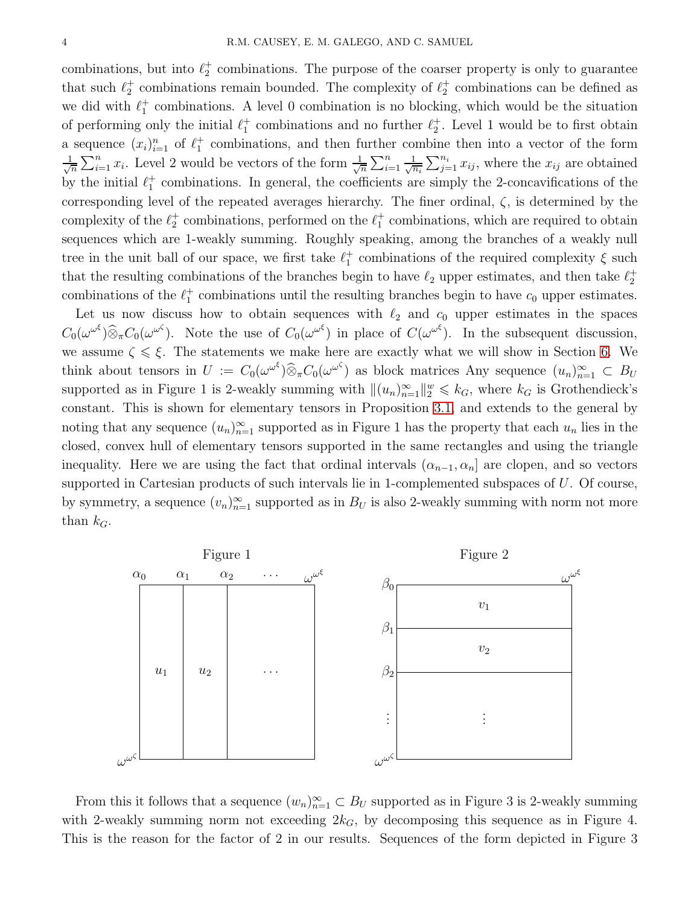combinations, but into  $\ell_2^+$  combinations. The purpose of the coarser property is only to guarantee that such  $\ell_2^+$  combinations remain bounded. The complexity of  $\ell_2^+$  combinations can be defined as we did with  $\ell_1^+$  combinations. A level 0 combination is no blocking, which would be the situation of performing only the initial  $\ell_1^+$  combinations and no further  $\ell_2^+$ . Level 1 would be to first obtain a sequence  $(x_i)_{i=1}^n$  of  $\ell_1^+$  combinations, and then further combine then into a vector of the form √ 1  $\frac{1}{n}\sum_{i=1}^n x_i$ . Level 2 would be vectors of the form  $\frac{1}{\sqrt{n}}$  $\frac{1}{n} \sum_{i=1}^n$  $\frac{1}{\sqrt{n_i}}\sum_{j=1}^{n_i} x_{ij}$ , where the  $x_{ij}$  are obtained by the initial  $\ell_1^+$  combinations. In general, the coefficients are simply the 2-concavifications of the corresponding level of the repeated averages hierarchy. The finer ordinal,  $\zeta$ , is determined by the complexity of the  $\ell_2^+$  combinations, performed on the  $\ell_1^+$  combinations, which are required to obtain sequences which are 1-weakly summing. Roughly speaking, among the branches of a weakly null tree in the unit ball of our space, we first take  $\ell_1^+$  combinations of the required complexity  $\xi$  such that the resulting combinations of the branches begin to have  $\ell_2$  upper estimates, and then take  $\ell_2^+$ combinations of the  $\ell_1^+$  combinations until the resulting branches begin to have  $c_0$  upper estimates.

Let us now discuss how to obtain sequences with  $\ell_2$  and  $c_0$  upper estimates in the spaces  $C_0(\omega^{\omega^\xi})\widehat{\otimes}_{\pi}C_0(\omega^{\omega^\zeta})$ . Note the use of  $C_0(\omega^{\omega^\xi})$  in place of  $C(\omega^{\omega^\xi})$ . In the subsequent discussion, we assume  $\zeta \leq \xi$ . The statements we make here are exactly what we will show in Section [6.](#page-24-0) We think about tensors in  $U := C_0(\omega^{\omega^\xi}) \widehat{\otimes}_\pi C_0(\omega^{\omega^\zeta})$  as block matrices Any sequence  $(u_n)_{n=1}^\infty \subset B_U$ supported as in Figure 1 is 2-weakly summing with  $\|(u_n)_{n=1}^{\infty}\|_{2}^{w} \leq k_G$ , where  $k_G$  is Grothendieck's constant. This is shown for elementary tensors in Proposition [3.1,](#page-7-0) and extends to the general by noting that any sequence  $(u_n)_{n=1}^{\infty}$  supported as in Figure 1 has the property that each  $u_n$  lies in the closed, convex hull of elementary tensors supported in the same rectangles and using the triangle inequality. Here we are using the fact that ordinal intervals  $(\alpha_{n-1}, \alpha_n]$  are clopen, and so vectors supported in Cartesian products of such intervals lie in 1-complemented subspaces of U. Of course, by symmetry, a sequence  $(v_n)_{n=1}^{\infty}$  supported as in  $B_U$  is also 2-weakly summing with norm not more than  $k_G$ .



From this it follows that a sequence  $(w_n)_{n=1}^{\infty} \subset B_U$  supported as in Figure 3 is 2-weakly summing with 2-weakly summing norm not exceeding  $2k_G$ , by decomposing this sequence as in Figure 4. This is the reason for the factor of 2 in our results. Sequences of the form depicted in Figure 3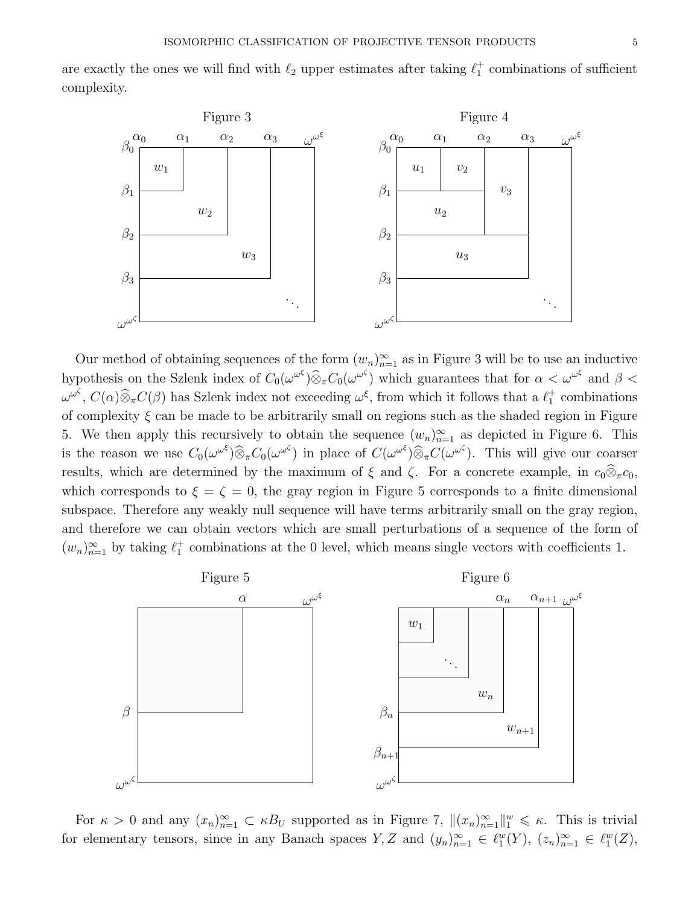are exactly the ones we will find with  $\ell_2$  upper estimates after taking  $\ell_1^+$  combinations of sufficient complexity.



Our method of obtaining sequences of the form  $(w_n)_{n=1}^{\infty}$  as in Figure 3 will be to use an inductive hypothesis on the Szlenk index of  $C_0(\omega^{\omega^{\xi}}) \widehat{\otimes}_{\pi} C_0(\omega^{\omega^{\zeta}})$  which guarantees that for  $\alpha < \omega^{\omega^{\xi}}$  and  $\beta < \infty$  $\omega^{\omega^{\zeta}}, C(\alpha) \widehat{\otimes}_{\pi} C(\beta)$  has Szlenk index not exceeding  $\omega^{\xi}$ , from which it follows that a  $\ell_1^+$  combinations of complexity  $\xi$  can be made to be arbitrarily small on regions such as the shaded region in Figure 5. We then apply this recursively to obtain the sequence  $(w_n)_{n=1}^{\infty}$  as depicted in Figure 6. This is the reason we use  $C_0(\omega^{\omega^\xi})\widehat{\otimes}_\pi C_0(\omega^{\omega^\zeta})$  in place of  $C(\omega^{\omega^\xi})\widehat{\otimes}_\pi C(\omega^{\omega^\zeta})$ . This will give our coarser results, which are determined by the maximum of  $\xi$  and  $\zeta$ . For a concrete example, in  $c_0\widehat{\otimes}_{\pi}c_0$ , which corresponds to  $\xi = \zeta = 0$ , the gray region in Figure 5 corresponds to a finite dimensional subspace. Therefore any weakly null sequence will have terms arbitrarily small on the gray region, and therefore we can obtain vectors which are small perturbations of a sequence of the form of  $(w_n)_{n=1}^{\infty}$  by taking  $\ell_1^+$  combinations at the 0 level, which means single vectors with coefficients 1.



For  $\kappa > 0$  and any  $(x_n)_{n=1}^{\infty} \subset \kappa B_U$  supported as in Figure 7,  $\|(x_n)_{n=1}^{\infty}\|_1^w \leq \kappa$ . This is trivial for elementary tensors, since in any Banach spaces  $Y, Z$  and  $(y_n)_{n=1}^{\infty} \in \ell_1^w(Y)$ ,  $(z_n)_{n=1}^{\infty} \in \ell_1^w(Z)$ ,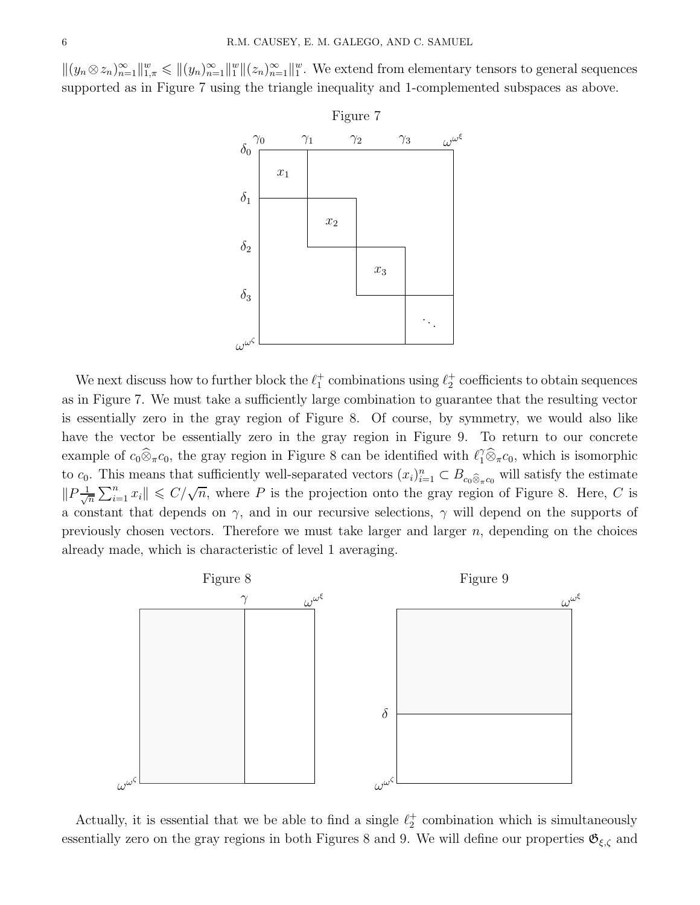$||(y_n \otimes z_n)_{n=1}^{\infty}||_{1,\pi}^w \leq ||(y_n)_{n=1}^{\infty}||_1^w ||(z_n)_{n=1}^{\infty}||_1^w$ . We extend from elementary tensors to general sequences supported as in Figure 7 using the triangle inequality and 1-complemented subspaces as above.



We next discuss how to further block the  $\ell_1^+$  combinations using  $\ell_2^+$  coefficients to obtain sequences as in Figure 7. We must take a sufficiently large combination to guarantee that the resulting vector is essentially zero in the gray region of Figure 8. Of course, by symmetry, we would also like have the vector be essentially zero in the gray region in Figure 9. To return to our concrete example of  $c_0\hat{\otimes}_{\pi}c_0$ , the gray region in Figure 8 can be identified with  $\ell_1^{\gamma}\hat{\otimes}_{\pi}c_0$ , which is isomorphic to  $c_0$ . This means that sufficiently well-separated vectors  $(x_i)_{i=1}^n \subset B_{c_0\widehat{\otimes}_{\pi}c_0}$  will satisfy the estimate  $||P\frac{1}{\sqrt{2}}$  $\frac{1}{n}\sum_{i=1}^n x_i$   $\leq C/\sqrt{n}$ , where P is the projection onto the gray region of Figure 8. Here, C is a constant that depends on  $\gamma$ , and in our recursive selections,  $\gamma$  will depend on the supports of previously chosen vectors. Therefore we must take larger and larger  $n$ , depending on the choices already made, which is characteristic of level 1 averaging.



Actually, it is essential that we be able to find a single  $\ell_2^+$  combination which is simultaneously essentially zero on the gray regions in both Figures 8 and 9. We will define our properties  $\mathfrak{G}_{\xi,\zeta}$  and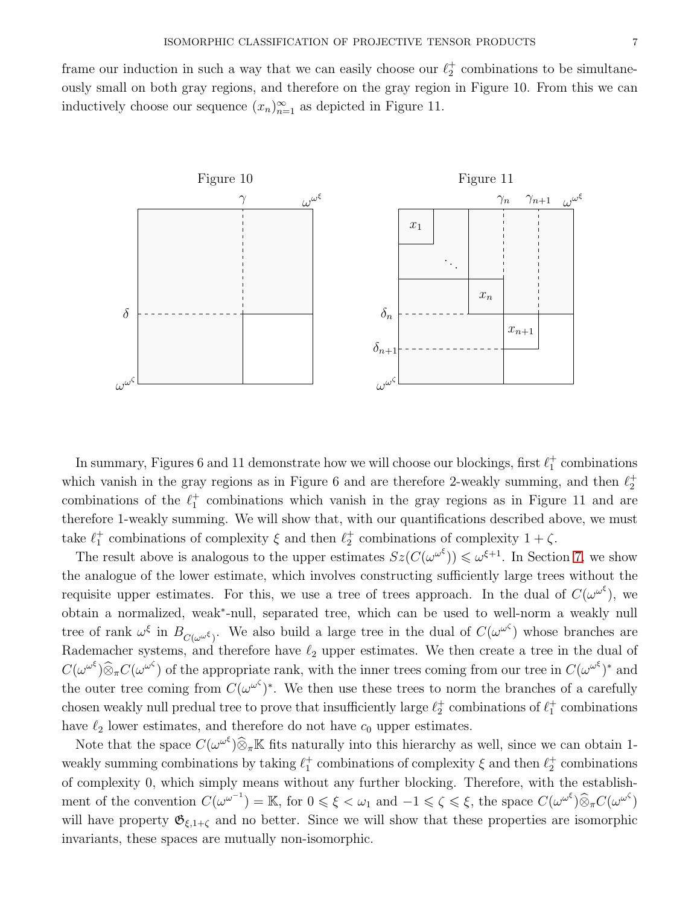frame our induction in such a way that we can easily choose our  $\ell_2^+$  combinations to be simultaneously small on both gray regions, and therefore on the gray region in Figure 10. From this we can inductively choose our sequence  $(x_n)_{n=1}^{\infty}$  as depicted in Figure 11.



In summary, Figures 6 and 11 demonstrate how we will choose our blockings, first  $\ell_1^+$  combinations which vanish in the gray regions as in Figure 6 and are therefore 2-weakly summing, and then  $\ell_2^+$ combinations of the  $\ell_1^+$  combinations which vanish in the gray regions as in Figure 11 and are therefore 1-weakly summing. We will show that, with our quantifications described above, we must take  $\ell_1^+$  combinations of complexity  $\xi$  and then  $\ell_2^+$  combinations of complexity  $1 + \zeta$ .

The result above is analogous to the upper estimates  $Sz(C(\omega^{\omega^{\xi}})) \leq \omega^{\xi+1}$ . In Section [7,](#page-30-0) we show the analogue of the lower estimate, which involves constructing sufficiently large trees without the requisite upper estimates. For this, we use a tree of trees approach. In the dual of  $C(\omega^{\omega^{\xi}})$ , we obtain a normalized, weak<sup>∗</sup> -null, separated tree, which can be used to well-norm a weakly null tree of rank  $\omega^{\xi}$  in  $B_{C(\omega^{\omega^{\xi}})}$ . We also build a large tree in the dual of  $C(\omega^{\omega^{\zeta}})$  whose branches are Rademacher systems, and therefore have  $\ell_2$  upper estimates. We then create a tree in the dual of  $C(\omega^{\omega^{\xi}}) \widehat{\otimes}_{\pi} C(\omega^{\omega^{\zeta}})$  of the appropriate rank, with the inner trees coming from our tree in  $C(\omega^{\omega^{\zeta}})^*$  and the outer tree coming from  $C(\omega^{\omega^{\zeta}})^*$ . We then use these trees to norm the branches of a carefully chosen weakly null predual tree to prove that insufficiently large  $\ell_2^+$  combinations of  $\ell_1^+$  combinations have  $\ell_2$  lower estimates, and therefore do not have  $c_0$  upper estimates.

Note that the space  $C(\omega^{\omega^{\xi}}) \widehat{\otimes}_{\pi} \mathbb{K}$  fits naturally into this hierarchy as well, since we can obtain 1weakly summing combinations by taking  $\ell_1^+$  combinations of complexity  $\xi$  and then  $\ell_2^+$  combinations of complexity 0, which simply means without any further blocking. Therefore, with the establishment of the convention  $C(\omega^{\omega^{-1}}) = \mathbb{K}$ , for  $0 \le \xi < \omega_1$  and  $-1 \le \zeta \le \xi$ , the space  $C(\omega^{\omega^{\xi}}) \widehat{\otimes}_{\pi} C(\omega^{\omega^{\zeta}})$ will have property  $\mathfrak{G}_{\xi,1+\zeta}$  and no better. Since we will show that these properties are isomorphic invariants, these spaces are mutually non-isomorphic.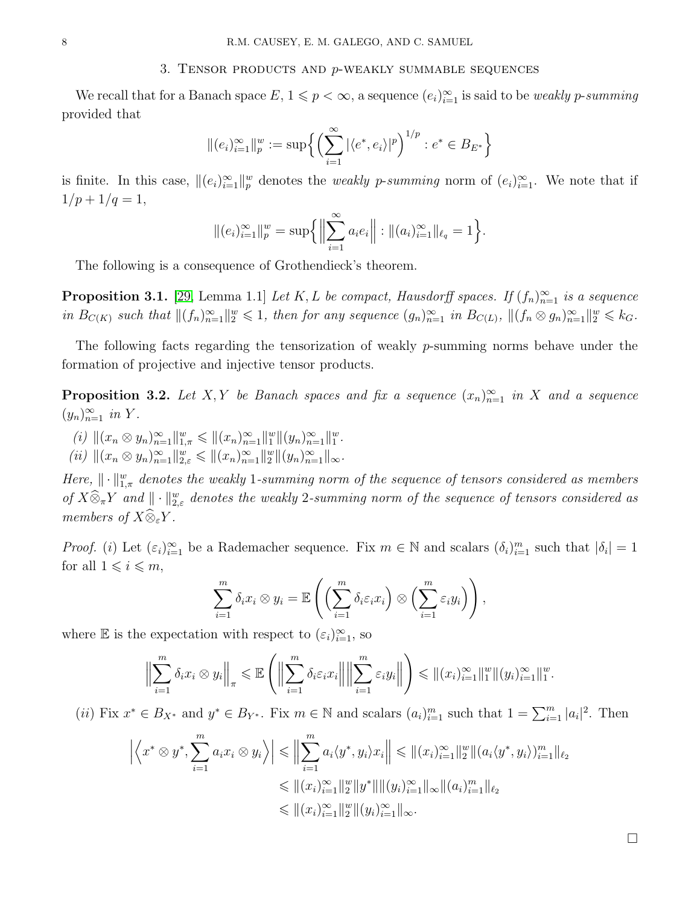### 3. TENSOR PRODUCTS AND  $p$ -WEAKLY SUMMABLE SEQUENCES

We recall that for a Banach space  $E, 1 \leq p < \infty$ , a sequence  $(e_i)_{i=1}^{\infty}$  is said to be *weakly p-summing* provided that

$$
\|(e_i)_{i=1}^{\infty}\|_p^w := \sup \left\{ \left(\sum_{i=1}^{\infty} |\langle e^*, e_i \rangle|^p \right)^{1/p} : e^* \in B_{E^*} \right\}
$$

is finite. In this case,  $\|(e_i)_{i=1}^{\infty}\|_p^w$  denotes the *weakly p-summing* norm of  $(e_i)_{i=1}^{\infty}$ . We note that if  $1/p + 1/q = 1,$ 

$$
\|(e_i)_{i=1}^{\infty}\|_p^w = \sup \{ \left\| \sum_{i=1}^{\infty} a_i e_i \right\| : \|(a_i)_{i=1}^{\infty}\|_{\ell_q} = 1 \}.
$$

The following is a consequence of Grothendieck's theorem.

<span id="page-7-0"></span>**Proposition 3.1.** [\[29,](#page-38-1) Lemma 1.1] Let K, L be compact, Hausdorff spaces. If  $(f_n)_{n=1}^{\infty}$  is a sequence in  $B_{C(K)}$  such that  $\|(f_n)_{n=1}^{\infty}\|_{2}^w \leq 1$ , then for any sequence  $(g_n)_{n=1}^{\infty}$  in  $B_{C(L)}$ ,  $\|(f_n \otimes g_n)_{n=1}^{\infty}\|_{2}^w \leq k_G$ .

The following facts regarding the tensorization of weakly p-summing norms behave under the formation of projective and injective tensor products.

**Proposition 3.2.** Let X, Y be Banach spaces and fix a sequence  $(x_n)_{n=1}^{\infty}$  in X and a sequence  $(y_n)_{n=1}^{\infty}$  in Y.

- <span id="page-7-1"></span>(i)  $\|(x_n \otimes y_n)_{n=1}^{\infty}\|_{1,\pi}^w \leq \|(x_n)_{n=1}^{\infty}\|_1^w \|(y_n)_{n=1}^{\infty}\|_1^w.$
- (ii)  $\|(x_n \otimes y_n)_{n=1}^{\infty}\|_{2,\varepsilon}^{w} \leq \|(x_n)_{n=1}^{\infty}\|_{2}^{w}\|(y_n)_{n=1}^{\infty}\|_{\infty}$ .

Here,  $\|\cdot\|_{1,\pi}^w$  denotes the weakly 1-summing norm of the sequence of tensors considered as members of  $X\widehat{\otimes}_\pi Y$  and  $\|\cdot\|_{2,\varepsilon}^w$  denotes the weakly 2-summing norm of the sequence of tensors considered as members of  $X\widehat{\otimes}_{\varepsilon}Y$ .

*Proof.* (*i*) Let  $(\varepsilon_i)_{i=1}^{\infty}$  be a Rademacher sequence. Fix  $m \in \mathbb{N}$  and scalars  $(\delta_i)_{i=1}^m$  such that  $|\delta_i|=1$ for all  $1 \leq i \leq m$ ,

$$
\sum_{i=1}^m \delta_i x_i \otimes y_i = \mathbb{E}\left(\left(\sum_{i=1}^m \delta_i \varepsilon_i x_i\right) \otimes \left(\sum_{i=1}^m \varepsilon_i y_i\right)\right),
$$

where  $\mathbb E$  is the expectation with respect to  $(\varepsilon_i)_{i=1}^{\infty}$ , so

$$
\Big\|\sum_{i=1}^m \delta_i x_i \otimes y_i\Big\|_{\pi} \leq \mathbb{E}\left(\Big\|\sum_{i=1}^m \delta_i \varepsilon_i x_i\Big\|\Big\|\sum_{i=1}^m \varepsilon_i y_i\Big\|\right) \leq \|(x_i)_{i=1}^\infty\|_1^w \|(y_i)_{i=1}^\infty\|_1^w.
$$

(*ii*) Fix  $x^* \in B_{X^*}$  and  $y^* \in B_{Y^*}$ . Fix  $m \in \mathbb{N}$  and scalars  $(a_i)_{i=1}^m$  such that  $1 = \sum_{i=1}^m |a_i|^2$ . Then

$$
\left| \left\langle x^* \otimes y^*, \sum_{i=1}^m a_i x_i \otimes y_i \right\rangle \right| \leq \left\| \sum_{i=1}^m a_i \langle y^*, y_i \rangle x_i \right\| \leq \| (x_i)_{i=1}^\infty \|_2^w \| (a_i \langle y^*, y_i \rangle)_{i=1}^m \|_{\ell_2}
$$
  

$$
\leq \| (x_i)_{i=1}^\infty \|_2^w \| y^* \| \| (y_i)_{i=1}^\infty \|_\infty \| (a_i)_{i=1}^m \|_{\ell_2}
$$
  

$$
\leq \| (x_i)_{i=1}^\infty \|_2^w \| (y_i)_{i=1}^\infty \|_\infty.
$$

 $\Box$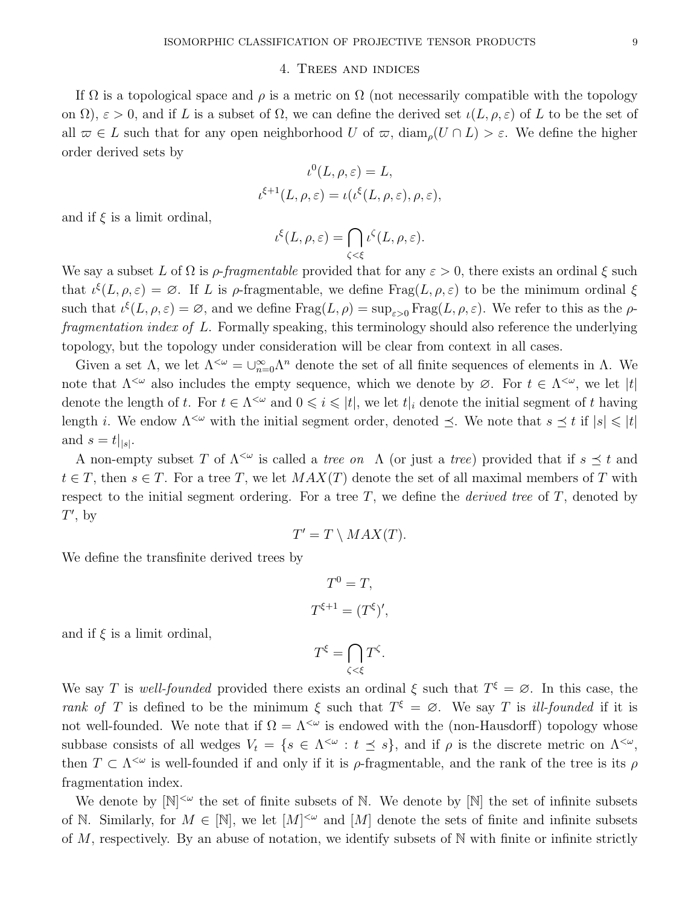## 4. Trees and indices

If  $\Omega$  is a topological space and  $\rho$  is a metric on  $\Omega$  (not necessarily compatible with the topology on  $\Omega$ ),  $\varepsilon > 0$ , and if L is a subset of  $\Omega$ , we can define the derived set  $\iota(L, \rho, \varepsilon)$  of L to be the set of all  $\overline{\omega} \in L$  such that for any open neighborhood U of  $\overline{\omega}$ , diam<sub> $\rho$ </sub> $(U \cap L) > \varepsilon$ . We define the higher order derived sets by

$$
\iota^{0}(L, \rho, \varepsilon) = L,
$$
  

$$
\iota^{\xi+1}(L, \rho, \varepsilon) = \iota(\iota^{\xi}(L, \rho, \varepsilon), \rho, \varepsilon),
$$

and if  $\xi$  is a limit ordinal,

$$
\iota^{\xi}(L,\rho,\varepsilon)=\bigcap_{\zeta<\xi}\iota^{\zeta}(L,\rho,\varepsilon).
$$

We say a subset L of  $\Omega$  is  $\rho$ -fraqmentable provided that for any  $\varepsilon > 0$ , there exists an ordinal  $\xi$  such that  $\iota^{\xi}(L,\rho,\varepsilon) = \emptyset$ . If L is  $\rho$ -fragmentable, we define Frag $(L,\rho,\varepsilon)$  to be the minimum ordinal  $\xi$ such that  $\iota^{\xi}(L,\rho,\varepsilon)=\varnothing$ , and we define  $\text{Frag}(L,\rho)=\sup_{\varepsilon>0}\text{Frag}(L,\rho,\varepsilon)$ . We refer to this as the  $\rho$ fragmentation index of L. Formally speaking, this terminology should also reference the underlying topology, but the topology under consideration will be clear from context in all cases.

Given a set  $\Lambda$ , we let  $\Lambda^{<\omega} = \bigcup_{n=0}^{\infty} \Lambda^n$  denote the set of all finite sequences of elements in  $\Lambda$ . We note that  $\Lambda^{\leq \omega}$  also includes the empty sequence, which we denote by  $\varnothing$ . For  $t \in \Lambda^{\leq \omega}$ , we let  $|t|$ denote the length of t. For  $t \in \Lambda^{\leq \omega}$  and  $0 \leq i \leq |t|$ , we let  $t|_i$  denote the initial segment of t having length i. We endow  $\Lambda^{\leq \omega}$  with the initial segment order, denoted  $\preceq$ . We note that  $s \preceq t$  if  $|s| \leq t$ and  $s = t|_{|s|}$ .

A non-empty subset T of  $\Lambda^{\leq \omega}$  is called a *tree on*  $\Lambda$  (or just a *tree*) provided that if  $s \preceq t$  and  $t \in T$ , then  $s \in T$ . For a tree T, we let  $MAX(T)$  denote the set of all maximal members of T with respect to the initial segment ordering. For a tree  $T$ , we define the *derived tree* of  $T$ , denoted by  $T'$ , by

$$
T' = T \setminus MAX(T).
$$

We define the transfinite derived trees by

$$
T^0 = T,
$$
  

$$
T^{\xi+1} = (T^{\xi})',
$$

and if  $\xi$  is a limit ordinal,

$$
T^{\xi} = \bigcap_{\zeta < \xi} T^{\zeta}.
$$

We say T is well-founded provided there exists an ordinal  $\xi$  such that  $T^{\xi} = \emptyset$ . In this case, the rank of T is defined to be the minimum  $\xi$  such that  $T^{\xi} = \emptyset$ . We say T is ill-founded if it is not well-founded. We note that if  $\Omega = \Lambda^{<\omega}$  is endowed with the (non-Hausdorff) topology whose subbase consists of all wedges  $V_t = \{s \in \Lambda^{\leq \omega} : t \leq s\}$ , and if  $\rho$  is the discrete metric on  $\Lambda^{\leq \omega}$ , then  $T \subset \Lambda^{\leq \omega}$  is well-founded if and only if it is  $\rho$ -fragmentable, and the rank of the tree is its  $\rho$ fragmentation index.

We denote by  $[N]^{<\omega}$  the set of finite subsets of N. We denote by  $[N]$  the set of infinite subsets of N. Similarly, for  $M \in [\mathbb{N}]$ , we let  $[M]^{<\omega}$  and  $[M]$  denote the sets of finite and infinite subsets of  $M$ , respectively. By an abuse of notation, we identify subsets of  $N$  with finite or infinite strictly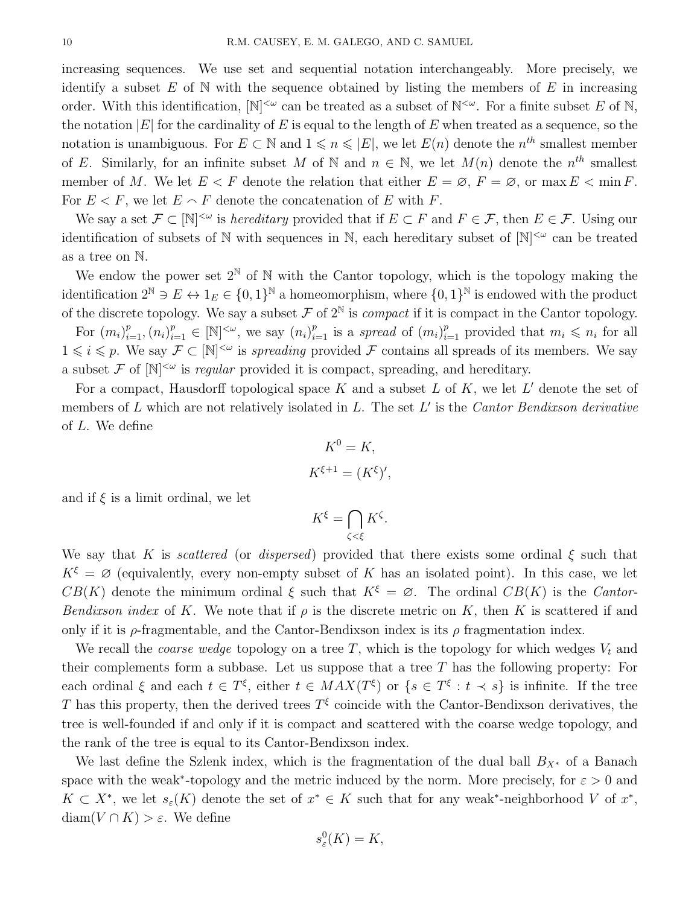increasing sequences. We use set and sequential notation interchangeably. More precisely, we identify a subset  $E$  of  $N$  with the sequence obtained by listing the members of  $E$  in increasing order. With this identification,  $[N]^{<\omega}$  can be treated as a subset of  $N^{<\omega}$ . For a finite subset E of N, the notation  $|E|$  for the cardinality of E is equal to the length of E when treated as a sequence, so the notation is unambiguous. For  $E \subset \mathbb{N}$  and  $1 \leq n \leq |E|$ , we let  $E(n)$  denote the  $n^{th}$  smallest member of E. Similarly, for an infinite subset M of N and  $n \in \mathbb{N}$ , we let  $M(n)$  denote the  $n^{th}$  smallest member of M. We let  $E < F$  denote the relation that either  $E = \emptyset$ ,  $F = \emptyset$ , or max  $E < \min F$ . For  $E < F$ , we let  $E \cap F$  denote the concatenation of E with F.

We say a set  $\mathcal{F} \subset [\mathbb{N}]^{<\omega}$  is *hereditary* provided that if  $E \subset F$  and  $F \in \mathcal{F}$ , then  $E \in \mathcal{F}$ . Using our identification of subsets of N with sequences in N, each hereditary subset of  $[N]^{<\omega}$  can be treated as a tree on N.

We endow the power set  $2^{\mathbb{N}}$  of  $\mathbb{N}$  with the Cantor topology, which is the topology making the identification  $2^{\mathbb{N}} \ni E \leftrightarrow 1_E \in \{0,1\}^{\mathbb{N}}$  a homeomorphism, where  $\{0,1\}^{\mathbb{N}}$  is endowed with the product of the discrete topology. We say a subset  $\mathcal F$  of  $2^{\mathbb N}$  is *compact* if it is compact in the Cantor topology.

For  $(m_i)_{i=1}^p, (n_i)_{i=1}^p \in [\mathbb{N}]^{\leq \omega}$ , we say  $(n_i)_{i=1}^p$  is a spread of  $(m_i)_{i=1}^p$  provided that  $m_i \leq n_i$  for all  $1 \leq i \leq p$ . We say  $\mathcal{F} \subset [\mathbb{N}]^{<\omega}$  is spreading provided  $\mathcal F$  contains all spreads of its members. We say a subset  $\mathcal F$  of  $[\mathbb N]^{<\omega}$  is *regular* provided it is compact, spreading, and hereditary.

For a compact, Hausdorff topological space K and a subset L of K, we let  $L'$  denote the set of members of  $L$  which are not relatively isolated in  $L$ . The set  $L'$  is the *Cantor Bendixson derivative* of L. We define

$$
K^0 = K,
$$
  

$$
K^{\xi+1} = (K^{\xi})',
$$

and if  $\xi$  is a limit ordinal, we let

$$
K^{\xi} = \bigcap_{\zeta < \xi} K^{\zeta}.
$$

We say that K is scattered (or dispersed) provided that there exists some ordinal  $\xi$  such that  $K^{\xi} = \varnothing$  (equivalently, every non-empty subset of K has an isolated point). In this case, we let  $CB(K)$  denote the minimum ordinal  $\xi$  such that  $K^{\xi} = \emptyset$ . The ordinal  $CB(K)$  is the Cantor-Bendixson index of K. We note that if  $\rho$  is the discrete metric on K, then K is scattered if and only if it is  $\rho$ -fragmentable, and the Cantor-Bendixson index is its  $\rho$  fragmentation index.

We recall the *coarse wedge* topology on a tree T, which is the topology for which wedges  $V_t$  and their complements form a subbase. Let us suppose that a tree  $T$  has the following property: For each ordinal  $\xi$  and each  $t \in T^{\xi}$ , either  $t \in MAX(T^{\xi})$  or  $\{s \in T^{\xi} : t \prec s\}$  is infinite. If the tree T has this property, then the derived trees  $T^{\xi}$  coincide with the Cantor-Bendixson derivatives, the tree is well-founded if and only if it is compact and scattered with the coarse wedge topology, and the rank of the tree is equal to its Cantor-Bendixson index.

We last define the Szlenk index, which is the fragmentation of the dual ball  $B_{X^*}$  of a Banach space with the weak<sup>\*</sup>-topology and the metric induced by the norm. More precisely, for  $\varepsilon > 0$  and  $K \subset X^*$ , we let  $s_{\varepsilon}(K)$  denote the set of  $x^* \in K$  such that for any weak\*-neighborhood V of  $x^*$ , diam( $V \cap K$ ) >  $\varepsilon$ . We define

$$
s_{\varepsilon}^{0}(K)=K,
$$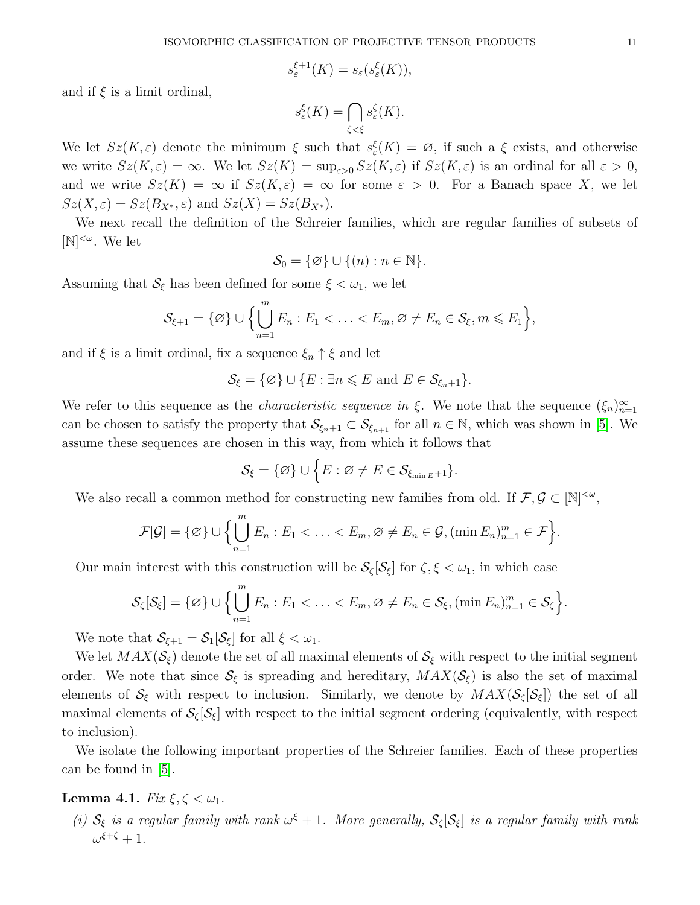$$
s_{\varepsilon}^{\xi+1}(K) = s_{\varepsilon}(s_{\varepsilon}^{\xi}(K)),
$$

and if  $\xi$  is a limit ordinal,

$$
s_{\varepsilon}^{\xi}(K)=\bigcap_{\zeta<\xi}s_{\varepsilon}^{\zeta}(K).
$$

We let  $Sz(K, \varepsilon)$  denote the minimum  $\xi$  such that  $s_{\varepsilon}^{\xi}(K) = \varnothing$ , if such a  $\xi$  exists, and otherwise we write  $Sz(K, \varepsilon) = \infty$ . We let  $Sz(K) = \sup_{\varepsilon > 0} Sz(K, \varepsilon)$  if  $Sz(K, \varepsilon)$  is an ordinal for all  $\varepsilon > 0$ , and we write  $Sz(K) = \infty$  if  $Sz(K, \varepsilon) = \infty$  for some  $\varepsilon > 0$ . For a Banach space X, we let  $Sz(X, \varepsilon) = Sz(B_{X^*}, \varepsilon)$  and  $Sz(X) = Sz(B_{X^*}).$ 

We next recall the definition of the Schreier families, which are regular families of subsets of  $[N]^{<\omega}$ . We let

$$
\mathcal{S}_0 = \{ \varnothing \} \cup \{ (n) : n \in \mathbb{N} \}.
$$

Assuming that  $S_{\xi}$  has been defined for some  $\xi < \omega_1$ , we let

$$
\mathcal{S}_{\xi+1} = \{ \varnothing \} \cup \Biggl\{ \bigcup_{n=1}^m E_n : E_1 < \ldots < E_m, \varnothing \neq E_n \in \mathcal{S}_{\xi}, m \leqslant E_1 \Biggr\},\
$$

and if  $\xi$  is a limit ordinal, fix a sequence  $\xi_n \uparrow \xi$  and let

 $\mathcal{S}_{\xi} = {\emptyset} \cup {E : \exists n \leqslant E \text{ and } E \in \mathcal{S}_{\xi_n+1}}.$ 

We refer to this sequence as the *characteristic sequence in*  $\xi$ . We note that the sequence  $(\xi_n)_{n=1}^{\infty}$ can be chosen to satisfy the property that  $\mathcal{S}_{\xi_n+1} \subset \mathcal{S}_{\xi_{n+1}}$  for all  $n \in \mathbb{N}$ , which was shown in [\[5\]](#page-37-1). We assume these sequences are chosen in this way, from which it follows that

$$
\mathcal{S}_{\xi} = \{ \varnothing \} \cup \Big\{ E : \varnothing \neq E \in \mathcal{S}_{\xi_{\min E} + 1} \}.
$$

We also recall a common method for constructing new families from old. If  $\mathcal{F}, \mathcal{G} \subset [\mathbb{N}]^{<\omega}$ ,

$$
\mathcal{F}[\mathcal{G}] = \{ \varnothing \} \cup \Big\{ \bigcup_{n=1}^m E_n : E_1 < \ldots < E_m, \varnothing \neq E_n \in \mathcal{G}, (\min E_n)_{n=1}^m \in \mathcal{F} \Big\}.
$$

Our main interest with this construction will be  $S_{\zeta}[\mathcal{S}_{\xi}]$  for  $\zeta, \xi < \omega_1$ , in which case

$$
\mathcal{S}_{\zeta}[\mathcal{S}_{\xi}] = \{\varnothing\} \cup \Big\{\bigcup_{n=1}^m E_n : E_1 < \ldots < E_m, \varnothing \neq E_n \in \mathcal{S}_{\xi}, (\min E_n)_{n=1}^m \in \mathcal{S}_{\zeta}\Big\}.
$$

We note that  $\mathcal{S}_{\xi+1} = \mathcal{S}_1[\mathcal{S}_\xi]$  for all  $\xi < \omega_1$ .

We let  $MAX(\mathcal{S}_{\xi})$  denote the set of all maximal elements of  $\mathcal{S}_{\xi}$  with respect to the initial segment order. We note that since  $S_{\xi}$  is spreading and hereditary,  $MAX(S_{\xi})$  is also the set of maximal elements of  $S_{\xi}$  with respect to inclusion. Similarly, we denote by  $MAX(S_{\zeta}[S_{\xi}])$  the set of all maximal elements of  $S_{\zeta}[\mathcal{S}_{\xi}]$  with respect to the initial segment ordering (equivalently, with respect to inclusion).

We isolate the following important properties of the Schreier families. Each of these properties can be found in [\[5\]](#page-37-1).

# Lemma 4.1.  $Fix \xi, \zeta < \omega_1$ .

(i)  $S_{\xi}$  is a regular family with rank  $\omega^{\xi}+1$ . More generally,  $S_{\zeta}[\mathcal{S}_{\xi}]$  is a regular family with rank  $\omega^{\xi+\zeta}+1.$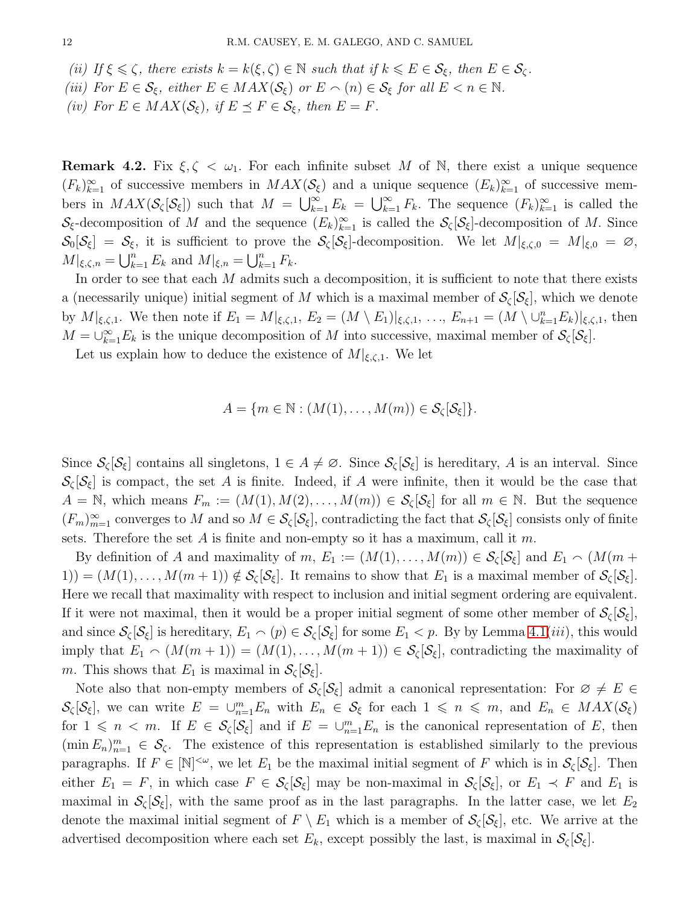- (ii) If  $\xi \leq \zeta$ , there exists  $k = k(\xi, \zeta) \in \mathbb{N}$  such that if  $k \leq E \in \mathcal{S}_{\xi}$ , then  $E \in \mathcal{S}_{\zeta}$ .
- <span id="page-11-0"></span>(iii) For  $E \in \mathcal{S}_{\xi}$ , either  $E \in MAX(\mathcal{S}_{\xi})$  or  $E \cap (n) \in \mathcal{S}_{\xi}$  for all  $E < n \in \mathbb{N}$ .
- (iv) For  $E \in MAX(\mathcal{S}_{\xi})$ , if  $E \preceq F \in \mathcal{S}_{\xi}$ , then  $E = F$ .

**Remark 4.2.** Fix  $\xi, \zeta < \omega_1$ . For each infinite subset M of N, there exist a unique sequence  $(F_k)_{k=1}^{\infty}$  of successive members in  $MAX(S_{\xi})$  and a unique sequence  $(E_k)_{k=1}^{\infty}$  of successive members in  $MAX(S_{\zeta}[\mathcal{S}_{\xi}])$  such that  $M = \bigcup_{k=1}^{\infty} E_k = \bigcup_{k=1}^{\infty} F_k$ . The sequence  $(F_k)_{k=1}^{\infty}$  is called the  $\mathcal{S}_{\xi}$ -decomposition of M and the sequence  $(E_k)_{k=1}^{\infty}$  is called the  $\mathcal{S}_{\zeta}[\mathcal{S}_{\xi}]$ -decomposition of M. Since  $\mathcal{S}_0[\mathcal{S}_\xi] = \mathcal{S}_\xi$ , it is sufficient to prove the  $\mathcal{S}_\zeta[\mathcal{S}_\xi]$ -decomposition. We let  $M|_{\xi,\zeta,0} = M|_{\xi,0} = \varnothing$ ,  $M|_{\xi,\zeta,n} = \bigcup_{k=1}^n E_k$  and  $M|_{\xi,n} = \bigcup_{k=1}^n F_k$ .

In order to see that each M admits such a decomposition, it is sufficient to note that there exists a (necessarily unique) initial segment of M which is a maximal member of  $\mathcal{S}_{\zeta}[\mathcal{S}_{\xi}]$ , which we denote by  $M|_{\xi,\zeta,1}$ . We then note if  $E_1 = M|_{\xi,\zeta,1}$ ,  $E_2 = (M \setminus E_1)|_{\xi,\zeta,1}$ , ...,  $E_{n+1} = (M \setminus \bigcup_{k=1}^n E_k)|_{\xi,\zeta,1}$ , then  $M = \bigcup_{k=1}^{\infty} E_k$  is the unique decomposition of M into successive, maximal member of  $S_{\zeta}[\mathcal{S}_{\xi}]$ .

Let us explain how to deduce the existence of  $M|_{\xi,\zeta,1}$ . We let

$$
A = \{m \in \mathbb{N} : (M(1), \ldots, M(m)) \in \mathcal{S}_{\zeta}[\mathcal{S}_{\xi}]\}.
$$

Since  $\mathcal{S}_{\zeta}[\mathcal{S}_{\xi}]$  contains all singletons,  $1 \in A \neq \emptyset$ . Since  $\mathcal{S}_{\zeta}[\mathcal{S}_{\xi}]$  is hereditary, A is an interval. Since  $\mathcal{S}_{\zeta}[\mathcal{S}_{\xi}]$  is compact, the set A is finite. Indeed, if A were infinite, then it would be the case that  $A = \mathbb{N}$ , which means  $F_m := (M(1), M(2), \ldots, M(m)) \in \mathcal{S}_{\zeta}[\mathcal{S}_{\xi}]$  for all  $m \in \mathbb{N}$ . But the sequence  $(F_m)_{m=1}^{\infty}$  converges to M and so  $M \in \mathcal{S}_{\zeta}[\mathcal{S}_{\xi}]$ , contradicting the fact that  $\mathcal{S}_{\zeta}[\mathcal{S}_{\xi}]$  consists only of finite sets. Therefore the set A is finite and non-empty so it has a maximum, call it m.

By definition of A and maximality of  $m, E_1 := (M(1), \ldots, M(m)) \in \mathcal{S}_{\zeta}[\mathcal{S}_{\xi}]$  and  $E_1 \cap (M(m +$  $(1)(1) = (M(1), \ldots, M(m+1)) \notin \mathcal{S}_{\zeta}[\mathcal{S}_{\xi}]$ . It remains to show that  $E_1$  is a maximal member of  $\mathcal{S}_{\zeta}[\mathcal{S}_{\xi}]$ . Here we recall that maximality with respect to inclusion and initial segment ordering are equivalent. If it were not maximal, then it would be a proper initial segment of some other member of  $S_{\zeta} |S_{\zeta}|$ , and since  $\mathcal{S}_{\zeta}[\mathcal{S}_{\xi}]$  is hereditary,  $E_1 \frown (p) \in \mathcal{S}_{\zeta}[\mathcal{S}_{\xi}]$  for some  $E_1 < p$ . By by Lemma [4.1\(](#page-11-0)*iii*), this would imply that  $E_1 \sim (M(m + 1)) = (M(1), \ldots, M(m + 1)) \in \mathcal{S}_{\zeta}[\mathcal{S}_{\xi}]$ , contradicting the maximality of m. This shows that  $E_1$  is maximal in  $\mathcal{S}_{\zeta}[\mathcal{S}_{\xi}].$ 

Note also that non-empty members of  $\mathcal{S}_{\zeta}[\mathcal{S}_{\xi}]$  admit a canonical representation: For  $\varnothing \neq E \in$  $\mathcal{S}_{\zeta}[\mathcal{S}_{\xi}]$ , we can write  $E = \bigcup_{n=1}^{m} E_n$  with  $E_n \in \mathcal{S}_{\xi}$  for each  $1 \leq n \leq m$ , and  $E_n \in MAX(\mathcal{S}_{\xi})$ for  $1 \leq n \leq m$ . If  $E \in \mathcal{S}_{\zeta}[\mathcal{S}_{\xi}]$  and if  $E = \bigcup_{n=1}^{m} E_n$  is the canonical representation of E, then  $(\min E_n)_{n=1}^m \in \mathcal{S}_{\zeta}$ . The existence of this representation is established similarly to the previous paragraphs. If  $F \in [\mathbb{N}]^{\leq \omega}$ , we let  $E_1$  be the maximal initial segment of F which is in  $\mathcal{S}_{\zeta}[\mathcal{S}_{\xi}]$ . Then either  $E_1 = F$ , in which case  $F \in \mathcal{S}_{\zeta}[\mathcal{S}_{\xi}]$  may be non-maximal in  $\mathcal{S}_{\zeta}[\mathcal{S}_{\xi}]$ , or  $E_1 \prec F$  and  $E_1$  is maximal in  $\mathcal{S}_{\zeta}[\mathcal{S}_{\xi}]$ , with the same proof as in the last paragraphs. In the latter case, we let  $E_2$ denote the maximal initial segment of  $F \setminus E_1$  which is a member of  $\mathcal{S}_{\zeta}[\mathcal{S}_{\xi}]$ , etc. We arrive at the advertised decomposition where each set  $E_k$ , except possibly the last, is maximal in  $\mathcal{S}_{\zeta}[\mathcal{S}_{\xi}]$ .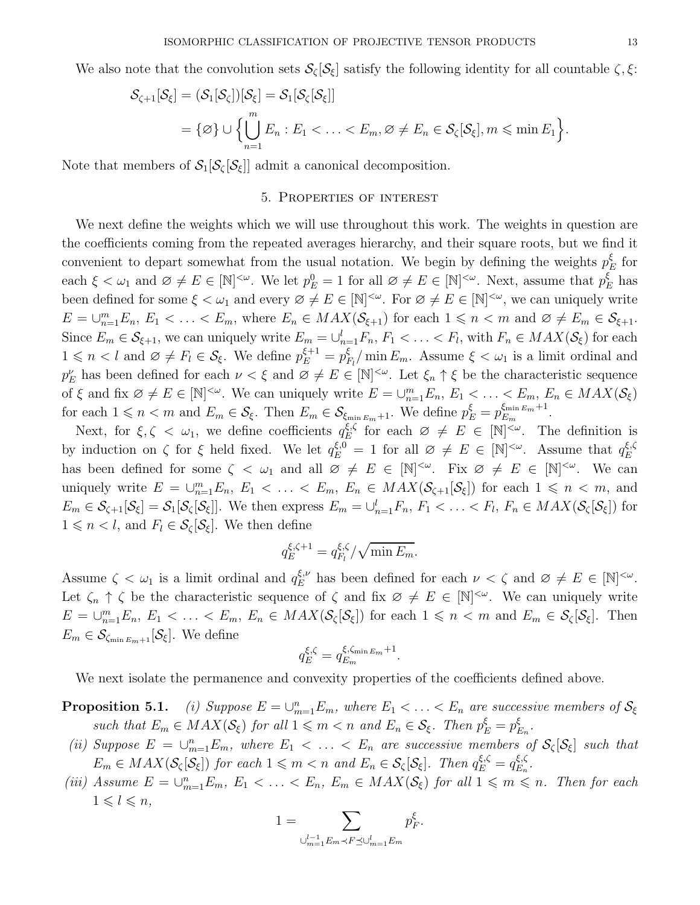We also note that the convolution sets  $S_{\zeta}[\mathcal{S}_{\xi}]$  satisfy the following identity for all countable  $\zeta, \xi$ :

$$
\mathcal{S}_{\zeta+1}[\mathcal{S}_{\xi}] = (\mathcal{S}_1[\mathcal{S}_{\zeta}])[\mathcal{S}_{\xi}] = \mathcal{S}_1[\mathcal{S}_{\zeta}[\mathcal{S}_{\xi}]]
$$
  
=  $\{\emptyset\} \cup \left\{\bigcup_{n=1}^m E_n : E_1 < \ldots < E_m, \emptyset \neq E_n \in \mathcal{S}_{\zeta}[\mathcal{S}_{\xi}], m \leq \min E_1\right\}.$ 

Note that members of  $S_1[S_\zeta[S_\xi]]$  admit a canonical decomposition.

#### 5. Properties of interest

We next define the weights which we will use throughout this work. The weights in question are the coefficients coming from the repeated averages hierarchy, and their square roots, but we find it convenient to depart somewhat from the usual notation. We begin by defining the weights  $p_I^{\xi}$  $E$  for each  $\xi < \omega_1$  and  $\varnothing \neq E \in [\mathbb{N}]^{<\omega}$ . We let  $p_E^0 = 1$  for all  $\varnothing \neq E \in [\mathbb{N}]^{<\omega}$ . Next, assume that  $p_E^{\xi}$  has been defined for some  $\xi < \omega_1$  and every  $\varnothing \neq E \in [\mathbb{N}]^{<\omega}$ . For  $\varnothing \neq E \in [\mathbb{N}]^{<\omega}$ , we can uniquely write  $E = \bigcup_{n=1}^{m} E_n, E_1 < \ldots < E_m$ , where  $E_n \in MAX(\mathcal{S}_{\xi+1})$  for each  $1 \leq n < m$  and  $\varnothing \neq E_m \in \mathcal{S}_{\xi+1}$ . Since  $E_m \in \mathcal{S}_{\xi+1}$ , we can uniquely write  $E_m = \bigcup_{n=1}^l F_n$ ,  $F_1 < \ldots < F_l$ , with  $F_n \in MAX(\mathcal{S}_{\xi})$  for each  $1 \leq n < l$  and  $\varnothing \neq F_l \in \mathcal{S}_{\xi}$ . We define  $p_E^{\xi+1} = p_I^{\xi}$  $\frac{\xi}{F_l}/\min E_m$ . Assume  $\xi < \omega_1$  is a limit ordinal and  $p_E^{\nu}$  has been defined for each  $\nu < \xi$  and  $\varnothing \neq E \in [\mathbb{N}]^{<\omega}$ . Let  $\xi_n \uparrow \xi$  be the characteristic sequence of  $\xi$  and fix  $\emptyset \neq E \in [\mathbb{N}]^{<\omega}$ . We can uniquely write  $E = \bigcup_{n=1}^m E_n$ ,  $E_1 \leq \ldots \leq E_m$ ,  $E_n \in MAX(\mathcal{S}_{\xi})$ for each  $1 \leq n < m$  and  $E_m \in \mathcal{S}_{\xi}$ . Then  $E_m \in \mathcal{S}_{\xi_{\min E_m}+1}$ . We define  $p_E^{\xi} = p_{E_m}^{\xi_{\min E_m}+1}$  $\frac{E_{m}E_{m}+1}{E_{m}}$ .

Next, for  $\xi, \zeta \leq \omega_1$ , we define coefficients  $q_E^{\xi, \zeta}$  $\mathcal{E}^{\xi,\zeta}_{E}$  for each  $\varnothing \neq E \in [\mathbb{N}]^{<\omega}$ . The definition is by induction on  $\zeta$  for  $\xi$  held fixed. We let  $q_E^{\xi,0} = 1$  for all  $\varnothing \neq E \in [\mathbb{N}]^{<\omega}$ . Assume that  $q_E^{\xi,\zeta}$ E has been defined for some  $\zeta < \omega_1$  and all  $\varnothing \neq E \in [\mathbb{N}]^{<\omega}$ . Fix  $\varnothing \neq E \in [\mathbb{N}]^{<\omega}$ . We can uniquely write  $E = \bigcup_{n=1}^m E_n$ ,  $E_1 < \ldots < E_m$ ,  $E_n \in MAX(S_{\zeta+1}[\mathcal{S}_{\zeta}])$  for each  $1 \leq n \leq m$ , and  $E_m \in \mathcal{S}_{\zeta+1}[\mathcal{S}_{\zeta}] = \mathcal{S}_1[\mathcal{S}_{\zeta}[\mathcal{S}_{\zeta}]]$ . We then express  $E_m = \bigcup_{n=1}^l F_n, F_1 < \ldots < F_l, F_n \in MAX(\mathcal{S}_{\zeta}[\mathcal{S}_{\zeta}])$  for  $1 \leq n \leq l$ , and  $F_l \in \mathcal{S}_{\zeta}[\mathcal{S}_{\xi}]$ . We then define

$$
q_E^{\xi,\zeta+1} = q_{F_l}^{\xi,\zeta}/\sqrt{\min E_m}.
$$

Assume  $\zeta < \omega_1$  is a limit ordinal and  $q_E^{\xi,\nu}$  has been defined for each  $\nu < \zeta$  and  $\varnothing \neq E \in [\mathbb{N}]^{<\omega}$ . Let  $\zeta_n \uparrow \zeta$  be the characteristic sequence of  $\zeta$  and fix  $\varnothing \neq E \in [\mathbb{N}]^{<\omega}$ . We can uniquely write  $E = \bigcup_{n=1}^{m} E_n, E_1 < \ldots < E_m, E_n \in MAX(\mathcal{S}_{\zeta}[\mathcal{S}_{\xi}])$  for each  $1 \leq n < m$  and  $E_m \in \mathcal{S}_{\zeta}[\mathcal{S}_{\xi}]$ . Then  $E_m \in \mathcal{S}_{\zeta_{\min E_m+1}}[\mathcal{S}_{\xi}].$  We define

$$
q_E^{\xi,\zeta} = q_{E_m}^{\xi,\zeta_{\min E_m}+1}.
$$

We next isolate the permanence and convexity properties of the coefficients defined above.

**Proposition 5.1.** (i) Suppose  $E = \bigcup_{m=1}^{n} E_m$ , where  $E_1 < \ldots < E_n$  are successive members of  $S_{\xi}$ such that  $E_m \in MAX(S_{\xi})$  for all  $1 \leq m < n$  and  $E_n \in S_{\xi}$ . Then  $p_E^{\xi} = p_I^{\xi}$  $_{E_{n}}^{\xi}$  .

- (ii) Suppose  $E = \bigcup_{m=1}^n E_m$ , where  $E_1 < \ldots < E_n$  are successive members of  $\mathcal{S}_{\zeta}[\mathcal{S}_{\xi}]$  such that  $E_m \in MAX(\mathcal{S}_{\zeta}[\mathcal{S}_{\xi}])$  for each  $1 \leqslant m < n$  and  $E_n \in \mathcal{S}_{\zeta}[\mathcal{S}_{\xi}]$ . Then  $q_E^{\xi,\zeta} = q_{E_n}^{\xi,\zeta}$  $\frac{\xi}{n}$ .
- (iii) Assume  $E = \bigcup_{m=1}^n E_m$ ,  $E_1 < \ldots < E_n$ ,  $E_m \in MAX(S_{\xi})$  for all  $1 \leq m \leq n$ . Then for each  $1 \leqslant l \leqslant n$ ,

$$
1=\sum_{\cup_{m=1}^{l-1}E_m\prec F\preceq\cup_{m=1}^lE_m}p_F^\xi.
$$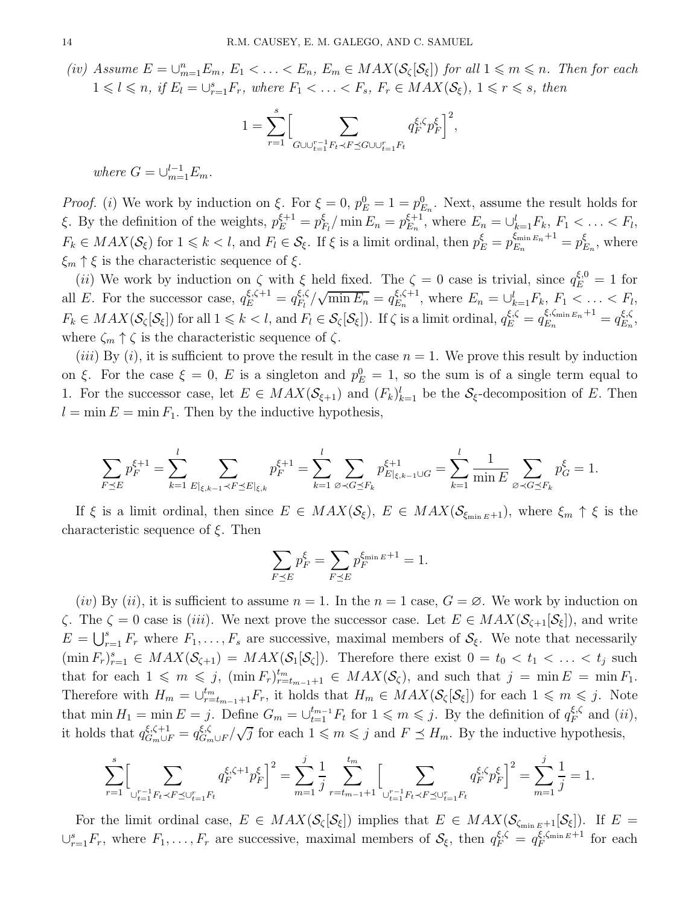<span id="page-13-0"></span>(iv) Assume  $E = \bigcup_{m=1}^n E_m$ ,  $E_1 < \ldots < E_n$ ,  $E_m \in MAX(S_{\zeta}[S_{\xi}])$  for all  $1 \leq m \leq n$ . Then for each  $1 \leq l \leq n$ , if  $E_l = \bigcup_{r=1}^s F_r$ , where  $F_1 < \ldots < F_s$ ,  $F_r \in MAX(S_{\xi})$ ,  $1 \leq r \leq s$ , then

$$
1=\sum_{r=1}^s\Bigl[\sum_{G\cup\cup_{t=1}^{r-1}F_t\prec F\preceq G\cup\cup_{t=1}^rF_t}q_F^{\xi,\zeta}p_F^\xi\Bigr]^2,
$$

where  $G = \bigcup_{m=1}^{l-1} E_m$ .

*Proof.* (*i*) We work by induction on  $\xi$ . For  $\xi = 0$ ,  $p_E^0 = 1 = p_{E_n}^0$ . Next, assume the result holds for ξ. By the definition of the weights,  $p_E^{\xi+1} = p_I^{\xi}$  $\frac{\xi}{F_l}/\min E_n = p_{E_n}^{\xi+1}$  $E_{E_n}^{\xi+1}$ , where  $E_n = \bigcup_{k=1}^l F_k, F_1 < \ldots < F_l,$  $F_k \in MAX(\mathcal{S}_{\xi})$  for  $1 \leq k < l$ , and  $F_l \in \mathcal{S}_{\xi}$ . If  $\xi$  is a limit ordinal, then  $p_E^{\xi} = p_{E_n}^{\xi_{\min E_n} + 1} = p_I^{\xi}$  $\zeta_{E_n}$ , where  $\xi_m \uparrow \xi$  is the characteristic sequence of  $\xi$ .

(*ii*) We work by induction on  $\zeta$  with  $\xi$  held fixed. The  $\zeta = 0$  case is trivial, since  $q_E^{\xi,0} = 1$  for all E. For the successor case,  $q_E^{\xi,\zeta+1} = q_{F_l}^{\xi,\zeta}$  $\frac{\xi,\zeta}{F_l}/\sqrt{\min E_n} = q_{E_n}^{\xi,\zeta+1}$  $E_n^{\xi,\zeta+1}$ , where  $E_n = \bigcup_{k=1}^l F_k, F_1 < \ldots < F_l,$  $F_k \in MAX(\mathcal{S}_{\zeta}[\mathcal{S}_{\xi}])$  for all  $1 \leq k < l$ , and  $F_l \in \mathcal{S}_{\zeta}[\mathcal{S}_{\xi}])$ . If  $\zeta$  is a limit ordinal,  $q_E^{\xi,\zeta} = q_{E_n}^{\xi,\zeta_{\min E_n}+1} = q_{E_n}^{\xi,\zeta_{\min E_n}+1}$  $\zeta, \zeta$ <br> $E_n$ , where  $\zeta_m \uparrow \zeta$  is the characteristic sequence of  $\zeta$ .

(*iii*) By (*i*), it is sufficient to prove the result in the case  $n = 1$ . We prove this result by induction on ξ. For the case  $\xi = 0$ , E is a singleton and  $p_E^0 = 1$ , so the sum is of a single term equal to 1. For the successor case, let  $E \in MAX(\mathcal{S}_{\xi+1})$  and  $(F_k)_{k=1}^l$  be the  $\mathcal{S}_{\xi}$ -decomposition of E. Then  $l = \min E = \min F_1$ . Then by the inductive hypothesis,

$$
\sum_{F \preceq E} p_F^{\xi+1} = \sum_{k=1}^l \sum_{E|_{\xi,k-1} \prec F \preceq E|_{\xi,k}} p_F^{\xi+1} = \sum_{k=1}^l \sum_{\emptyset \prec G \preceq F_k} p_{E|_{\xi,k-1} \cup G}^{\xi+1} = \sum_{k=1}^l \frac{1}{\min E} \sum_{\emptyset \prec G \preceq F_k} p_G^{\xi} = 1.
$$

If  $\xi$  is a limit ordinal, then since  $E \in MAX(\mathcal{S}_{\xi})$ ,  $E \in MAX(\mathcal{S}_{\xi_{\min E}+1})$ , where  $\xi_m \uparrow \xi$  is the characteristic sequence of  $\xi$ . Then

$$
\sum_{F \preceq E} p_F^{\xi} = \sum_{F \preceq E} p_F^{\xi_{\min E} + 1} = 1.
$$

 $(iv)$  By  $(ii)$ , it is sufficient to assume  $n = 1$ . In the  $n = 1$  case,  $G = \emptyset$ . We work by induction on  $\zeta$ . The  $\zeta = 0$  case is (iii). We next prove the successor case. Let  $E \in MAX(\mathcal{S}_{\zeta+1}[\mathcal{S}_{\zeta}])$ , and write  $E = \bigcup_{r=1}^{s} F_r$  where  $F_1, \ldots, F_s$  are successive, maximal members of  $S_{\xi}$ . We note that necessarily  $(\min F_r)_{r=1}^s \in MAX(\mathcal{S}_{\zeta+1}) = MAX(\mathcal{S}_{\zeta}[\mathcal{S}_{\zeta}]).$  Therefore there exist  $0 = t_0 < t_1 < \ldots < t_j$  such that for each  $1 \leqslant m \leqslant j$ ,  $(\min F_r)_{r=t_{m-1}+1}^{t_m} \in MAX(\mathcal{S}_{\zeta})$ , and such that  $j = \min E = \min F_1$ . Therefore with  $H_m = \bigcup_{r=t_{m-1}+1}^{t_m} F_r$ , it holds that  $H_m \in MAX(\mathcal{S}_{\zeta}[\mathcal{S}_{\zeta}])$  for each  $1 \leq m \leq j$ . Note that  $\min H_1 = \min E = j$ . Define  $G_m = \bigcup_{t=1}^{t_{m-1}} F_t$  for  $1 \leqslant m \leqslant j$ . By the definition of  $q_F^{\xi,\zeta}$  $\zeta_F^{\xi,\zeta}$  and  $(ii)$ , it holds that  $q_{G_m \cup F}^{\xi, \zeta+1} = q_{G_m}^{\xi, \zeta}$  $\frac{\xi,\zeta}{G_m \cup F}/\sqrt{j}$  for each  $1 \leq m \leq j$  and  $F \preceq H_m$ . By the inductive hypothesis,

$$
\sum_{r=1}^s \Bigl[ \sum_{\cup_{t=1}^{r-1} F_t \prec F \preceq \cup_{t=1}^r F_t} q_F^{\xi,\zeta+1} p_F^\xi \Bigr]^2 = \sum_{m=1}^j \frac{1}{j} \sum_{r=t_{m-1}+1}^{t_m} \Bigl[ \sum_{\cup_{t=1}^{r-1} F_t \prec F \preceq \cup_{t=1}^r F_t} q_F^{\xi,\zeta} p_F^\xi \Bigr]^2 = \sum_{m=1}^j \frac{1}{j} = 1.
$$

For the limit ordinal case,  $E \in MAX(\mathcal{S}_{\zeta}[\mathcal{S}_{\xi}])$  implies that  $E \in MAX(\mathcal{S}_{\zeta_{\min E}+1}[\mathcal{S}_{\xi}])$ . If  $E =$  $\cup_{r=1}^s F_r$ , where  $F_1, \ldots, F_r$  are successive, maximal members of  $\mathcal{S}_{\xi}$ , then  $q_F^{\xi,\zeta} = q_F^{\xi,\zeta_{\min E}+1}$  $\int_F^{\xi, \zeta_{\min} E + 1}$  for each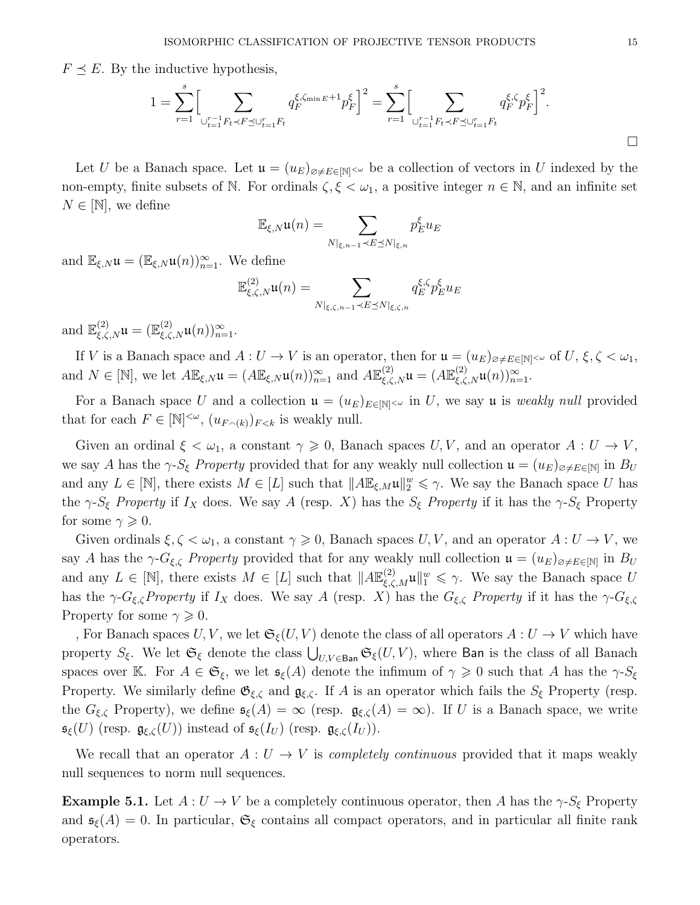$F \preceq E$ . By the inductive hypothesis,

$$
1 = \sum_{r=1}^{s} \Big[ \sum_{\cup_{t=1}^{r-1} F_t \prec F \preceq \cup_{t=1}^r F_t} q_F^{\xi, \zeta_{\min E} + 1} p_F^{\xi} \Big]^2 = \sum_{r=1}^{s} \Big[ \sum_{\cup_{t=1}^{r-1} F_t \prec F \preceq \cup_{t=1}^r F_t} q_F^{\xi, \zeta} p_F^{\xi} \Big]^2.
$$

Let U be a Banach space. Let  $\mathfrak{u} = (u_E)_{\emptyset \neq E \in [\mathbb{N}]^{<\omega}}$  be a collection of vectors in U indexed by the non-empty, finite subsets of N. For ordinals  $\zeta, \xi < \omega_1$ , a positive integer  $n \in \mathbb{N}$ , and an infinite set  $N \in [\mathbb{N}]$ , we define

$$
\mathbb{E}_{\xi,N}\mathfrak{u}(n)=\sum_{N\mid_{\xi,n-1}\prec E\preceq N\mid_{\xi,n}}p_E^{\xi}u_E
$$

and  $\mathbb{E}_{\xi,N}\mathfrak{u} = (\mathbb{E}_{\xi,N}\mathfrak{u}(n))_{n=1}^{\infty}$ . We define

$$
\mathbb{E}^{(2)}_{\xi,\zeta,N}\mathfrak{u}(n)=\sum_{N|_{\xi,\zeta,n-1}\prec E\preceq N|_{\xi,\zeta,n}}q_{E}^{\xi,\zeta}p_{E}^{\xi}u_{E}
$$

and  $\mathbb{E}^{(2)}_{\xi,\zeta,N}\mathfrak{u} = (\mathbb{E}^{(2)}_{\xi,\zeta,N}\mathfrak{u}(n))_{n=1}^{\infty}$ .

If V is a Banach space and  $A: U \to V$  is an operator, then for  $\mathfrak{u} = (u_E)_{\emptyset \neq E \in [\mathbb{N}]^{<\omega}}$  of  $U, \xi, \zeta < \omega_1$ , and  $N \in [\mathbb{N}]$ , we let  $A \mathbb{E}_{\xi,N} \mathfrak{u} = (A \mathbb{E}_{\xi,N} \mathfrak{u}(n))_{n=1}^{\infty}$  and  $A \mathbb{E}_{\xi,\zeta,N}^{(2)} \mathfrak{u} = (A \mathbb{E}_{\xi,\zeta,N}^{(2)} \mathfrak{u}(n))_{n=1}^{\infty}$ .

For a Banach space U and a collection  $\mathfrak{u} = (u_E)_{E \in \mathbb{N}} \sim \text{ in } U$ , we say u is weakly null provided that for each  $F \in [\mathbb{N}]^{<\omega}$ ,  $(u_{F\cap(k)})_{F < k}$  is weakly null.

Given an ordinal  $\xi < \omega_1$ , a constant  $\gamma \geq 0$ , Banach spaces U, V, and an operator  $A: U \to V$ , we say A has the  $\gamma$ - $S_{\xi}$  Property provided that for any weakly null collection  $\mathfrak{u} = (u_E)_{\emptyset \neq E \in [N]}$  in  $B_U$ and any  $L \in [\mathbb{N}]$ , there exists  $M \in [L]$  such that  $||A \mathbb{E}_{\xi,M} \mathfrak{u}||_2^w \leq \gamma$ . We say the Banach space U has the  $\gamma$ -S<sub>ξ</sub> Property if I<sub>X</sub> does. We say A (resp. X) has the S<sub>ξ</sub> Property if it has the  $\gamma$ -S<sub>ξ</sub> Property for some  $\gamma \geqslant 0$ .

Given ordinals  $\xi, \zeta < \omega_1$ , a constant  $\gamma \geq 0$ , Banach spaces  $U, V$ , and an operator  $A: U \to V$ , we say A has the  $\gamma$ - $G_{\xi,\zeta}$  Property provided that for any weakly null collection  $\mathfrak{u} = (u_E)_{\varnothing \neq E \in [\mathbb{N}]}$  in  $B_U$ and any  $L \in [\mathbb{N}]$ , there exists  $M \in [L]$  such that  $||A\mathbb{E}^{(2)}_{\xi,\zeta,M}\mathfrak{u}||_1^w \leq \gamma$ . We say the Banach space U has the  $\gamma$ - $G_{\xi,\zeta}$ Property if  $I_X$  does. We say A (resp. X) has the  $G_{\xi,\zeta}$  Property if it has the  $\gamma$ - $G_{\xi,\zeta}$ Property for some  $\gamma \geqslant 0$ .

, For Banach spaces  $U, V$ , we let  $\mathfrak{S}_{\xi}(U, V)$  denote the class of all operators  $A: U \to V$  which have property  $S_{\xi}$ . We let  $\mathfrak{S}_{\xi}$  denote the class  $\bigcup_{U,V\in \mathsf{Ban}} \mathfrak{S}_{\xi}(U,V)$ , where Ban is the class of all Banach spaces over K. For  $A \in \mathfrak{S}_{\xi}$ , we let  $\mathfrak{s}_{\xi}(A)$  denote the infimum of  $\gamma \geq 0$  such that A has the  $\gamma$ - $S_{\xi}$ Property. We similarly define  $\mathfrak{G}_{\xi,\zeta}$  and  $\mathfrak{g}_{\xi,\zeta}$ . If A is an operator which fails the  $S_{\xi}$  Property (resp. the  $G_{\xi,\zeta}$  Property), we define  $\mathfrak{s}_{\xi}(A) = \infty$  (resp.  $\mathfrak{g}_{\xi,\zeta}(A) = \infty$ ). If U is a Banach space, we write  $\mathfrak{s}_{\xi}(U)$  (resp.  $\mathfrak{g}_{\xi,\zeta}(U)$ ) instead of  $\mathfrak{s}_{\xi}(I_U)$  (resp.  $\mathfrak{g}_{\xi,\zeta}(I_U)$ ).

We recall that an operator  $A: U \to V$  is *completely continuous* provided that it maps weakly null sequences to norm null sequences.

<span id="page-14-0"></span>**Example 5.1.** Let  $A: U \to V$  be a completely continuous operator, then A has the  $\gamma$ - $S_{\xi}$  Property and  $\mathfrak{s}_{\xi}(A) = 0$ . In particular,  $\mathfrak{S}_{\xi}$  contains all compact operators, and in particular all finite rank operators.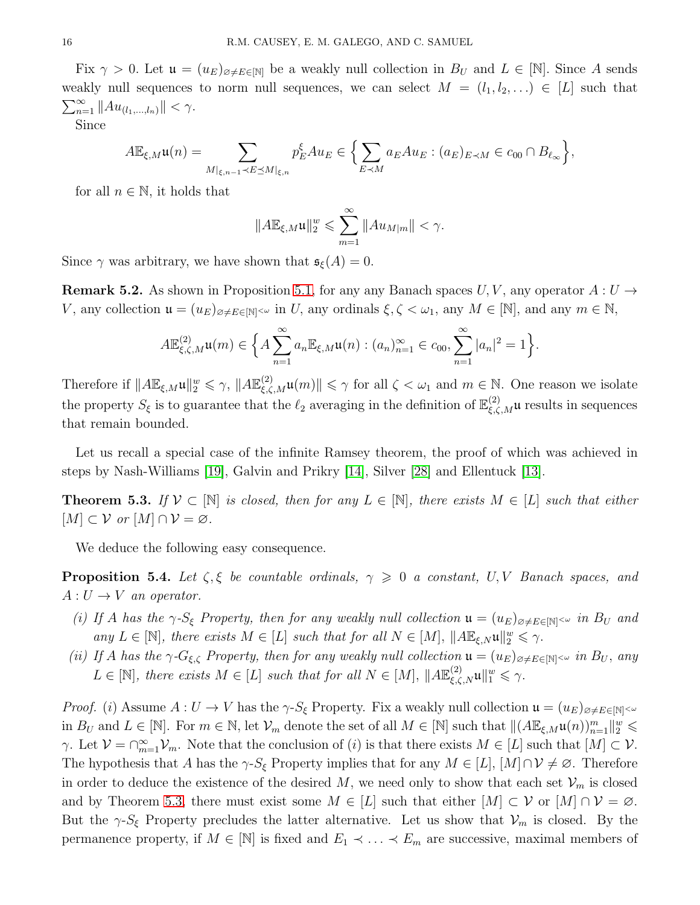Fix  $\gamma > 0$ . Let  $\mathfrak{u} = (u_E)_{\emptyset \neq E \in [N]}$  be a weakly null collection in  $B_U$  and  $L \in [N]$ . Since A sends weakly null sequences to norm null sequences, we can select  $M = (l_1, l_2, \ldots) \in [L]$  such that  $\sum_{n=1}^{\infty} \|Au_{(l_1,...,l_n)}\| < \gamma.$ 

Since

$$
A\mathbb{E}_{\xi,M}\mathfrak{u}(n)=\sum_{M|_{\xi,n-1}\prec E\preceq M|_{\xi,n}}p_E^{\xi}A u_E\in\Big\{\sum_{E\prec M}a_E A u_E:(a_E)_{E\prec M}\in c_{00}\cap B_{\ell_\infty}\Big\},\,
$$

for all  $n \in \mathbb{N}$ , it holds that

$$
||A\mathbb{E}_{\xi,M}\mathfrak{u}||_2^w \leqslant \sum_{m=1}^{\infty} ||Au_{M|m}|| < \gamma.
$$

Since  $\gamma$  was arbitrary, we have shown that  $\mathfrak{s}_{\xi}(A) = 0$ .

**Remark 5.2.** As shown in Proposition [5.1,](#page-13-0) for any any Banach spaces  $U, V$ , any operator  $A: U \rightarrow$ V, any collection  $\mathfrak{u} = (u_E)_{\alpha \neq E \in [\mathbb{N}]^{<\omega}}$  in U, any ordinals  $\xi, \zeta < \omega_1$ , any  $M \in [\mathbb{N}]$ , and any  $m \in \mathbb{N}$ ,

$$
A\mathbb{E}_{\xi,\zeta,M}^{(2)}\mathfrak{u}(m)\in\Big\{A\sum_{n=1}^{\infty}a_n\mathbb{E}_{\xi,M}\mathfrak{u}(n):(a_n)_{n=1}^{\infty}\in c_{00},\sum_{n=1}^{\infty}|a_n|^2=1\Big\}.
$$

Therefore if  $||A\mathbb{E}_{\xi,M}\mathfrak{u}||_2^w \leq \gamma$ ,  $||A\mathbb{E}_{\xi,\zeta,M}^{(2)}\mathfrak{u}(m)|| \leq \gamma$  for all  $\zeta < \omega_1$  and  $m \in \mathbb{N}$ . One reason we isolate the property  $S_{\xi}$  is to guarantee that the  $\ell_2$  averaging in the definition of  $\mathbb{E}^{(2)}_{\xi,\zeta,M}$ u results in sequences that remain bounded.

Let us recall a special case of the infinite Ramsey theorem, the proof of which was achieved in steps by Nash-Williams [\[19\]](#page-38-2), Galvin and Prikry [\[14\]](#page-37-2), Silver [\[28\]](#page-38-3) and Ellentuck [\[13\]](#page-37-3).

<span id="page-15-0"></span>**Theorem 5.3.** If  $V \subset \mathbb{N}$  is closed, then for any  $L \in \mathbb{N}$ , there exists  $M \in [L]$  such that either  $[M] \subset \mathcal{V}$  or  $[M] \cap \mathcal{V} = \varnothing$ .

We deduce the following easy consequence.

**Proposition 5.4.** Let  $\zeta, \xi$  be countable ordinals,  $\gamma \geq 0$  a constant, U, V Banach spaces, and  $A: U \rightarrow V$  an operator.

- (i) If A has the  $\gamma$ -S<sub>ξ</sub> Property, then for any weakly null collection  $\mathfrak{u} = (u_E)_{\alpha \neq E \in \mathbb{N}} \sim \infty$  in  $B_U$  and any  $L \in [\mathbb{N}]$ , there exists  $M \in [L]$  such that for all  $N \in [M]$ ,  $||A \mathbb{E}_{\xi,N} \mathfrak{u}||_2^w \leq \gamma$ .
- <span id="page-15-1"></span>(ii) If A has the  $\gamma$ - $G_{\xi,\zeta}$  Property, then for any weakly null collection  $\mathfrak{u} = (u_E)_{\alpha \neq E \in [\mathbb{N}]^{<\omega}}$  in  $B_U$ , any  $L \in [\mathbb{N}]$ , there exists  $M \in [L]$  such that for all  $N \in [M]$ ,  $||A\mathbb{E}_{\xi,\zeta,N}^{(2)}\mathfrak{u}||_1^w \leq \gamma$ .

*Proof.* (i) Assume  $A: U \to V$  has the  $\gamma$ - $S_{\xi}$  Property. Fix a weakly null collection  $\mathfrak{u} = (u_E)_{\varnothing \neq E \in [\mathbb{N}]^{< \omega}}$ in  $B_U$  and  $L \in [\mathbb{N}]$ . For  $m \in \mathbb{N}$ , let  $\mathcal{V}_m$  denote the set of all  $M \in [\mathbb{N}]$  such that  $\|(A \mathbb{E}_{\xi,M} \mathfrak{u}(n))_{n=1}^m\|_2^w \leq$  $\gamma$ . Let  $\mathcal{V} = \bigcap_{m=1}^{\infty} \mathcal{V}_m$ . Note that the conclusion of (*i*) is that there exists  $M \in [L]$  such that  $[M] \subset \mathcal{V}$ . The hypothesis that A has the  $\gamma$ - $S_{\xi}$  Property implies that for any  $M \in [L], [M] \cap V \neq \emptyset$ . Therefore in order to deduce the existence of the desired M, we need only to show that each set  $\mathcal{V}_m$  is closed and by Theorem [5.3,](#page-15-0) there must exist some  $M \in [L]$  such that either  $[M] \subset \mathcal{V}$  or  $[M] \cap \mathcal{V} = \emptyset$ . But the  $\gamma$ - $S_{\xi}$  Property precludes the latter alternative. Let us show that  $\mathcal{V}_m$  is closed. By the permanence property, if  $M \in [\mathbb{N}]$  is fixed and  $E_1 \prec \ldots \prec E_m$  are successive, maximal members of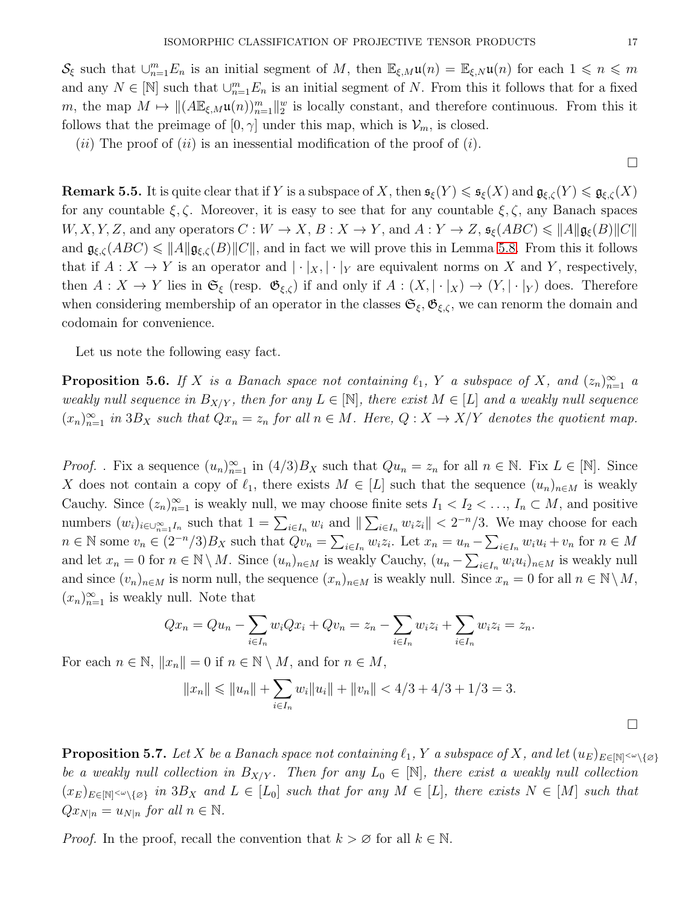$\mathcal{S}_{\xi}$  such that  $\cup_{n=1}^{m} E_n$  is an initial segment of M, then  $\mathbb{E}_{\xi,M}\mathfrak{u}(n) = \mathbb{E}_{\xi,N}\mathfrak{u}(n)$  for each  $1 \leq n \leq m$ and any  $N \in [\mathbb{N}]$  such that  $\cup_{n=1}^m E_n$  is an initial segment of N. From this it follows that for a fixed m, the map  $M \mapsto ||(A\mathbb{E}_{\xi,M}\mathfrak{u}(n))_{n=1}^m||_2^{\omega}$  is locally constant, and therefore continuous. From this it follows that the preimage of  $[0, \gamma]$  under this map, which is  $\mathcal{V}_m$ , is closed.

(*ii*) The proof of (*ii*) is an inessential modification of the proof of (*i*).

<span id="page-16-1"></span>**Remark 5.5.** It is quite clear that if Y is a subspace of X, then  $\mathfrak{s}_{\xi}(Y) \leq \mathfrak{s}_{\xi}(X)$  and  $\mathfrak{g}_{\xi,\zeta}(Y) \leq \mathfrak{g}_{\xi,\zeta}(X)$ for any countable  $\xi, \zeta$ . Moreover, it is easy to see that for any countable  $\xi, \zeta$ , any Banach spaces  $W, X, Y, Z$ , and any operators  $C: W \to X, B: X \to Y$ , and  $A: Y \to Z$ ,  $\mathfrak{s}_{\xi}(ABC) \leq \|A\| \mathfrak{g}_{\xi}(B) \|C\|$ and  $\mathfrak{g}_{\xi,\zeta}(ABC) \leq \|A\| \mathfrak{g}_{\xi,\zeta}(B)\|C\|$ , and in fact we will prove this in Lemma [5.8.](#page-17-0) From this it follows that if  $A: X \to Y$  is an operator and  $|\cdot|_X, |\cdot|_Y$  are equivalent norms on X and Y, respectively, then  $A: X \to Y$  lies in  $\mathfrak{S}_{\xi}$  (resp.  $\mathfrak{G}_{\xi,\zeta}$ ) if and only if  $A: (X, |\cdot|_X) \to (Y, |\cdot|_Y)$  does. Therefore when considering membership of an operator in the classes  $\mathfrak{S}_{\xi}, \mathfrak{G}_{\xi,\zeta}$ , we can renorm the domain and codomain for convenience.

Let us note the following easy fact.

<span id="page-16-0"></span>**Proposition 5.6.** If X is a Banach space not containing  $\ell_1$ , Y a subspace of X, and  $(z_n)_{n=1}^{\infty}$  a weakly null sequence in  $B_{X/Y}$ , then for any  $L \in [N]$ , there exist  $M \in [L]$  and a weakly null sequence  $(x_n)_{n=1}^{\infty}$  in 3B<sub>X</sub> such that  $Qx_n = z_n$  for all  $n \in M$ . Here,  $Q: X \to X/Y$  denotes the quotient map.

*Proof.* . Fix a sequence  $(u_n)_{n=1}^{\infty}$  in  $(4/3)B_X$  such that  $Qu_n = z_n$  for all  $n \in \mathbb{N}$ . Fix  $L \in [\mathbb{N}]$ . Since X does not contain a copy of  $\ell_1$ , there exists  $M \in [L]$  such that the sequence  $(u_n)_{n \in M}$  is weakly Cauchy. Since  $(z_n)_{n=1}^{\infty}$  is weakly null, we may choose finite sets  $I_1 < I_2 < \ldots, I_n \subset M$ , and positive numbers  $(w_i)_{i\in\cup_{n=1}^{\infty}I_n}$  such that  $1=\sum_{i\in I_n}w_i$  and  $\|\sum_{i\in I_n}w_iz_i\| < 2^{-n}/3$ . We may choose for each  $n \in \mathbb{N}$  some  $v_n \in (2^{-n}/3)B_X$  such that  $Qv_n = \sum_{i \in I_n} w_i z_i$ . Let  $x_n = u_n - \sum_{i \in I_n} w_i u_i + v_n$  for  $n \in M$ and let  $x_n = 0$  for  $n \in \mathbb{N} \setminus M$ . Since  $(u_n)_{n \in M}$  is weakly Cauchy,  $(u_n - \sum_{i \in I_n} w_i u_i)_{n \in M}$  is weakly null and since  $(v_n)_{n\in M}$  is norm null, the sequence  $(x_n)_{n\in M}$  is weakly null. Since  $x_n = 0$  for all  $n \in \mathbb{N} \setminus M$ ,  $(x_n)_{n=1}^{\infty}$  is weakly null. Note that

$$
Qx_n = Qu_n - \sum_{i \in I_n} w_i Qx_i + Qv_n = z_n - \sum_{i \in I_n} w_i z_i + \sum_{i \in I_n} w_i z_i = z_n.
$$

For each  $n \in \mathbb{N}$ ,  $||x_n|| = 0$  if  $n \in \mathbb{N} \setminus M$ , and for  $n \in M$ ,

$$
||x_n|| \le ||u_n|| + \sum_{i \in I_n} w_i ||u_i|| + ||v_n|| < 4/3 + 4/3 + 1/3 = 3.
$$

<span id="page-16-2"></span>**Proposition 5.7.** Let X be a Banach space not containing  $\ell_1$ , Y a subspace of X, and let  $(u_E)_{E \in \mathbb{N} \setminus \{0\}}$ be a weakly null collection in  $B_{X/Y}$ . Then for any  $L_0 \in [\mathbb{N}]$ , there exist a weakly null collection  $(x_E)_{E \in \mathbb{N}} \sim_{\{0\}} in 3B_X$  and  $L \in [L_0]$  such that for any  $M \in [L]$ , there exists  $N \in [M]$  such that  $Qx_{N|n} = u_{N|n}$  for all  $n \in \mathbb{N}$ .

*Proof.* In the proof, recall the convention that  $k > \emptyset$  for all  $k \in \mathbb{N}$ .

 $\Box$ 

 $\Box$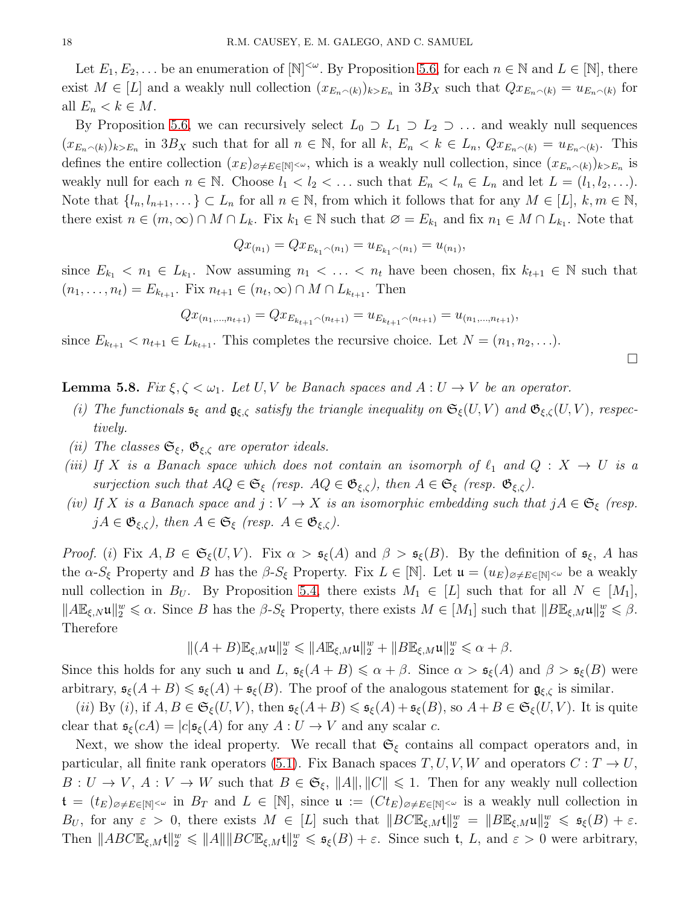Let  $E_1, E_2, \ldots$  be an enumeration of  $[N]^{<\omega}$ . By Proposition [5.6,](#page-16-0) for each  $n \in \mathbb{N}$  and  $L \in [\mathbb{N}]$ , there exist  $M \in [L]$  and a weakly null collection  $(x_{E_n \cap (k)})_{k>E_n}$  in  $3B_X$  such that  $Qx_{E_n \cap (k)} = u_{E_n \cap (k)}$  for all  $E_n < k \in M$ .

By Proposition [5.6,](#page-16-0) we can recursively select  $L_0 \supset L_1 \supset L_2 \supset \dots$  and weakly null sequences  $(x_{E_n\frown(k)})_{k>E_n}$  in  $3B_X$  such that for all  $n \in \mathbb{N}$ , for all  $k, E_n < k \in L_n$ ,  $Qx_{E_n\frown(k)} = u_{E_n\frown(k)}$ . This defines the entire collection  $(x_E)_{\emptyset \neq E \in [N]^{<\omega}}$ , which is a weakly null collection, since  $(x_{E_n \sim (k)})_{k>E_n}$  is weakly null for each  $n \in \mathbb{N}$ . Choose  $l_1 < l_2 < \ldots$  such that  $E_n < l_n \in L_n$  and let  $L = (l_1, l_2, \ldots)$ . Note that  $\{l_n, l_{n+1}, \ldots\} \subset L_n$  for all  $n \in \mathbb{N}$ , from which it follows that for any  $M \in [L]$ ,  $k, m \in \mathbb{N}$ , there exist  $n \in (m, \infty) \cap M \cap L_k$ . Fix  $k_1 \in \mathbb{N}$  such that  $\emptyset = E_{k_1}$  and fix  $n_1 \in M \cap L_{k_1}$ . Note that

$$
Qx_{(n_1)} = Qx_{E_{k_1} \cap (n_1)} = u_{E_{k_1} \cap (n_1)} = u_{(n_1)},
$$

since  $E_{k_1} < n_1 \in L_{k_1}$ . Now assuming  $n_1 < \ldots < n_t$  have been chosen, fix  $k_{t+1} \in \mathbb{N}$  such that  $(n_1, ..., n_t) = E_{k_{t+1}}$ . Fix  $n_{t+1} \in (n_t, \infty) \cap M \cap L_{k_{t+1}}$ . Then

$$
Qx_{(n_1,\ldots,n_{t+1})} = Qx_{E_{k_{t+1}}\cap(n_{t+1})} = u_{E_{k_{t+1}}\cap(n_{t+1})} = u_{(n_1,\ldots,n_{t+1})},
$$

since  $E_{k_{t+1}} < n_{t+1} \in L_{k_{t+1}}$ . This completes the recursive choice. Let  $N = (n_1, n_2, \ldots)$ .

**Lemma 5.8.** Fix  $\xi, \zeta < \omega_1$ . Let U, V be Banach spaces and  $A: U \to V$  be an operator.

(i) The functionals  $\mathfrak{s}_{\xi}$  and  $\mathfrak{g}_{\xi,\zeta}$  satisfy the triangle inequality on  $\mathfrak{S}_{\xi}(U,V)$  and  $\mathfrak{G}_{\xi,\zeta}(U,V)$ , respectively.

 $\Box$ 

- (ii) The classes  $\mathfrak{S}_{\xi}$ ,  $\mathfrak{G}_{\xi,\zeta}$  are operator ideals.
- <span id="page-17-0"></span>(iii) If X is a Banach space which does not contain an isomorph of  $\ell_1$  and  $Q: X \to U$  is a surjection such that  $AQ \in \mathfrak{S}_{\xi}$  (resp.  $AQ \in \mathfrak{G}_{\xi,\zeta}$ ), then  $A \in \mathfrak{S}_{\xi}$  (resp.  $\mathfrak{G}_{\xi,\zeta}$ ).
- (iv) If X is a Banach space and  $j: V \to X$  is an isomorphic embedding such that  $jA \in \mathfrak{S}_{\xi}$  (resp.  $jA \in \mathfrak{G}_{\xi,\zeta}$ , then  $A \in \mathfrak{S}_{\xi}$  (resp.  $A \in \mathfrak{G}_{\xi,\zeta}$ ).

Proof. (i) Fix  $A, B \in \mathfrak{S}_{\xi}(U, V)$ . Fix  $\alpha > \mathfrak{s}_{\xi}(A)$  and  $\beta > \mathfrak{s}_{\xi}(B)$ . By the definition of  $\mathfrak{s}_{\xi}, A$  has the  $\alpha$ - $S_{\xi}$  Property and B has the  $\beta$ - $S_{\xi}$  Property. Fix  $L \in [\mathbb{N}]$ . Let  $\mathfrak{u} = (u_E)_{\alpha \neq E \in [\mathbb{N}]^{<\omega}}$  be a weakly null collection in  $B_U$ . By Proposition [5.4,](#page-15-1) there exists  $M_1 \in [L]$  such that for all  $N \in [M_1]$ ,  $||A\mathbb{E}_{\xi,N}\mathfrak{u}||_2^w \leq \alpha$ . Since B has the  $\beta$ -S<sub>ξ</sub> Property, there exists  $M \in [M_1]$  such that  $||B\mathbb{E}_{\xi,M}\mathfrak{u}||_2^w \leq \beta$ . Therefore

$$
\|(A+B)\mathbb{E}_{\xi,M}\mathfrak{u}\|_2^w\leqslant \|A\mathbb{E}_{\xi,M}\mathfrak{u}\|_2^w+\|B\mathbb{E}_{\xi,M}\mathfrak{u}\|_2^w\leqslant \alpha+\beta.
$$

Since this holds for any such u and L,  $\mathfrak{s}_{\xi}(A + B) \leq \alpha + \beta$ . Since  $\alpha > \mathfrak{s}_{\xi}(A)$  and  $\beta > \mathfrak{s}_{\xi}(B)$  were arbitrary,  $\mathfrak{s}_{\xi}(A+B) \leq \mathfrak{s}_{\xi}(A) + \mathfrak{s}_{\xi}(B)$ . The proof of the analogous statement for  $\mathfrak{g}_{\xi,\zeta}$  is similar.

(ii) By (i), if  $A, B \in \mathfrak{S}_{\xi}(U, V)$ , then  $\mathfrak{s}_{\xi}(A + B) \leq \mathfrak{s}_{\xi}(A) + \mathfrak{s}_{\xi}(B)$ , so  $A + B \in \mathfrak{S}_{\xi}(U, V)$ . It is quite clear that  $\mathfrak{s}_{\xi}(cA) = |c|\mathfrak{s}_{\xi}(A)$  for any  $A: U \to V$  and any scalar c.

Next, we show the ideal property. We recall that  $\mathfrak{S}_{\xi}$  contains all compact operators and, in particular, all finite rank operators [\(5.1\)](#page-14-0). Fix Banach spaces  $T, U, V, W$  and operators  $C: T \to U$ ,  $B: U \to V$ ,  $A: V \to W$  such that  $B \in \mathfrak{S}_{\xi}$ ,  $||A||, ||C|| \leq 1$ . Then for any weakly null collection  $\mathfrak{t} = (t_E)_{\emptyset \neq E \in [N]} \sim \text{ in } B_T \text{ and } L \in [N], \text{ since } \mathfrak{u} := (Ct_E)_{\emptyset \neq E \in [N]} \sim \text{ is a weakly null collection in }$ B<sub>U</sub>, for any  $\varepsilon > 0$ , there exists  $M \in [L]$  such that  $||BCE_{\xi,M}t||_2^w = ||BE_{\xi,M}u||_2^w \leq \mathfrak{s}_{\xi}(B) + \varepsilon$ . Then  $||ABC\mathbb{E}_{\xi,M}t||_2^w \le ||A|| ||BC\mathbb{E}_{\xi,M}t||_2^w \le \mathfrak{s}_{\xi}(B) + \varepsilon$ . Since such t, L, and  $\varepsilon > 0$  were arbitrary,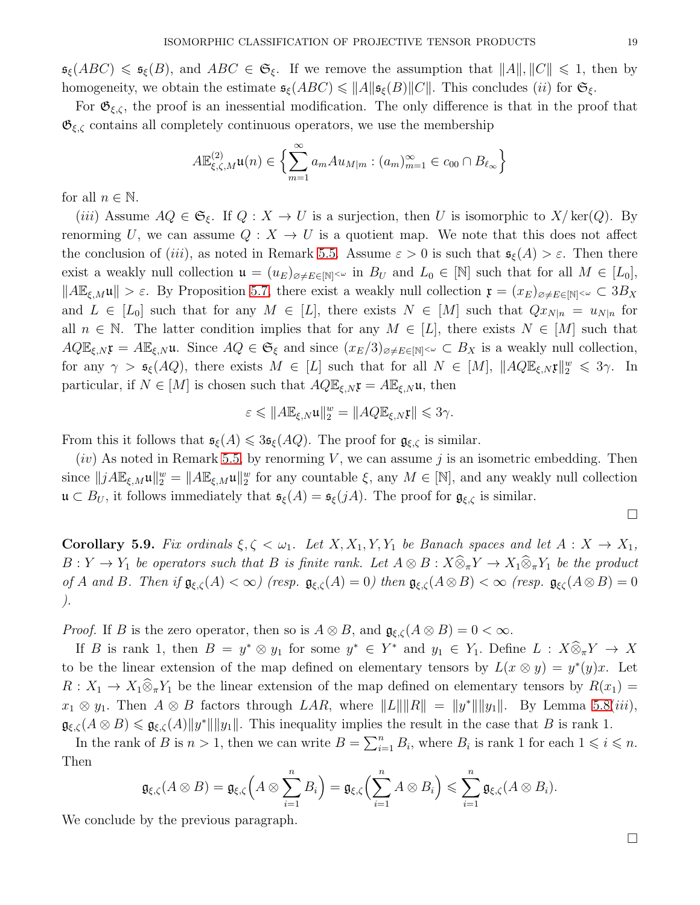$\mathfrak{s}_{\xi}(ABC) \leq \mathfrak{s}_{\xi}(B)$ , and  $ABC \in \mathfrak{S}_{\xi}$ . If we remove the assumption that  $||A||, ||C|| \leq 1$ , then by homogeneity, we obtain the estimate  $\mathfrak{s}_{\xi}(ABC) \leq ||A|| \mathfrak{s}_{\xi}(B)||C||$ . This concludes (*ii*) for  $\mathfrak{S}_{\xi}$ .

For  $\mathfrak{G}_{\xi,\zeta}$ , the proof is an inessential modification. The only difference is that in the proof that  $\mathfrak{G}_{\xi,\zeta}$  contains all completely continuous operators, we use the membership

$$
A\mathbb{E}_{\xi,\zeta,M}^{(2)}\mathfrak{u}(n)\in\left\{\sum_{m=1}^{\infty}a_{m}Au_{M|m}:(a_{m})_{m=1}^{\infty}\in c_{00}\cap B_{\ell_{\infty}}\right\}
$$

for all  $n \in \mathbb{N}$ .

(iii) Assume  $AQ \in \mathfrak{S}_{\xi}$ . If  $Q : X \to U$  is a surjection, then U is isomorphic to  $X/\text{ker}(Q)$ . By renorming U, we can assume  $Q: X \to U$  is a quotient map. We note that this does not affect the conclusion of (iii), as noted in Remark [5.5.](#page-16-1) Assume  $\varepsilon > 0$  is such that  $\mathfrak{s}_{\xi}(A) > \varepsilon$ . Then there exist a weakly null collection  $\mathfrak{u} = (u_E)_{\emptyset \neq E \in \mathbb{N}} \sim \text{ in } B_U$  and  $L_0 \in \mathbb{N}$  such that for all  $M \in [L_0],$  $||A\mathbb{E}_{\xi,M}\mathfrak{u}|| > \varepsilon$ . By Proposition [5.7,](#page-16-2) there exist a weakly null collection  $\mathfrak{x} = (x_E)_{\varnothing \neq E\in[\mathbb{N}]^{<\omega}} \subset 3B_X$ and  $L \in [L_0]$  such that for any  $M \in [L]$ , there exists  $N \in [M]$  such that  $Qx_{N|n} = u_{N|n}$  for all  $n \in \mathbb{N}$ . The latter condition implies that for any  $M \in [L]$ , there exists  $N \in [M]$  such that  $AQ\mathbb{E}_{\xi,N}\mathfrak{x} = A\mathbb{E}_{\xi,N}\mathfrak{u}$ . Since  $AQ \in \mathfrak{S}_{\xi}$  and since  $(x_E/3)_{\varnothing \neq E \in \mathbb{N}} \leq C \leq B_X$  is a weakly null collection, for any  $\gamma > \mathfrak{s}_{\xi}(AQ)$ , there exists  $M \in [L]$  such that for all  $N \in [M]$ ,  $||AQ \mathbb{E}_{\xi,N} \mathfrak{x}||_2^w \leq 3\gamma$ . In particular, if  $N \in [M]$  is chosen such that  $A Q \mathbb{E}_{\xi, N} \mathfrak{x} = A \mathbb{E}_{\xi, N} \mathfrak{u}$ , then

$$
\varepsilon \leqslant \|A\mathbb{E}_{\xi,N}\mathfrak{u}\|_{2}^{w} = \|A Q \mathbb{E}_{\xi,N}\mathfrak{x}\| \leqslant 3\gamma.
$$

From this it follows that  $\mathfrak{s}_{\xi}(A) \leq 3\mathfrak{s}_{\xi}(AQ)$ . The proof for  $\mathfrak{g}_{\xi,\zeta}$  is similar.

 $(iv)$  As noted in Remark [5.5,](#page-16-1) by renorming V, we can assume j is an isometric embedding. Then since  $||jAE_{\xi,M}\mathfrak{u}||_2^w = ||A\mathbb{E}_{\xi,M}\mathfrak{u}||_2^w$  for any countable  $\xi$ , any  $M \in [\mathbb{N}]$ , and any weakly null collection  $\mathfrak{u} \subset B_U$ , it follows immediately that  $\mathfrak{s}_{\xi}(A) = \mathfrak{s}_{\xi}(jA)$ . The proof for  $\mathfrak{g}_{\xi,\zeta}$  is similar.

 $\Box$ 

**Corollary 5.9.** Fix ordinals  $\xi, \zeta < \omega_1$ . Let  $X, X_1, Y, Y_1$  be Banach spaces and let  $A: X \to X_1$ ,  $B: Y \to Y_1$  be operators such that B is finite rank. Let  $A \otimes B: X \widehat{\otimes}_\pi Y \to X_1 \widehat{\otimes}_\pi Y_1$  be the product of A and B. Then if  $\mathfrak{g}_{\xi,\zeta}(A) < \infty$  (resp.  $\mathfrak{g}_{\xi,\zeta}(A) = 0$ ) then  $\mathfrak{g}_{\xi,\zeta}(A \otimes B) < \infty$  (resp.  $\mathfrak{g}_{\xi\zeta}(A \otimes B) = 0$ ).

*Proof.* If B is the zero operator, then so is  $A \otimes B$ , and  $\mathfrak{g}_{\xi,\zeta}(A \otimes B) = 0 < \infty$ .

If B is rank 1, then  $B = y^* \otimes y_1$  for some  $y^* \in Y^*$  and  $y_1 \in Y_1$ . Define  $L : X \otimes_{\pi} Y \to X$ to be the linear extension of the map defined on elementary tensors by  $L(x \otimes y) = y^*(y)x$ . Let  $R: X_1 \to X_1 \widehat{\otimes}_\pi Y_1$  be the linear extension of the map defined on elementary tensors by  $R(x_1) =$  $x_1 \otimes y_1$ . Then  $A \otimes B$  factors through  $LAR$ , where  $||L|| ||R|| = ||y^*|| ||y_1||$ . By Lemma [5.8\(](#page-17-0)iii),  $\mathfrak{g}_{\xi,\zeta}(A\otimes B)\leqslant \mathfrak{g}_{\xi,\zeta}(A)\|y^*\|\|y_1\|$ . This inequality implies the result in the case that B is rank 1.

In the rank of B is  $n > 1$ , then we can write  $B = \sum_{i=1}^{n} B_i$ , where  $B_i$  is rank 1 for each  $1 \leq i \leq n$ . Then

$$
\mathfrak{g}_{\xi,\zeta}(A\otimes B)=\mathfrak{g}_{\xi,\zeta}\Big(A\otimes\sum_{i=1}^n B_i\Big)=\mathfrak{g}_{\xi,\zeta}\Big(\sum_{i=1}^n A\otimes B_i\Big)\leqslant\sum_{i=1}^n \mathfrak{g}_{\xi,\zeta}(A\otimes B_i).
$$

We conclude by the previous paragraph.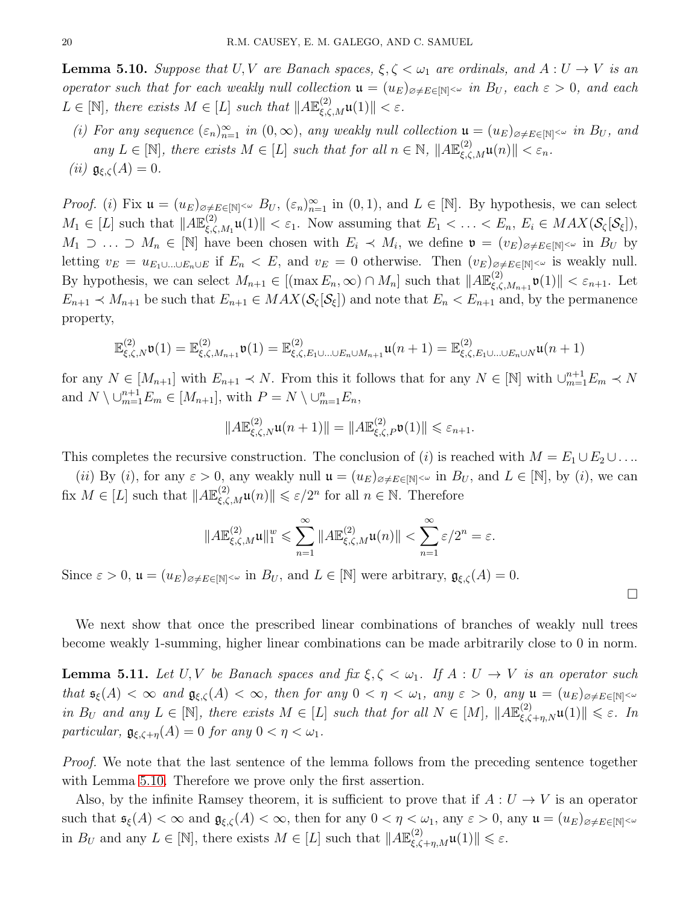**Lemma 5.10.** Suppose that U, V are Banach spaces,  $\xi, \zeta < \omega_1$  are ordinals, and  $A: U \to V$  is an operator such that for each weakly null collection  $\mathfrak{u} = (u_E)_{\alpha \neq E \in \mathbb{N}} \sim \infty$  in  $B_U$ , each  $\varepsilon > 0$ , and each  $L \in [\mathbb{N}]$ , there exists  $M \in [L]$  such that  $||A\mathbb{E}_{\xi,\zeta,M}^{(2)}\mathfrak{u}(1)|| < \varepsilon$ .

<span id="page-19-0"></span>(i) For any sequence  $(\varepsilon_n)_{n=1}^{\infty}$  in  $(0,\infty)$ , any weakly null collection  $\mathfrak{u} = (u_E)_{\alpha \neq E \in [\mathbb{N}]^{<\omega}}$  in  $B_U$ , and any  $L \in [\mathbb{N}]$ , there exists  $M \in [L]$  such that for all  $n \in \mathbb{N}$ ,  $||A\mathbb{E}_{\xi,\zeta,M}^{(2)}\mathfrak{u}(n)|| < \varepsilon_n$ . (ii)  $\mathfrak{g}_{\xi,\zeta}(A) = 0.$ 

*Proof.* (i) Fix  $\mathfrak{u} = (u_E)_{\emptyset \neq E \in [\mathbb{N}]^{<\omega}} B_U$ ,  $(\varepsilon_n)_{n=1}^{\infty}$  in  $(0,1)$ , and  $L \in [\mathbb{N}]$ . By hypothesis, we can select  $M_1 \in [L]$  such that  $||A\mathbb{E}^{(2)}_{\xi,\zeta}$  $\mathcal{L}_{\xi,\zeta,M_1}^{(2)}\mathfrak{u}(1)\| < \varepsilon_1$ . Now assuming that  $E_1 < \ldots < E_n$ ,  $E_i \in MAX(\mathcal{S}_{\zeta}[\mathcal{S}_{\xi}]),$  $M_1 \supset \ldots \supset M_n \in [\mathbb{N}]$  have been chosen with  $E_i \prec M_i$ , we define  $\mathfrak{v} = (v_E)_{\emptyset \neq E \in [\mathbb{N}]^{<\omega}}$  in  $B_U$  by letting  $v_E = u_{E_1 \cup \ldots \cup E_n \cup E}$  if  $E_n < E$ , and  $v_E = 0$  otherwise. Then  $(v_E)_{\emptyset \neq E \in [N]^{\leq \omega}}$  is weakly null. By hypothesis, we can select  $M_{n+1} \in [(\max E_n, \infty) \cap M_n]$  such that  $||A \mathbb{E}^{(2)}_{\xi, \zeta}||$  $\|\xi_{\zeta,\zeta,M_{n+1}}^{(2)}\mathfrak{v}(1)\| < \varepsilon_{n+1}$ . Let  $E_{n+1} \prec M_{n+1}$  be such that  $E_{n+1} \in MAX(\mathcal{S}_{\zeta}[\mathcal{S}_{\zeta}])$  and note that  $E_n \prec E_{n+1}$  and, by the permanence property,

$$
\mathbb{E}^{(2)}_{\xi,\zeta,N}\mathfrak{v}(1)=\mathbb{E}^{(2)}_{\xi,\zeta,M_{n+1}}\mathfrak{v}(1)=\mathbb{E}^{(2)}_{\xi,\zeta,E_1\cup\ldots\cup E_n\cup M_{n+1}}\mathfrak{u}(n+1)=\mathbb{E}^{(2)}_{\xi,\zeta,E_1\cup\ldots\cup E_n\cup N}\mathfrak{u}(n+1)
$$

for any  $N \in [M_{n+1}]$  with  $E_{n+1} \prec N$ . From this it follows that for any  $N \in [\mathbb{N}]$  with  $\bigcup_{m=1}^{n+1} E_m \prec N$ and  $N \setminus \cup_{m=1}^{n+1} E_m \in [M_{n+1}],$  with  $P = N \setminus \cup_{m=1}^{n} E_n$ ,

$$
||A\mathbb{E}_{\xi,\zeta,N}^{(2)}\mathfrak{u}(n+1)|| = ||A\mathbb{E}_{\xi,\zeta,P}^{(2)}\mathfrak{v}(1)|| \leq \varepsilon_{n+1}.
$$

This completes the recursive construction. The conclusion of (i) is reached with  $M = E_1 \cup E_2 \cup \ldots$ 

(ii) By (i), for any  $\varepsilon > 0$ , any weakly null  $\mathfrak{u} = (u_E)_{\varnothing \neq E \in [\mathbb{N}]^{<\omega}}$  in  $B_U$ , and  $L \in [\mathbb{N}]$ , by (i), we can fix  $M \in [L]$  such that  $||A \mathbb{E}^{(2)}_{\xi,\zeta,M}\mathfrak{u}(n)|| \leq \varepsilon/2^n$  for all  $n \in \mathbb{N}$ . Therefore

$$
||A\mathbb{E}^{(2)}_{\xi,\zeta,M}\mathfrak{u}||_{1}^{w} \leqslant \sum_{n=1}^{\infty} ||A\mathbb{E}^{(2)}_{\xi,\zeta,M}\mathfrak{u}(n)|| < \sum_{n=1}^{\infty} \varepsilon/2^{n} = \varepsilon.
$$

Since  $\varepsilon > 0$ ,  $\mathfrak{u} = (u_E)_{\varnothing \neq E \in [\mathbb{N}]}\langle \omega \rangle$  in  $B_U$ , and  $L \in [\mathbb{N}]$  were arbitrary,  $\mathfrak{g}_{\xi,\zeta}(A) = 0$ .

 $\Box$ 

We next show that once the prescribed linear combinations of branches of weakly null trees become weakly 1-summing, higher linear combinations can be made arbitrarily close to 0 in norm.

<span id="page-19-1"></span>**Lemma 5.11.** Let U, V be Banach spaces and fix  $\xi, \zeta < \omega_1$ . If  $A: U \to V$  is an operator such that  $\mathfrak{s}_{\xi}(A) < \infty$  and  $\mathfrak{g}_{\xi,\zeta}(A) < \infty$ , then for any  $0 < \eta < \omega_1$ , any  $\varepsilon > 0$ , any  $\mathfrak{u} = (u_E)_{\varnothing \neq E \in [\mathbb{N}]^{<\omega}}$ in  $B_U$  and any  $L \in [\mathbb{N}]$ , there exists  $M \in [L]$  such that for all  $N \in [M]$ ,  $||A \mathbb{E}_{\xi,\zeta+\eta,N}^{(2)} \mathfrak{u}(1)|| \leq \varepsilon$ . In particular,  $\mathfrak{g}_{\xi,\zeta+n}(A) = 0$  for any  $0 < \eta < \omega_1$ .

Proof. We note that the last sentence of the lemma follows from the preceding sentence together with Lemma [5.10.](#page-19-0) Therefore we prove only the first assertion.

Also, by the infinite Ramsey theorem, it is sufficient to prove that if  $A: U \to V$  is an operator such that  $\mathfrak{s}_{\xi}(A) < \infty$  and  $\mathfrak{g}_{\xi,\zeta}(A) < \infty$ , then for any  $0 < \eta < \omega_1$ , any  $\varepsilon > 0$ , any  $\mathfrak{u} = (u_E)_{\varnothing \neq E \in [\mathbb{N}]^{<\omega}}$ in  $B_U$  and any  $L \in [\mathbb{N}]$ , there exists  $M \in [L]$  such that  $||A\mathbb{E}^{(2)}_{\xi,\zeta+\eta,M}\mathfrak{u}(1)|| \leq \varepsilon$ .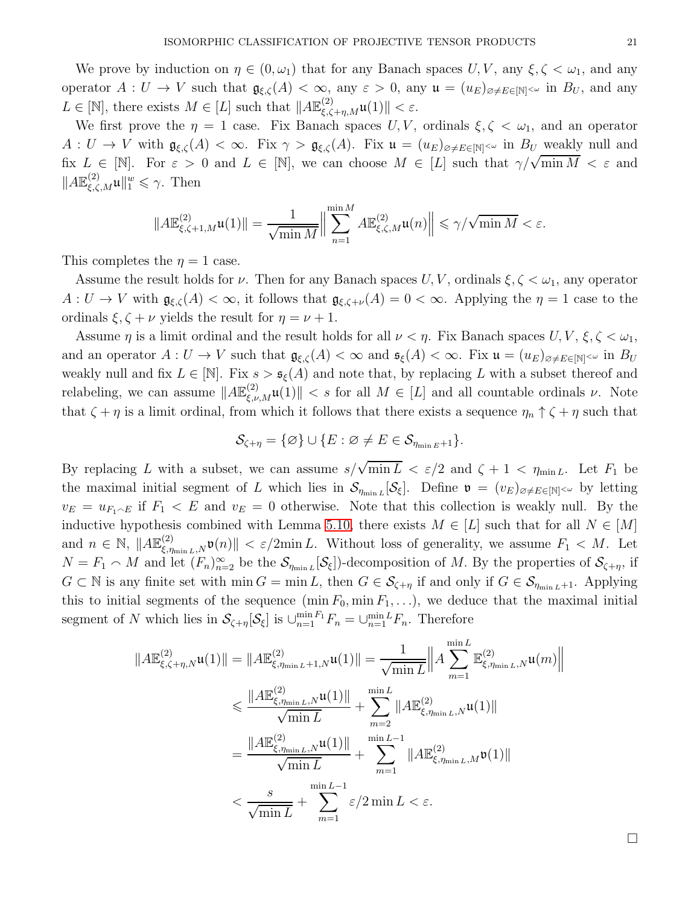We prove by induction on  $\eta \in (0, \omega_1)$  that for any Banach spaces  $U, V$ , any  $\xi, \zeta < \omega_1$ , and any operator  $A: U \to V$  such that  $\mathfrak{g}_{\xi,\zeta}(A) < \infty$ , any  $\varepsilon > 0$ , any  $\mathfrak{u} = (u_E)_{\varnothing \neq E \in [\mathbb{N}]^{<\omega}}$  in  $B_U$ , and any  $L \in [\mathbb{N}]$ , there exists  $M \in [L]$  such that  $||A\mathbb{E}_{\xi,\zeta+\eta,M}^{(2)}\mathfrak{u}(1)|| < \varepsilon$ .

We first prove the  $\eta = 1$  case. Fix Banach spaces U, V, ordinals  $\xi, \zeta < \omega_1$ , and an operator  $A: U \to V$  with  $\mathfrak{g}_{\xi,\zeta}(A) < \infty$ . Fix  $\gamma > \mathfrak{g}_{\xi,\zeta}(A)$ . Fix  $\mathfrak{u} = (u_E)_{\alpha \neq E \in [\mathbb{N}]^{<\omega}}$  in  $B_U$  weakly null and fix  $L \in [\mathbb{N}]$ . For  $\varepsilon > 0$  and  $L \in [\mathbb{N}]$ , we can choose  $M \in [L]$  such that  $\gamma/\sqrt{\min M} < \varepsilon$  and  $||A\mathbb{E}_{\xi,\zeta,M}^{(2)}\mathfrak{u}||_{1}^{w} \leq \gamma.$  Then

$$
||A\mathbb{E}^{(2)}_{\xi,\zeta+1,M}\mathfrak{u}(1)||=\frac{1}{\sqrt{\min M}}\Big\|\sum_{n=1}^{\min M}A\mathbb{E}^{(2)}_{\xi,\zeta,M}\mathfrak{u}(n)\Big\|\leqslant \gamma/\sqrt{\min M}<\varepsilon.
$$

This completes the  $\eta = 1$  case.

Assume the result holds for  $\nu$ . Then for any Banach spaces  $U, V$ , ordinals  $\xi, \zeta < \omega_1$ , any operator  $A: U \to V$  with  $\mathfrak{g}_{\xi,\zeta}(A) < \infty$ , it follows that  $\mathfrak{g}_{\xi,\zeta+\nu}(A) = 0 < \infty$ . Applying the  $\eta = 1$  case to the ordinals  $\xi, \zeta + \nu$  yields the result for  $\eta = \nu + 1$ .

Assume  $\eta$  is a limit ordinal and the result holds for all  $\nu < \eta$ . Fix Banach spaces  $U, V, \xi, \zeta < \omega_1$ , and an operator  $A: U \to V$  such that  $\mathfrak{g}_{\xi,\zeta}(A) < \infty$  and  $\mathfrak{s}_{\xi}(A) < \infty$ . Fix  $\mathfrak{u} = (u_E)_{\varnothing \neq E \in [\mathbb{N}]^{<\omega}}$  in  $B_U$ weakly null and fix  $L \in [\mathbb{N}]$ . Fix  $s > \mathfrak{s}_{\xi}(A)$  and note that, by replacing L with a subset thereof and relabeling, we can assume  $||A\mathbb{E}^{(2)}_{\xi,\nu,M}\mathfrak{u}(1)|| < s$  for all  $M \in [L]$  and all countable ordinals  $\nu$ . Note that  $\zeta + \eta$  is a limit ordinal, from which it follows that there exists a sequence  $\eta_n \uparrow \zeta + \eta$  such that

$$
\mathcal{S}_{\zeta+\eta}=\{\varnothing\}\cup\{E:\varnothing\neq E\in\mathcal{S}_{\eta_{\min E}+1}\}.
$$

By replacing L with a subset, we can assume  $s/\sqrt{\min L} < \varepsilon/2$  and  $\zeta + 1 < \eta_{\min L}$ . Let  $F_1$  be the maximal initial segment of L which lies in  $\mathcal{S}_{\eta_{\min L}}[\mathcal{S}_{\xi}]$ . Define  $\mathfrak{v} = (v_E)_{\varnothing \neq E \in [\mathbb{N}]^{<\omega}}$  by letting  $v_E = u_{F_1 \cap E}$  if  $F_1 \leq E$  and  $v_E = 0$  otherwise. Note that this collection is weakly null. By the inductive hypothesis combined with Lemma [5.10,](#page-19-0) there exists  $M \in [L]$  such that for all  $N \in [M]$ and  $n \in \mathbb{N}$ ,  $||A\mathbb{E}_{\xi,\eta_{\min L},N}^{(2)} \mathfrak{v}(n)|| < \varepsilon/2 \min L$ . Without loss of generality, we assume  $F_1 < M$ . Let  $N = F_1 \cap M$  and let  $(F_n)_{n=2}^{\infty}$  be the  $\mathcal{S}_{\eta_{\min L}}[\mathcal{S}_{\xi}]$  decomposition of M. By the properties of  $\mathcal{S}_{\zeta+\eta}$ , if  $G \subset \mathbb{N}$  is any finite set with  $\min G = \min L$ , then  $G \in \mathcal{S}_{\zeta+\eta}$  if and only if  $G \in \mathcal{S}_{\eta_{\min L}+1}$ . Applying this to initial segments of the sequence  $(\min F_0, \min F_1, \ldots)$ , we deduce that the maximal initial segment of N which lies in  $S_{\zeta+\eta}[\mathcal{S}_{\xi}]$  is  $\bigcup_{n=1}^{\min F_1} F_n = \bigcup_{n=1}^{\min L} F_n$ . Therefore

$$
||A\mathbb{E}^{(2)}_{\xi,\zeta+\eta,N}\mathfrak{u}(1)|| = ||A\mathbb{E}^{(2)}_{\xi,\eta_{\min L}+1,N}\mathfrak{u}(1)|| = \frac{1}{\sqrt{\min L}} ||A\sum_{m=1}^{\min L} \mathbb{E}^{(2)}_{\xi,\eta_{\min L},N}\mathfrak{u}(m)||
$$
  

$$
\leq \frac{||A\mathbb{E}^{(2)}_{\xi,\eta_{\min L},N}\mathfrak{u}(1)||}{\sqrt{\min L}} + \sum_{m=2}^{\min L} ||A\mathbb{E}^{(2)}_{\xi,\eta_{\min L},N}\mathfrak{u}(1)||
$$
  

$$
= \frac{||A\mathbb{E}^{(2)}_{\xi,\eta_{\min L},N}\mathfrak{u}(1)||}{\sqrt{\min L}} + \sum_{m=1}^{\min L-1} ||A\mathbb{E}^{(2)}_{\xi,\eta_{\min L},M}\mathfrak{v}(1)||
$$
  

$$
< \frac{s}{\sqrt{\min L}} + \sum_{m=1}^{\min L-1} \varepsilon/2 \min L < \varepsilon.
$$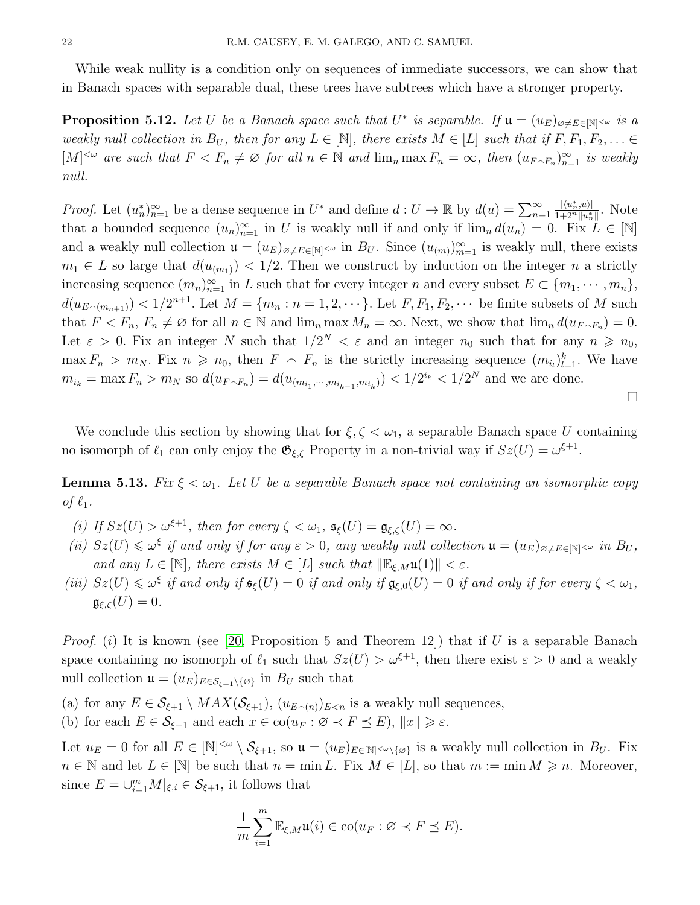While weak nullity is a condition only on sequences of immediate successors, we can show that in Banach spaces with separable dual, these trees have subtrees which have a stronger property.

<span id="page-21-0"></span>**Proposition 5.12.** Let U be a Banach space such that  $U^*$  is separable. If  $\mathfrak{u} = (u_E)_{\varnothing \neq E \in [\mathbb{N}]^{<\omega}}$  is a weakly null collection in  $B_U$ , then for any  $L \in \mathbb{N}$ , there exists  $M \in [L]$  such that if  $F, F_1, F_2, \ldots \in$  $[M]^{<\omega}$  are such that  $F < F_n \neq \emptyset$  for all  $n \in \mathbb{N}$  and  $\lim_n \max F_n = \infty$ , then  $(u_{F \cap F_n})_{n=1}^{\infty}$  is weakly null.

*Proof.* Let  $(u_n^*)_{n=1}^{\infty}$  be a dense sequence in  $U^*$  and define  $d: U \to \mathbb{R}$  by  $d(u) = \sum_{n=1}^{\infty} \frac{|\langle u_n^*, u \rangle|}{1+2^n ||u_n^*||}$ . Note that a bounded sequence  $(u_n)_{n=1}^{\infty}$  in U is weakly null if and only if  $\lim_n d(u_n) = 0$ . Fix  $L \in [\mathbb{N}]$ and a weakly null collection  $\mathfrak{u} = (u_E)_{\emptyset \neq E \in [\mathbb{N}]^{< \omega}}$  in  $B_U$ . Since  $(u_{(m)})_{m=1}^{\infty}$  is weakly null, there exists  $m_1 \in L$  so large that  $d(u_{(m_1)}) < 1/2$ . Then we construct by induction on the integer n a strictly increasing sequence  $(m_n)_{n=1}^{\infty}$  in L such that for every integer n and every subset  $E \subset \{m_1, \cdots, m_n\}$ ,  $d(u_{E \cap (m_{n+1})}) < 1/2^{n+1}$ . Let  $M = \{m_n : n = 1, 2, \dots \}$ . Let  $F, F_1, F_2, \dots$  be finite subsets of M such that  $F < F_n$ ,  $F_n \neq \emptyset$  for all  $n \in \mathbb{N}$  and  $\lim_n \max M_n = \infty$ . Next, we show that  $\lim_n d(u_{F \cap F_n}) = 0$ . Let  $\varepsilon > 0$ . Fix an integer N such that  $1/2^N < \varepsilon$  and an integer  $n_0$  such that for any  $n \geq n_0$ ,  $\max F_n > m_N$ . Fix  $n \geq n_0$ , then  $F \subset F_n$  is the strictly increasing sequence  $(m_{i_l})_{l=1}^k$ . We have  $m_{i_k} = \max F_n > m_N$  so  $d(u_{F \cap F_n}) = d(u_{(m_{i_1}, \dots, m_{i_{k-1}}, m_{i_k})}) < 1/2^{i_k} < 1/2^N$  and we are done.

We conclude this section by showing that for  $\xi, \zeta < \omega_1$ , a separable Banach space U containing no isomorph of  $\ell_1$  can only enjoy the  $\mathfrak{G}_{\xi,\zeta}$  Property in a non-trivial way if  $Sz(U) = \omega^{\xi+1}$ .

**Lemma 5.13.** Fix  $\xi < \omega_1$ . Let U be a separable Banach space not containing an isomorphic copy of  $\ell_1$ .

- (i) If  $Sz(U) > \omega^{\xi+1}$ , then for every  $\zeta < \omega_1$ ,  $\mathfrak{s}_{\xi}(U) = \mathfrak{g}_{\xi,\zeta}(U) = \infty$ .
- (ii)  $Sz(U) \leq \omega^{\xi}$  if and only if for any  $\varepsilon > 0$ , any weakly null collection  $\mathfrak{u} = (u_E)_{\varnothing \neq E \in [\mathbb{N}]^{<\omega}}$  in  $B_U$ , and any  $L \in [\mathbb{N}]$ , there exists  $M \in [L]$  such that  $\|\mathbb{E}_{\xi,M}\mathfrak{u}(1)\| < \varepsilon$ .
- (iii)  $Sz(U) \leq \omega^{\xi}$  if and only if  $\mathfrak{s}_{\xi}(U) = 0$  if and only if  $\mathfrak{g}_{\xi,0}(U) = 0$  if and only if for every  $\zeta < \omega_1$ ,  $\mathfrak{g}_{\xi,\zeta}(U)=0.$

*Proof.* (i) It is known (see [\[20,](#page-38-4) Proposition 5 and Theorem 12]) that if U is a separable Banach space containing no isomorph of  $\ell_1$  such that  $Sz(U) > \omega^{\xi+1}$ , then there exist  $\varepsilon > 0$  and a weakly null collection  $\mathfrak{u} = (u_E)_{E \in \mathcal{S}_{\ell+1} \setminus \{\varnothing\}}$  in  $B_U$  such that

- (a) for any  $E \in \mathcal{S}_{\xi+1} \setminus MAX(\mathcal{S}_{\xi+1}), (u_{E \cap (n)})_{E \leq n}$  is a weakly null sequences,
- (b) for each  $E \in \mathcal{S}_{\xi+1}$  and each  $x \in \text{co}(u_F : \varnothing \prec F \preceq E)$ ,  $||x|| \geq \varepsilon$ .

Let  $u_E = 0$  for all  $E \in [\mathbb{N}]^{\leq \omega} \setminus \mathcal{S}_{\xi+1}$ , so  $\mathfrak{u} = (u_E)_{E \in [\mathbb{N}]^{\leq \omega} \setminus {\{\varnothing\}}}$  is a weakly null collection in  $B_U$ . Fix  $n \in \mathbb{N}$  and let  $L \in [\mathbb{N}]$  be such that  $n = \min L$ . Fix  $M \in [L]$ , so that  $m := \min M \geq n$ . Moreover, since  $E = \bigcup_{i=1}^{m} M|_{\xi,i} \in \mathcal{S}_{\xi+1}$ , it follows that

$$
\frac{1}{m}\sum_{i=1}^m \mathbb{E}_{\xi,M}\mathfrak{u}(i) \in \text{co}(u_F : \varnothing \prec F \preceq E).
$$

 $\Box$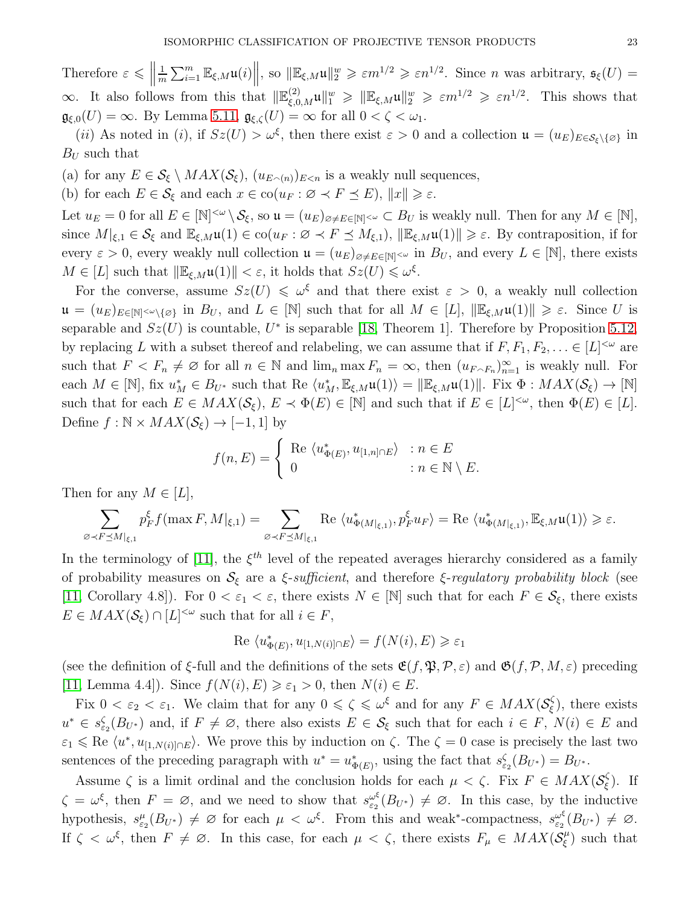Therefore  $\varepsilon \leq \left\| \right\|$ 1  $\frac{1}{m}\sum_{i=1}^m \mathbb{E}_{\xi,M}\mathfrak{u}(i)$ , so  $\|\mathbb{E}_{\xi,M}\mathfrak{u}\|_2^w \geqslant \varepsilon m^{1/2} \geqslant \varepsilon n^{1/2}$ . Since *n* was arbitrary,  $\mathfrak{s}_{\xi}(U)$  =  $\infty$ . It also follows from this that  $\|\mathbb{E}_{\xi,0,M}^{(2)}\mathfrak{u}\|_{1}^{w} \geqslant \|\mathbb{E}_{\xi,M}\mathfrak{u}\|_{2}^{w} \geqslant \varepsilon m^{1/2} \geqslant \varepsilon n^{1/2}$ . This shows that  $\mathfrak{g}_{\xi,0}(U) = \infty$ . By Lemma [5.11,](#page-19-1)  $\mathfrak{g}_{\xi,\zeta}(U) = \infty$  for all  $0 < \zeta < \omega_1$ .

(*ii*) As noted in (*i*), if  $Sz(U) > \omega^{\xi}$ , then there exist  $\varepsilon > 0$  and a collection  $\mathfrak{u} = (u_E)_{E \in \mathcal{S}_{\xi} \setminus \{\varnothing\}}$  in  $B_U$  such that

(a) for any  $E \in \mathcal{S}_{\xi} \setminus MAX(\mathcal{S}_{\xi}), (u_{E \cap (n)})_{E \leq n}$  is a weakly null sequences,

(b) for each  $E \in \mathcal{S}_{\xi}$  and each  $x \in \text{co}(u_F : \varnothing \prec F \preceq E)$ ,  $||x|| \geq \varepsilon$ .

Let  $u_E = 0$  for all  $E \in [\mathbb{N}]^{<\omega} \setminus \mathcal{S}_\xi$ , so  $\mathfrak{u} = (u_E)_{\varnothing \neq E \in [\mathbb{N}]^{<\omega}} \subset B_U$  is weakly null. Then for any  $M \in [\mathbb{N}]$ , since  $M|_{\xi,1} \in \mathcal{S}_{\xi}$  and  $\mathbb{E}_{\xi,M}\mathfrak{u}(1) \in \text{co}(u_F : \varnothing \prec F \preceq M_{\xi,1}), ||\mathbb{E}_{\xi,M}\mathfrak{u}(1)|| \geq \varepsilon$ . By contraposition, if for every  $\varepsilon > 0$ , every weakly null collection  $\mathfrak{u} = (u_E)_{\emptyset \neq E \in [\mathbb{N}]^{<\omega}}$  in  $B_U$ , and every  $L \in [\mathbb{N}]$ , there exists  $M \in [L]$  such that  $\|\mathbb{E}_{\xi,M}\mathfrak{u}(1)\| < \varepsilon$ , it holds that  $Sz(U) \leq \omega^{\xi}$ .

For the converse, assume  $Sz(U) \leq \omega^{\xi}$  and that there exist  $\varepsilon > 0$ , a weakly null collection  $\mathfrak{u} = (u_E)_{E \in \mathbb{N} \setminus {\omega \setminus {\varnothing}}}$  in  $B_U$ , and  $L \in \mathbb{N}$  such that for all  $M \in [L]$ ,  $\|\mathbb{E}_{\xi,M}\mathfrak{u}(1)\| \geq \varepsilon$ . Since U is separable and  $Sz(U)$  is countable,  $U^*$  is separable [\[18,](#page-38-5) Theorem 1]. Therefore by Proposition [5.12,](#page-21-0) by replacing L with a subset thereof and relabeling, we can assume that if  $F, F_1, F_2, \ldots \in [L]^{<\omega}$  are such that  $F < F_n \neq \emptyset$  for all  $n \in \mathbb{N}$  and  $\lim_n \max F_n = \infty$ , then  $(u_{F \cap F_n})_{n=1}^{\infty}$  is weakly null. For each  $M \in [\mathbb{N}]$ , fix  $u_M^* \in B_{U^*}$  such that Re  $\langle u_M^*, \mathbb{E}_{\xi,M}\mathfrak{u}(1) \rangle = ||\mathbb{E}_{\xi,M}\mathfrak{u}(1)||$ . Fix  $\Phi : MAX(\mathcal{S}_{\xi}) \to [\mathbb{N}]$ such that for each  $E \in MAX(\mathcal{S}_{\xi}), E \prec \Phi(E) \in [\mathbb{N}]$  and such that if  $E \in [L]^{<\omega}$ , then  $\Phi(E) \in [L]$ . Define  $f : \mathbb{N} \times MAX(\mathcal{S}_{\xi}) \rightarrow [-1, 1]$  by

$$
f(n, E) = \begin{cases} \text{Re } \langle u_{\Phi(E)}^*, u_{[1,n] \cap E} \rangle & : n \in E \\ 0 & : n \in \mathbb{N} \setminus E. \end{cases}
$$

Then for any  $M \in [L]$ ,

$$
\sum_{\varnothing\prec F\preceq M|_{\xi,1}} p_F^{\xi} f(\max F,M|_{\xi,1}) = \sum_{\varnothing\prec F\preceq M|_{\xi,1}} \operatorname{Re}\langle u_{\Phi(M|_{\xi,1})}^*, p_F^{\xi} u_F\rangle = \operatorname{Re}\langle u_{\Phi(M|_{\xi,1})}^*, \mathbb{E}_{\xi,M} \mathfrak{u}(1)\rangle \geq \varepsilon.
$$

In the terminology of [\[11\]](#page-37-4), the  $\xi^{th}$  level of the repeated averages hierarchy considered as a family of probability measures on  $S_{\xi}$  are a *ξ-sufficient*, and therefore *ξ-regulatory probability block* (see [\[11,](#page-37-4) Corollary 4.8]). For  $0 < \varepsilon_1 < \varepsilon$ , there exists  $N \in [\mathbb{N}]$  such that for each  $F \in \mathcal{S}_{\xi}$ , there exists  $E \in MAX(\mathcal{S}_{\xi}) \cap [L]^{<\omega}$  such that for all  $i \in F$ ,

$$
Re \langle u_{\Phi(E)}^*, u_{[1,N(i)] \cap E} \rangle = f(N(i), E) \ge \varepsilon_1
$$

(see the definition of  $\xi$ -full and the definitions of the sets  $\mathfrak{E}(f, \mathfrak{P}, \mathcal{P}, \varepsilon)$  and  $\mathfrak{G}(f, \mathcal{P}, M, \varepsilon)$  preceding [\[11,](#page-37-4) Lemma 4.4]). Since  $f(N(i), E) \geq \varepsilon_1 > 0$ , then  $N(i) \in E$ .

Fix  $0 < \varepsilon_2 < \varepsilon_1$ . We claim that for any  $0 \le \zeta \le \omega^{\xi}$  and for any  $F \in MAX(\mathcal{S}_{\xi}^{\zeta})$  $(\xi)$ , there exists  $u^* \in s_{\varepsilon_2}^{\zeta}(B_{U^*})$  and, if  $F \neq \emptyset$ , there also exists  $E \in \mathcal{S}_{\xi}$  such that for each  $i \in F$ ,  $N(i) \in E$  and  $\varepsilon_1 \leq R$ e  $\langle u^*, u_{[1,N(i)] \cap E} \rangle$ . We prove this by induction on  $\zeta$ . The  $\zeta = 0$  case is precisely the last two sentences of the preceding paragraph with  $u^* = u^*_{\Phi(E)}$ , using the fact that  $s_{\varepsilon_2}(B_{U^*}) = B_{U^*}$ .

Assume  $\zeta$  is a limit ordinal and the conclusion holds for each  $\mu < \zeta$ . Fix  $F \in MAX(\mathcal{S}_{\xi}^{\zeta})$ ξ ). If  $\zeta = \omega^{\xi}$ , then  $F = \varnothing$ , and we need to show that  $s_{\varepsilon_2}^{\omega^{\xi}}$  $\frac{\omega^{\xi}}{\varepsilon_2}(B_{U^*}) \neq \emptyset$ . In this case, by the inductive hypothesis,  $s_{\varepsilon_2}^{\mu}(B_{U^*}) \neq \emptyset$  for each  $\mu < \omega^{\xi}$ . From this and weak\*-compactness,  $s_{\varepsilon_2}^{\omega^{\xi}}$  $\frac{\omega^{\xi}}{\varepsilon_2}(B_{U^*}) \neq \varnothing.$ If  $\zeta < \omega^{\xi}$ , then  $F \neq \emptyset$ . In this case, for each  $\mu < \zeta$ , there exists  $F_{\mu} \in MAX(\mathcal{S}_{\xi}^{\mu})$  $\binom{\mu}{\xi}$  such that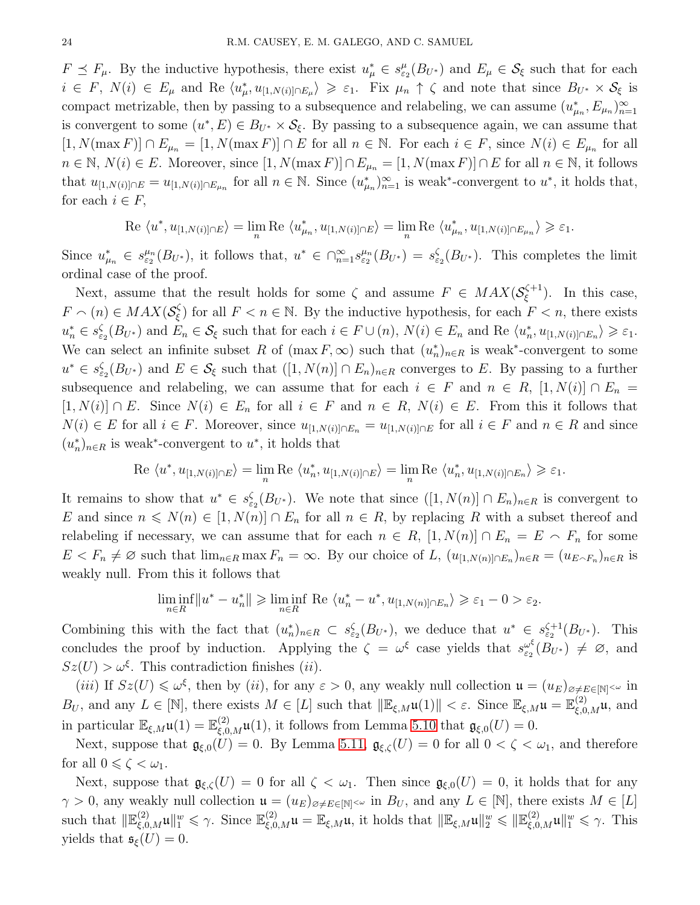$F \preceq F_{\mu}$ . By the inductive hypothesis, there exist  $u_{\mu}^* \in s_{\varepsilon_2}^{\mu}(B_{U^*})$  and  $E_{\mu} \in \mathcal{S}_{\xi}$  such that for each  $i \in F$ ,  $N(i) \in E_{\mu}$  and Re  $\langle u_{\mu}^*, u_{[1,N(i)] \cap E_{\mu}} \rangle \geq \varepsilon_1$ . Fix  $\mu_n \uparrow \zeta$  and note that since  $B_{U^*} \times S_{\xi}$  is compact metrizable, then by passing to a subsequence and relabeling, we can assume  $(u_{\mu_n}^*, E_{\mu_n})_{n=1}^{\infty}$ is convergent to some  $(u^*, E) \in B_{U^*} \times S_{\xi}$ . By passing to a subsequence again, we can assume that  $[1, N(\max F)] \cap E_{\mu_n} = [1, N(\max F)] \cap E$  for all  $n \in \mathbb{N}$ . For each  $i \in F$ , since  $N(i) \in E_{\mu_n}$  for all  $n \in \mathbb{N}, N(i) \in E$ . Moreover, since  $[1, N(\max F)] \cap E_{\mu_n} = [1, N(\max F)] \cap E$  for all  $n \in \mathbb{N}$ , it follows that  $u_{[1,N(i)] \cap E} = u_{[1,N(i)] \cap E_{\mu_n}}$  for all  $n \in \mathbb{N}$ . Since  $(u_{\mu_n}^*)_{n=1}^{\infty}$  is weak\*-convergent to  $u^*$ , it holds that, for each  $i \in F$ ,

Re 
$$
\langle u^*, u_{[1,N(i)]\cap E} \rangle = \lim_{n} \text{Re } \langle u_{\mu_n}^*, u_{[1,N(i)]\cap E} \rangle = \lim_{n} \text{Re } \langle u_{\mu_n}^*, u_{[1,N(i)]\cap E_{\mu_n}} \rangle \geq \varepsilon_1.
$$

Since  $u_{\mu_n}^* \in s_{\varepsilon_2}^{\mu_n}(B_{U^*})$ , it follows that,  $u^* \in \bigcap_{n=1}^{\infty} s_{\varepsilon_2}^{\mu_n}(B_{U^*}) = s_{\varepsilon_2}^{\zeta}(B_{U^*})$ . This completes the limit ordinal case of the proof.

Next, assume that the result holds for some  $\zeta$  and assume  $F \in MAX(\mathcal{S}_{\xi}^{\zeta+1})$  $(\xi^{+1})$ . In this case,  $F \cap (n) \in MAX(\mathcal{S}_{\xi}^{\zeta})$  $(\xi)$  for all  $F < n \in \mathbb{N}$ . By the inductive hypothesis, for each  $F < n$ , there exists  $u_n^* \in s_{\varepsilon_2}^{\zeta}(B_{U^*})$  and  $E_n \in S_{\xi}$  such that for each  $i \in F \cup (n)$ ,  $N(i) \in E_n$  and Re  $\langle u_n^*, u_{[1,N(i)] \cap E_n} \rangle \geq \varepsilon_1$ . We can select an infinite subset R of  $(\max F, \infty)$  such that  $(u_n^*)_{n \in R}$  is weak<sup>\*</sup>-convergent to some  $u^* \in s_{\varepsilon_2}^{\zeta}(B_{U^*})$  and  $E \in \mathcal{S}_{\xi}$  such that  $([1, N(n)] \cap E_n)_{n \in R}$  converges to E. By passing to a further subsequence and relabeling, we can assume that for each  $i \in F$  and  $n \in R$ ,  $[1, N(i)] \cap E_n =$  $[1, N(i)] \cap E$ . Since  $N(i) \in E_n$  for all  $i \in F$  and  $n \in R$ ,  $N(i) \in E$ . From this it follows that  $N(i) \in E$  for all  $i \in F$ . Moreover, since  $u_{[1,N(i)] \cap E_n} = u_{[1,N(i)] \cap E}$  for all  $i \in F$  and  $n \in R$  and since  $(u_n^*)_{n \in R}$  is weak<sup>\*</sup>-convergent to  $u^*$ , it holds that

Re 
$$
\langle u^*, u_{[1,N(i)] \cap E} \rangle = \lim_{n} \text{Re } \langle u_n^*, u_{[1,N(i)] \cap E} \rangle = \lim_{n} \text{Re } \langle u_n^*, u_{[1,N(i)] \cap E_n} \rangle \geq \varepsilon_1.
$$

It remains to show that  $u^* \in s_{\varepsilon_2}^{\zeta}(B_{U^*})$ . We note that since  $([1, N(n)] \cap E_n)_{n \in R}$  is convergent to E and since  $n \leq N(n) \in [1, N(n)] \cap E_n$  for all  $n \in R$ , by replacing R with a subset thereof and relabeling if necessary, we can assume that for each  $n \in R$ ,  $[1, N(n)] \cap E_n = E \cap F_n$  for some  $E < F_n \neq \emptyset$  such that  $\lim_{n \in R} \max F_n = \infty$ . By our choice of L,  $(u_{[1,N(n)] \cap E_n})_{n \in R} = (u_{E \cap F_n})_{n \in R}$  is weakly null. From this it follows that

$$
\liminf_{n\in R} \|u^*-u^*_n\| \geqslant \liminf_{n\in R} \text{ Re } \langle u^*_n-u^*, u_{[1,N(n)]\cap E_n}\rangle \geqslant \varepsilon_1 - 0 > \varepsilon_2.
$$

Combining this with the fact that  $(u_n^*)_{n \in R} \subset s_{\varepsilon_2}^{\zeta}(B_{U^*})$ , we deduce that  $u^* \in s_{\varepsilon_2}^{\zeta+1}(B_{U^*})$ . This concludes the proof by induction. Applying the  $\zeta = \omega^{\xi}$  case yields that  $s_{\varepsilon}^{\omega^{\xi}}$  $\int_{\varepsilon_2}^{\omega^{\xi}} (B_{U^*}) \neq \emptyset$ , and  $Sz(U) > \omega^{\xi}$ . This contradiction finishes (*ii*).

(*iii*) If  $Sz(U) \leq \omega^{\xi}$ , then by (*ii*), for any  $\varepsilon > 0$ , any weakly null collection  $\mathfrak{u} = (u_E)_{\varnothing \neq E \in [\mathbb{N}]^{<\omega}}$  in  $B_U$ , and any  $L \in [\mathbb{N}]$ , there exists  $M \in [L]$  such that  $\|\mathbb{E}_{\xi,M}\mathfrak{u}(1)\| < \varepsilon$ . Since  $\mathbb{E}_{\xi,M}\mathfrak{u} = \mathbb{E}_{\xi,0,M}^{(2)}\mathfrak{u}$ , and in particular  $\mathbb{E}_{\xi,M}\mathfrak{u}(1) = \mathbb{E}_{\xi,0,M}^{(2)}\mathfrak{u}(1)$ , it follows from Lemma [5.10](#page-19-0) that  $\mathfrak{g}_{\xi,0}(U) = 0$ .

Next, suppose that  $\mathfrak{g}_{\xi,0}(U) = 0$ . By Lemma [5.11,](#page-19-1)  $\mathfrak{g}_{\xi,\zeta}(U) = 0$  for all  $0 < \zeta < \omega_1$ , and therefore for all  $0 \leqslant \zeta < \omega_1$ .

Next, suppose that  $\mathfrak{g}_{\xi,\zeta}(U) = 0$  for all  $\zeta < \omega_1$ . Then since  $\mathfrak{g}_{\xi,0}(U) = 0$ , it holds that for any  $\gamma > 0$ , any weakly null collection  $\mathfrak{u} = (u_E)_{\alpha \neq E \in [\mathbb{N}]^{<\omega}}$  in  $B_U$ , and any  $L \in [\mathbb{N}]$ , there exists  $M \in [L]$ such that  $\|\mathbb{E}_{\xi,0,M}^{(2)}\mathfrak{u}\|_{1}^{w} \leq \gamma$ . Since  $\mathbb{E}_{\xi,0,M}^{(2)}\mathfrak{u} = \mathbb{E}_{\xi,M}\mathfrak{u}$ , it holds that  $\|\mathbb{E}_{\xi,M}\mathfrak{u}\|_{2}^{w} \leq \|\mathbb{E}_{\xi,0,M}^{(2)}\mathfrak{u}\|_{1}^{w} \leq \gamma$ . This yields that  $\mathfrak{s}_{\xi}(U) = 0$ .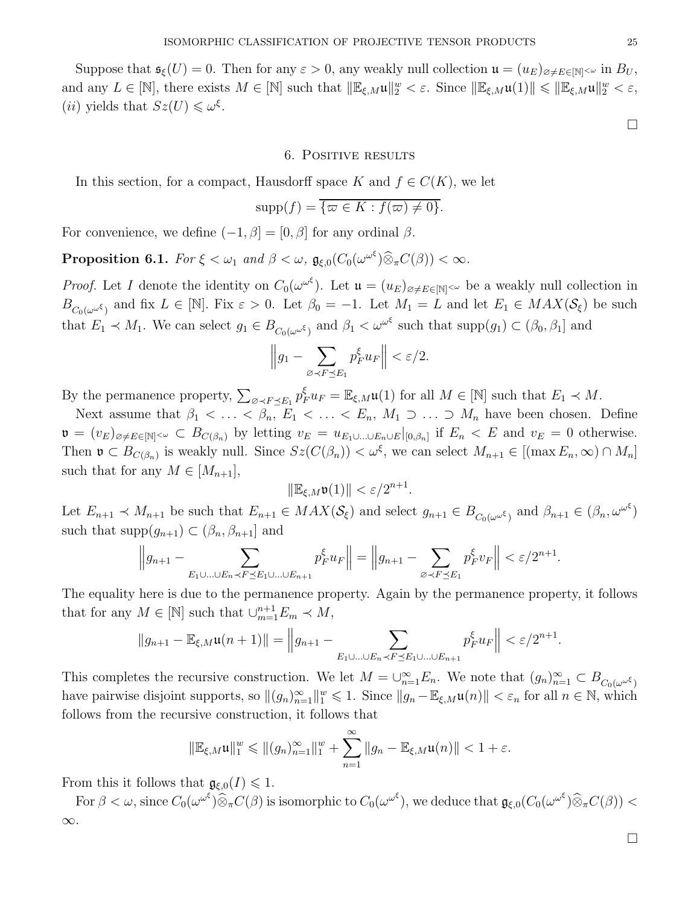Suppose that  $\mathfrak{s}_{\xi}(U) = 0$ . Then for any  $\varepsilon > 0$ , any weakly null collection  $\mathfrak{u} = (u_E)_{\varnothing \neq E \in [N]^{\leq \omega}}$  in  $B_U$ , and any  $L \in [\mathbb{N}]$ , there exists  $M \in [\mathbb{N}]$  such that  $\|\mathbb{E}_{\xi,M}\mathfrak{u}\|_2^w < \varepsilon$ . Since  $\|\mathbb{E}_{\xi,M}\mathfrak{u}(1)\| \leq \|\mathbb{E}_{\xi,M}\mathfrak{u}\|_2^w < \varepsilon$ , (*ii*) yields that  $Sz(U) \leq \omega^{\xi}$ .

#### 6. Positive results

<span id="page-24-0"></span>In this section, for a compact, Hausdorff space K and  $f \in C(K)$ , we let

$$
\mathrm{supp}(f) = \overline{\{\varpi \in K : f(\varpi) \neq 0\}}.
$$

For convenience, we define  $(-1, \beta] = [0, \beta]$  for any ordinal  $\beta$ .

<span id="page-24-1"></span>**Proposition 6.1.** For  $\xi < \omega_1$  and  $\beta < \omega$ ,  $\mathfrak{g}_{\xi,0}(C_0(\omega^{\omega^{\xi}})\widehat{\otimes}_{\pi}C(\beta)) < \infty$ .

*Proof.* Let I denote the identity on  $C_0(\omega^{\omega^{\xi}})$ . Let  $\mathfrak{u} = (u_E)_{\varnothing \neq E \in [\mathbb{N}]^{<\omega}}$  be a weakly null collection in  $B_{C_0(\omega^{\omega^\xi})}$  and fix  $L \in [\mathbb{N}]$ . Fix  $\varepsilon > 0$ . Let  $\beta_0 = -1$ . Let  $M_1 = L$  and let  $E_1 \in MAX(\mathcal{S}_\xi)$  be such that  $E_1 \prec M_1$ . We can select  $g_1 \in B_{C_0(\omega^{\omega^\xi})}$  and  $\beta_1 < \omega^{\omega^\xi}$  such that  $\text{supp}(g_1) \subset (\beta_0, \beta_1]$  and

$$
\left\|g_1 - \sum_{\varnothing \prec F \preceq E_1} p_F^{\xi} u_F\right\| < \varepsilon/2.
$$

By the permanence property,  $\sum_{\varnothing \prec F \preceq E_1} p_F^{\xi} u_F = \mathbb{E}_{\xi,M} \mathfrak{u}(1)$  for all  $M \in [\mathbb{N}]$  such that  $E_1 \prec M$ .

Next assume that  $\beta_1 < \ldots < \beta_n$ ,  $E_1 < \ldots < E_n$ ,  $M_1 \supset \ldots \supset M_n$  have been chosen. Define  $\mathfrak{v} = (v_E)_{\emptyset \neq E \in [\mathbb{N}]^{<\omega}} \subset B_{C(\beta_n)}$  by letting  $v_E = u_{E_1 \cup \ldots \cup E_n \cup E}|_{[0,\beta_n]}$  if  $E_n \lt E$  and  $v_E = 0$  otherwise. Then  $\mathfrak{v} \subset B_{C(\beta_n)}$  is weakly null. Since  $Sz(C(\beta_n)) < \omega^{\xi}$ , we can select  $M_{n+1} \in [(\max E_n, \infty) \cap M_n]$ such that for any  $M \in [M_{n+1}],$ 

$$
\|\mathbb{E}_{\xi,M}\mathfrak{v}(1)\| < \varepsilon/2^{n+1}.
$$

Let  $E_{n+1} \prec M_{n+1}$  be such that  $E_{n+1} \in MAX(S_{\xi})$  and select  $g_{n+1} \in B_{C_0(\omega^{\omega^{\xi}})}$  and  $\beta_{n+1} \in (\beta_n, \omega^{\omega^{\xi}})$ such that  $\text{supp}(g_{n+1}) \subset (\beta_n, \beta_{n+1}]$  and

$$
\left\|g_{n+1} - \sum_{E_1 \cup \ldots \cup E_n \prec F \preceq E_1 \cup \ldots \cup E_{n+1}} p_F^{\xi} u_F\right\| = \left\|g_{n+1} - \sum_{\varnothing \prec F \preceq E_1} p_F^{\xi} v_F\right\| < \varepsilon/2^{n+1}.
$$

The equality here is due to the permanence property. Again by the permanence property, it follows that for any  $M \in [\mathbb{N}]$  such that  $\cup_{m=1}^{n+1} E_m \prec M$ ,

$$
||g_{n+1} - \mathbb{E}_{\xi,M}\mathfrak{u}(n+1)|| = ||g_{n+1} - \sum_{E_1 \cup ... \cup E_n \prec F \preceq E_1 \cup ... \cup E_{n+1}} p_F^{\xi} u_F|| < \varepsilon/2^{n+1}.
$$

This completes the recursive construction. We let  $M=\cup_{n=1}^{\infty}E_n$ . We note that  $(g_n)_{n=1}^{\infty}\subset B_{C_0(\omega^{\omega^\xi})}$ have pairwise disjoint supports, so  $\|(g_n)_{n=1}^{\infty}\|_{1}^{w} \leq 1$ . Since  $\|g_n - \mathbb{E}_{\xi,M}\mathfrak{u}(n)\| < \varepsilon_n$  for all  $n \in \mathbb{N}$ , which follows from the recursive construction, it follows that

$$
\|\mathbb{E}_{\xi,M}\mathfrak{u}\|_{1}^{w} \leq \| (g_{n})_{n=1}^{\infty}\|_{1}^{w} + \sum_{n=1}^{\infty} \| g_{n} - \mathbb{E}_{\xi,M}\mathfrak{u}(n) \| < 1 + \varepsilon.
$$

From this it follows that  $\mathfrak{g}_{\xi,0}(I) \leq 1$ .

For  $\beta < \omega$ , since  $C_0(\omega^{\omega^\xi}) \widehat{\otimes}_\pi C(\beta)$  is isomorphic to  $C_0(\omega^{\omega^\xi})$ , we deduce that  $\mathfrak{g}_{\xi,0}(C_0(\omega^{\omega^\xi}) \widehat{\otimes}_\pi C(\beta)) <$ ∞.

 $\Box$ 

 $\Box$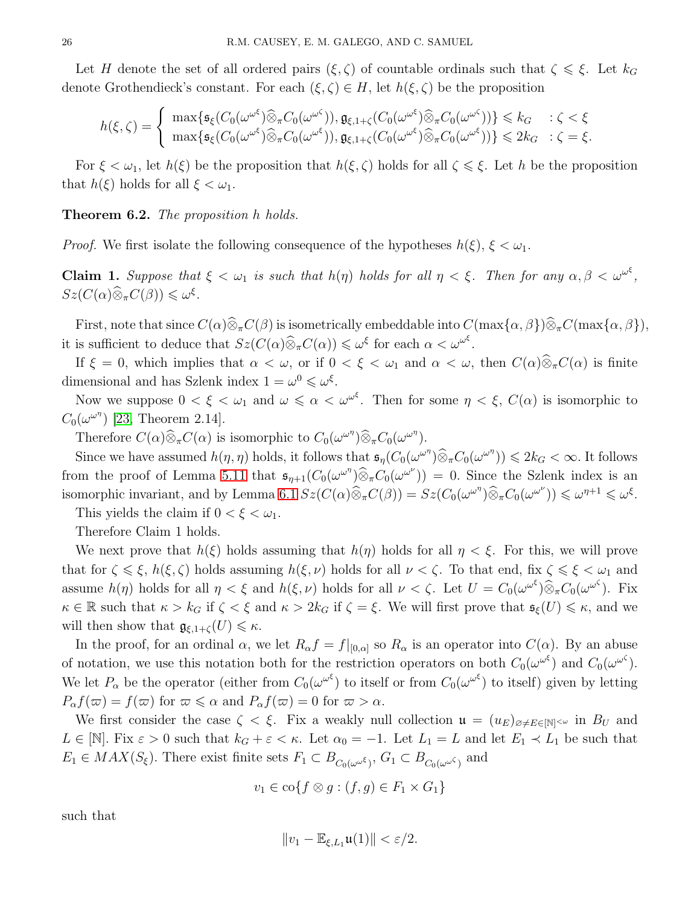Let H denote the set of all ordered pairs  $(\xi, \zeta)$  of countable ordinals such that  $\zeta \leq \xi$ . Let  $k_G$ denote Grothendieck's constant. For each  $(\xi, \zeta) \in H$ , let  $h(\xi, \zeta)$  be the proposition

$$
h(\xi,\zeta) = \begin{cases} \max\{\mathfrak{s}_{\xi}(C_0(\omega^{\omega^{\xi}})\widehat{\otimes}_{\pi}C_0(\omega^{\omega^{\zeta}})), \mathfrak{g}_{\xi,1+\zeta}(C_0(\omega^{\omega^{\xi}})\widehat{\otimes}_{\pi}C_0(\omega^{\omega^{\zeta}}))\} \leq k_G & \colon \zeta < \xi \\ \max\{\mathfrak{s}_{\xi}(C_0(\omega^{\omega^{\xi}})\widehat{\otimes}_{\pi}C_0(\omega^{\omega^{\xi}})), \mathfrak{g}_{\xi,1+\zeta}(C_0(\omega^{\omega^{\xi}})\widehat{\otimes}_{\pi}C_0(\omega^{\omega^{\xi}}))\} \leq 2k_G & \colon \zeta = \xi. \end{cases}
$$

For  $\xi < \omega_1$ , let  $h(\xi)$  be the proposition that  $h(\xi, \zeta)$  holds for all  $\zeta \leq \xi$ . Let h be the proposition that  $h(\xi)$  holds for all  $\xi < \omega_1$ .

### Theorem 6.2. The proposition h holds.

*Proof.* We first isolate the following consequence of the hypotheses  $h(\xi)$ ,  $\xi < \omega_1$ .

**Claim 1.** Suppose that  $\xi < \omega_1$  is such that  $h(\eta)$  holds for all  $\eta < \xi$ . Then for any  $\alpha, \beta < \omega^{\omega^{\xi}},$  $Sz(C(\alpha)\widehat{\otimes}_{\pi}C(\beta))\leq \omega^{\xi}.$ 

First, note that since  $C(\alpha)\widehat{\otimes}_{\pi}C(\beta)$  is isometrically embeddable into  $C(\max{\{\alpha,\beta\}})\widehat{\otimes}_{\pi}C(\max{\{\alpha,\beta\}}),$ it is sufficient to deduce that  $Sz(C(\alpha)\widehat{\otimes}_{\pi}C(\alpha)) \leq \omega^{\xi}$  for each  $\alpha < \omega^{\omega^{\xi}}$ .

If  $\xi = 0$ , which implies that  $\alpha < \omega$ , or if  $0 < \xi < \omega_1$  and  $\alpha < \omega$ , then  $C(\alpha)\hat{\otimes}_{\pi}C(\alpha)$  is finite dimensional and has Szlenk index  $1 = \omega^0 \leq \omega^{\xi}$ .

Now we suppose  $0 < \xi < \omega_1$  and  $\omega \leq \alpha < \omega^{\omega^{\xi}}$ . Then for some  $\eta < \xi$ ,  $C(\alpha)$  is isomorphic to  $C_0(\omega^{\omega^{\eta}})$  [\[23,](#page-38-6) Theorem 2.14].

Therefore  $C(\alpha)\widehat{\otimes}_{\pi}C(\alpha)$  is isomorphic to  $C_0(\omega^{\omega^{\eta}})\widehat{\otimes}_{\pi}C_0(\omega^{\omega^{\eta}})$ .

Since we have assumed  $h(\eta, \eta)$  holds, it follows that  $\mathfrak{s}_\eta(C_0(\omega^{\omega^{\eta}}) \widehat{\otimes}_{\pi} C_0(\omega^{\omega^{\eta}})) \leq 2k_G < \infty$ . It follows from the proof of Lemma [5.11](#page-19-1) that  $\mathfrak{s}_{\eta+1}(C_0(\omega^{\omega^{\eta}}))\widehat{\otimes}_{\pi}C_0(\omega^{\omega^{\nu}}))=0$ . Since the Szlenk index is an isomorphic invariant, and by Lemma [6.1](#page-24-1)  $Sz(C(\alpha)\widehat{\otimes}_{\pi}C(\beta)) = Sz(C_0(\omega^{\omega^{\eta}})\widehat{\otimes}_{\pi}C_0(\omega^{\omega^{\nu}})) \leq \omega^{\eta+1} \leq \omega^{\xi}$ .

This yields the claim if  $0 < \xi < \omega_1$ .

Therefore Claim 1 holds.

We next prove that  $h(\xi)$  holds assuming that  $h(\eta)$  holds for all  $\eta < \xi$ . For this, we will prove that for  $\zeta \leq \xi$ ,  $h(\xi, \zeta)$  holds assuming  $h(\xi, \nu)$  holds for all  $\nu < \zeta$ . To that end, fix  $\zeta \leq \xi < \omega_1$  and assume  $h(\eta)$  holds for all  $\eta < \xi$  and  $h(\xi, \nu)$  holds for all  $\nu < \zeta$ . Let  $U = C_0(\omega^{\omega^{\xi}}) \widehat{\otimes}_{\pi} C_0(\omega^{\omega^{\zeta}})$ . Fix  $\kappa \in \mathbb{R}$  such that  $\kappa > k_G$  if  $\zeta < \xi$  and  $\kappa > 2k_G$  if  $\zeta = \xi$ . We will first prove that  $\mathfrak{s}_{\xi}(U) \leq \kappa$ , and we will then show that  $\mathfrak{g}_{\xi,1+\zeta}(U) \leq \kappa$ .

In the proof, for an ordinal  $\alpha$ , we let  $R_{\alpha}f = f|_{[0,\alpha]}$  so  $R_{\alpha}$  is an operator into  $C(\alpha)$ . By an abuse of notation, we use this notation both for the restriction operators on both  $C_0(\omega^{\omega^{\zeta}})$  and  $C_0(\omega^{\omega^{\zeta}})$ . We let  $P_\alpha$  be the operator (either from  $C_0(\omega^{\omega^\xi})$  to itself or from  $C_0(\omega^{\omega^\xi})$  to itself) given by letting  $P_{\alpha}f(\omega) = f(\omega)$  for  $\omega \le \alpha$  and  $P_{\alpha}f(\omega) = 0$  for  $\omega > \alpha$ .

We first consider the case  $\zeta < \xi$ . Fix a weakly null collection  $\mathfrak{u} = (u_E)_{\alpha \neq E \in [\mathbb{N}]^{<\omega}}$  in  $B_U$  and  $L \in [\mathbb{N}]$ . Fix  $\varepsilon > 0$  such that  $k_G + \varepsilon < \kappa$ . Let  $\alpha_0 = -1$ . Let  $L_1 = L$  and let  $E_1 \prec L_1$  be such that  $E_1 \in MAX(S_{\xi})$ . There exist finite sets  $F_1 \subset B_{C_0(\omega^{\omega^{\xi}})}$ ,  $G_1 \subset B_{C_0(\omega^{\omega^{\zeta}})}$  and

$$
v_1 \in \mathrm{co}\{f \otimes g : (f,g) \in F_1 \times G_1\}
$$

such that

$$
||v_1 - \mathbb{E}_{\xi, L_1} \mathfrak{u}(1)|| < \varepsilon/2.
$$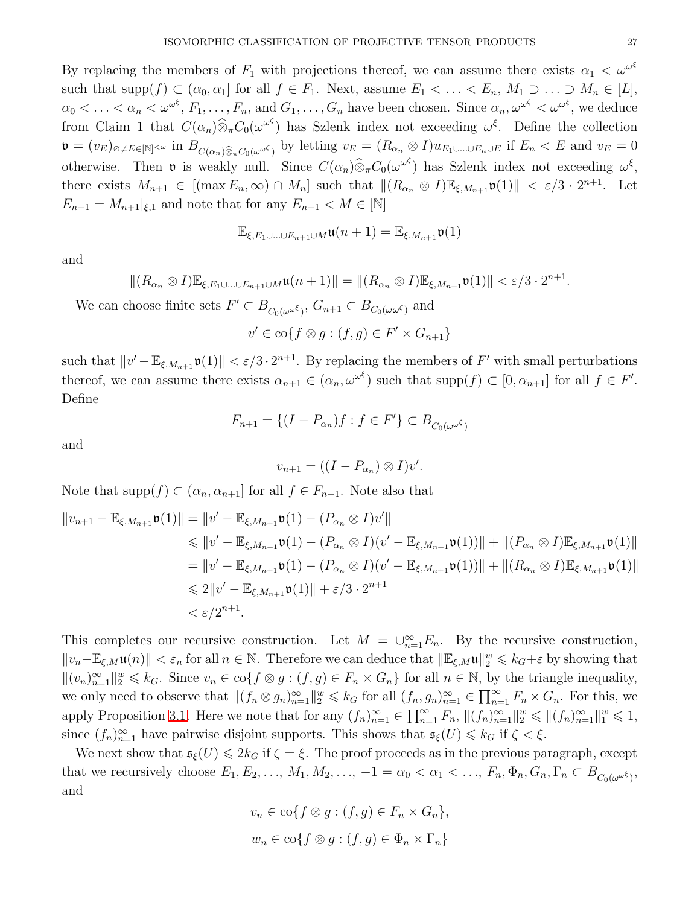By replacing the members of  $F_1$  with projections thereof, we can assume there exists  $\alpha_1 < \omega^{\omega^{\xi}}$ such that  $\text{supp}(f) \subset (\alpha_0, \alpha_1]$  for all  $f \in F_1$ . Next, assume  $E_1 < \ldots < E_n$ ,  $M_1 \supset \ldots \supset M_n \in [L]$ ,  $\alpha_0 < \ldots < \alpha_n < \omega^{\omega^{\xi}}, F_1, \ldots, F_n$ , and  $G_1, \ldots, G_n$  have been chosen. Since  $\alpha_n, \omega^{\omega^{\zeta}} < \omega^{\omega^{\xi}},$  we deduce from Claim 1 that  $C(\alpha_n) \widehat{\otimes}_{\pi} C_0(\omega^{\omega^{\zeta}})$  has Szlenk index not exceeding  $\omega^{\xi}$ . Define the collection  $\mathfrak{v} = (v_E)_{\varnothing \neq E \in [\mathbb{N}]^{<\omega}}$  in  $B_{C(\alpha_n)\widehat{\otimes}_\pi C_0(\omega^{\omega \zeta})}$  by letting  $v_E = (R_{\alpha_n} \otimes I)u_{E_1\cup \ldots \cup E_n\cup E}$  if  $E_n < E$  and  $v_E = 0$ otherwise. Then **v** is weakly null. Since  $C(\alpha_n) \widehat{\otimes}_{\pi} C_0(\omega^{\omega^c})$  has Szlenk index not exceeding  $\omega^{\xi}$ , there exists  $M_{n+1} \in [(\max E_n, \infty) \cap M_n]$  such that  $||(R_{\alpha_n} \otimes I)\mathbb{E}_{\xi,M_{n+1}} \mathfrak{v}(1)|| < \varepsilon/3 \cdot 2^{n+1}$ . Let  $E_{n+1} = M_{n+1}|_{\xi,1}$  and note that for any  $E_{n+1} < M \in [\mathbb{N}]$ 

$$
\mathbb{E}_{\xi,E_1\cup\ldots\cup E_{n+1}\cup M}\mathfrak{u}(n+1)=\mathbb{E}_{\xi,M_{n+1}}\mathfrak{v}(1)
$$

and

$$
\|(R_{\alpha_n}\otimes I)\mathbb{E}_{\xi,E_1\cup\ldots\cup E_{n+1}\cup M}\mathfrak{u}(n+1)\|=\|(R_{\alpha_n}\otimes I)\mathbb{E}_{\xi,M_{n+1}}\mathfrak{v}(1)\|<\varepsilon/3\cdot 2^{n+1}.
$$

We can choose finite sets  $F' \subset B_{C_0(\omega^{\omega \xi})}$ ,  $G_{n+1} \subset B_{C_0(\omega^{\omega \xi})}$  and

$$
v' \in \mathrm{co}\{f \otimes g : (f,g) \in F' \times G_{n+1}\}\
$$

such that  $||v'-\mathbb{E}_{\xi,M_{n+1}}\mathfrak{v}(1)|| < \varepsilon/3 \cdot 2^{n+1}$ . By replacing the members of F' with small perturbations thereof, we can assume there exists  $\alpha_{n+1} \in (\alpha_n, \omega^{\omega^{\xi}})$  such that  $\text{supp}(f) \subset [0, \alpha_{n+1}]$  for all  $f \in F'$ . Define

$$
F_{n+1} = \{(I - P_{\alpha_n})f : f \in F'\} \subset B_{C_0(\omega^{\omega^\xi})}
$$

and

$$
v_{n+1} = ((I - P_{\alpha_n}) \otimes I)v'.
$$

Note that supp $(f) \subset (\alpha_n, \alpha_{n+1}]$  for all  $f \in F_{n+1}$ . Note also that

$$
||v_{n+1} - \mathbb{E}_{\xi, M_{n+1}} \mathfrak{v}(1)|| = ||v' - \mathbb{E}_{\xi, M_{n+1}} \mathfrak{v}(1) - (P_{\alpha_n} \otimes I)v'||
$$
  
\n
$$
\leq ||v' - \mathbb{E}_{\xi, M_{n+1}} \mathfrak{v}(1) - (P_{\alpha_n} \otimes I)(v' - \mathbb{E}_{\xi, M_{n+1}} \mathfrak{v}(1))|| + ||(P_{\alpha_n} \otimes I)\mathbb{E}_{\xi, M_{n+1}} \mathfrak{v}(1)||
$$
  
\n
$$
= ||v' - \mathbb{E}_{\xi, M_{n+1}} \mathfrak{v}(1) - (P_{\alpha_n} \otimes I)(v' - \mathbb{E}_{\xi, M_{n+1}} \mathfrak{v}(1))|| + ||(R_{\alpha_n} \otimes I)\mathbb{E}_{\xi, M_{n+1}} \mathfrak{v}(1)||
$$
  
\n
$$
\leq 2||v' - \mathbb{E}_{\xi, M_{n+1}} \mathfrak{v}(1)|| + \varepsilon/3 \cdot 2^{n+1}
$$
  
\n
$$
< \varepsilon/2^{n+1}.
$$

This completes our recursive construction. Let  $M = \bigcup_{n=1}^{\infty} E_n$ . By the recursive construction,  $||v_n-\mathbb{E}_{\xi,M}\mathfrak{u}(n)|| < \varepsilon_n$  for all  $n \in \mathbb{N}$ . Therefore we can deduce that  $||\mathbb{E}_{\xi,M}\mathfrak{u}||_2^w \leqslant k_G+\varepsilon$  by showing that  $||(v_n)_{n=1}^{\infty}||_2^w \leq k_G$ . Since  $v_n \in \text{co}\lbrace f \otimes g : (f,g) \in F_n \times G_n \rbrace$  for all  $n \in \mathbb{N}$ , by the triangle inequality, we only need to observe that  $\|(f_n \otimes g_n)_{n=1}^{\infty}\|_{2}^w \leq k_G$  for all  $(f_n, g_n)_{n=1}^{\infty} \in \prod_{n=1}^{\infty} F_n \times G_n$ . For this, we apply Proposition [3.1.](#page-7-0) Here we note that for any  $(f_n)_{n=1}^{\infty} \in \prod_{n=1}^{\infty} F_n$ ,  $||(f_n)_{n=1}^{\infty}||_2^w \leq ||(f_n)_{n=1}^{\infty}||_1^w \leq 1$ , since  $(f_n)_{n=1}^{\infty}$  have pairwise disjoint supports. This shows that  $\mathfrak{s}_{\xi}(U) \leq k_G$  if  $\zeta < \xi$ .

We next show that  $\mathfrak{s}_{\xi}(U) \leq 2k_G$  if  $\zeta = \xi$ . The proof proceeds as in the previous paragraph, except that we recursively choose  $E_1, E_2, \ldots, M_1, M_2, \ldots, -1 = \alpha_0 < \alpha_1 < \ldots, F_n, \Phi_n, G_n, \Gamma_n \subset B_{C_0(\omega^{\omega^{\xi}})}$ and

$$
v_n \in \text{co}\lbrace f \otimes g : (f, g) \in F_n \times G_n \rbrace,
$$
  

$$
w_n \in \text{co}\lbrace f \otimes g : (f, g) \in \Phi_n \times \Gamma_n \rbrace
$$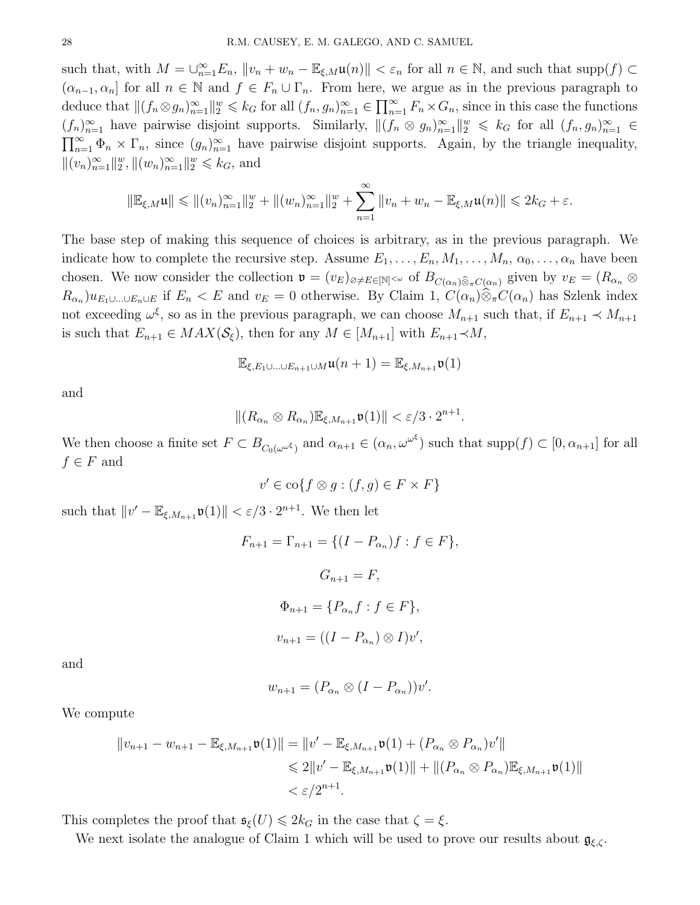such that, with  $M = \bigcup_{n=1}^{\infty} E_n$ ,  $||v_n + w_n - \mathbb{E}_{\xi,M}\mathfrak{u}(n)|| < \varepsilon_n$  for all  $n \in \mathbb{N}$ , and such that supp $(f) \subset$  $(\alpha_{n-1}, \alpha_n]$  for all  $n \in \mathbb{N}$  and  $f \in F_n \cup \Gamma_n$ . From here, we argue as in the previous paragraph to deduce that  $\|(f_n \otimes g_n)_{n=1}^{\infty}\|_{2}^{w} \leq k_G$  for all  $(f_n, g_n)_{n=1}^{\infty} \in \prod_{n=1}^{\infty} F_n \times G_n$ , since in this case the functions  $(f_n)_{n=1}^{\infty}$  have pairwise disjoint supports. Similarly,  $\|(f_n \otimes g_n)_{n=1}^{\infty}\|_{2}^w \leq k_G$  for all  $(f_n, g_n)_{n=1}^{\infty} \in$  $\prod_{n=1}^{\infty} \Phi_n \times \Gamma_n$ , since  $(g_n)_{n=1}^{\infty}$  have pairwise disjoint supports. Again, by the triangle inequality,  $||(v_n)_{n=1}^{\infty}||_2^w, ||(w_n)_{n=1}^{\infty}||_2^w \leq k_G$ , and

$$
\|\mathbb{E}_{\xi,M}\mathfrak{u}\| \leq \| (v_n)_{n=1}^{\infty} \|_{2}^{w} + \| (w_n)_{n=1}^{\infty} \|_{2}^{w} + \sum_{n=1}^{\infty} \| v_n + w_n - \mathbb{E}_{\xi,M}\mathfrak{u}(n) \| \leq 2k_G + \varepsilon.
$$

The base step of making this sequence of choices is arbitrary, as in the previous paragraph. We indicate how to complete the recursive step. Assume  $E_1, \ldots, E_n, M_1, \ldots, M_n, \alpha_0, \ldots, \alpha_n$  have been chosen. We now consider the collection  $\mathfrak{v} = (v_E)_{\emptyset \neq E \in [\mathbb{N}]^{<\omega}}$  of  $B_{C(\alpha_n)\widehat{\otimes}_{\pi}C(\alpha_n)}$  given by  $v_E = (R_{\alpha_n}\otimes$  $R_{\alpha_n}$  $(u_{E_1\cup...\cup E_n\cup E}$  if  $E_n < E$  and  $v_E = 0$  otherwise. By Claim 1,  $C(\alpha_n)\otimes {}_{\pi}C(\alpha_n)$  has Szlenk index not exceeding  $\omega^{\xi}$ , so as in the previous paragraph, we can choose  $M_{n+1}$  such that, if  $E_{n+1} \prec M_{n+1}$ is such that  $E_{n+1} \in MAX(\mathcal{S}_{\xi})$ , then for any  $M \in [M_{n+1}]$  with  $E_{n+1} \prec M$ ,

$$
\mathbb{E}_{\xi,E_1\cup\ldots\cup E_{n+1}\cup M}\mathfrak{u}(n+1)=\mathbb{E}_{\xi,M_{n+1}}\mathfrak{v}(1)
$$

and

$$
\|(R_{\alpha_n}\otimes R_{\alpha_n})\mathbb{E}_{\xi,M_{n+1}}\mathfrak{v}(1)\| < \varepsilon/3\cdot 2^{n+1}.
$$

We then choose a finite set  $F \subset B_{C_0(\omega^{\omega^\xi})}$  and  $\alpha_{n+1} \in (\alpha_n, \omega^{\omega^\xi})$  such that  $\text{supp}(f) \subset [0, \alpha_{n+1}]$  for all  $f \in F$  and

$$
v' \in \mathrm{co}\{f \otimes g : (f, g) \in F \times F\}
$$

such that  $||v' - \mathbb{E}_{\xi, M_{n+1}} \mathfrak{v}(1)|| < \varepsilon/3 \cdot 2^{n+1}$ . We then let

$$
F_{n+1} = \Gamma_{n+1} = \{(I - P_{\alpha_n})f : f \in F\},\
$$

$$
G_{n+1} = F,
$$

$$
\Phi_{n+1} = \{P_{\alpha_n}f : f \in F\},\
$$

$$
v_{n+1} = ((I - P_{\alpha_n}) \otimes I)v',
$$

and

$$
w_{n+1} = (P_{\alpha_n} \otimes (I - P_{\alpha_n}))v'.
$$

We compute

$$
||v_{n+1} - w_{n+1} - \mathbb{E}_{\xi, M_{n+1}} \mathfrak{v}(1)|| = ||v' - \mathbb{E}_{\xi, M_{n+1}} \mathfrak{v}(1) + (P_{\alpha_n} \otimes P_{\alpha_n})v'||
$$
  
\$\leq 2||v' - \mathbb{E}\_{\xi, M\_{n+1}} \mathfrak{v}(1)|| + ||(P\_{\alpha\_n} \otimes P\_{\alpha\_n})\mathbb{E}\_{\xi, M\_{n+1}} \mathfrak{v}(1)||\$ $\epsilon/2^{n+1}$ .

This completes the proof that  $\mathfrak{s}_{\xi}(U) \leq 2k_G$  in the case that  $\zeta = \xi$ .

We next isolate the analogue of Claim 1 which will be used to prove our results about  $\mathfrak{g}_{\xi,\zeta}$ .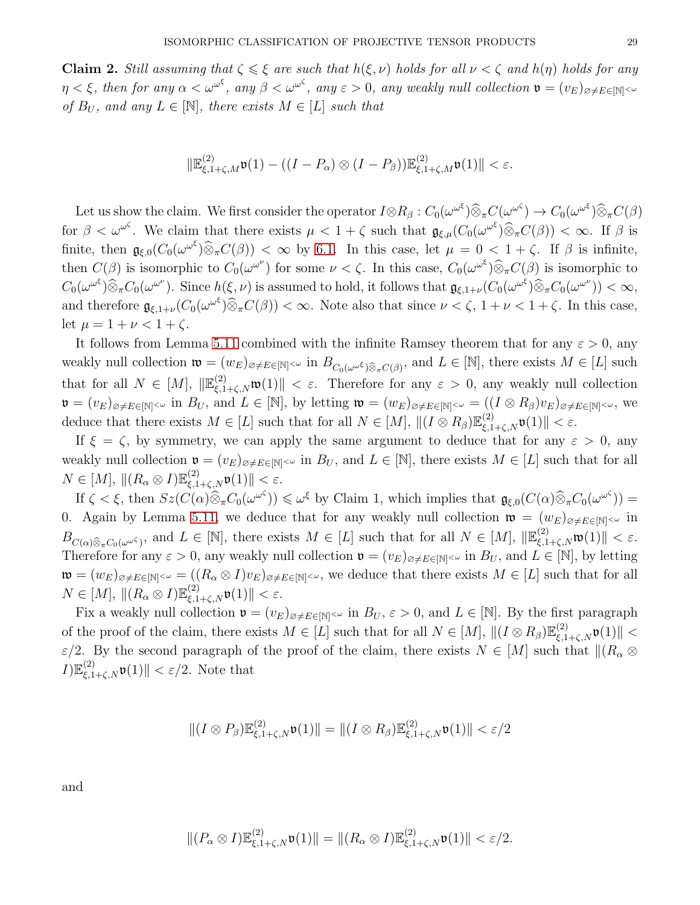**Claim 2.** Still assuming that  $\zeta \leq \xi$  are such that  $h(\xi, \nu)$  holds for all  $\nu < \zeta$  and  $h(\eta)$  holds for any  $\eta < \xi$ , then for any  $\alpha < \omega^{\omega^{\xi}}$ , any  $\beta < \omega^{\omega^{\zeta}}$ , any  $\varepsilon > 0$ , any weakly null collection  $\mathfrak{v} = (v_E)_{\varnothing \neq E \in [\mathbb{N}]^{<\omega}}$ of  $B_U$ , and any  $L \in [\mathbb{N}]$ , there exists  $M \in [L]$  such that

$$
\|\mathbb{E}^{(2)}_{\xi,1+\zeta,M}\mathfrak{v}(1)-((I-P_\alpha)\otimes (I-P_\beta))\mathbb{E}^{(2)}_{\xi,1+\zeta,M}\mathfrak{v}(1)\|<\varepsilon.
$$

Let us show the claim. We first consider the operator  $I \otimes R_\beta : C_0(\omega^{\omega^\xi}) \widehat{\otimes}_\pi C(\omega^{\omega^\zeta}) \to C_0(\omega^{\omega^\xi}) \widehat{\otimes}_\pi C(\beta)$ for  $\beta < \omega^{\omega^{\zeta}}$ . We claim that there exists  $\mu < 1 + \zeta$  such that  $\mathfrak{g}_{\xi,\mu}(C_0(\omega^{\omega^{\xi}})\widehat{\otimes}_{\pi}C(\beta)) < \infty$ . If  $\beta$  is finite, then  $\mathfrak{g}_{\xi,0}(C_0(\omega^{\omega^{\xi}})\widehat{\otimes}_{\pi}C(\beta)) \leq \infty$  by [6.1.](#page-24-1) In this case, let  $\mu = 0 \leq 1 + \zeta$ . If  $\beta$  is infinite, then  $C(\beta)$  is isomorphic to  $C_0(\omega^{\omega^{\nu}})$  for some  $\nu < \zeta$ . In this case,  $C_0(\omega^{\omega^{\zeta}}) \widehat{\otimes}_{\pi} C(\beta)$  is isomorphic to  $C_0(\omega^{\omega^{\xi}}) \widehat{\otimes}_{\pi} C_0(\omega^{\omega^{\nu}})$ . Since  $h(\xi, \nu)$  is assumed to hold, it follows that  $\mathfrak{g}_{\xi, 1+\nu}(C_0(\omega^{\omega^{\xi}}) \widehat{\otimes}_{\pi} C_0(\omega^{\omega^{\nu}})) < \infty$ , and therefore  $\mathfrak{g}_{\xi,1+\nu}(C_0(\omega^{\omega^{\xi}})\widehat{\otimes}_{\pi}C(\beta)) < \infty$ . Note also that since  $\nu < \zeta$ ,  $1+\nu < 1+\zeta$ . In this case, let  $\mu = 1 + \nu < 1 + \zeta$ .

It follows from Lemma [5.11](#page-19-1) combined with the infinite Ramsey theorem that for any  $\varepsilon > 0$ , any weakly null collection  $\mathfrak{w} = (w_E)_{\emptyset \neq E \in [\mathbb{N}]^{<\omega}}$  in  $B_{C_0(\omega^{\omega^{\xi}}) \widehat{\otimes}_{\pi} C(\beta)}$ , and  $L \in [\mathbb{N}]$ , there exists  $M \in [L]$  such that for all  $N \in [M]$ ,  $\|\mathbb{E}_{\xi,1+\zeta,N}^{(2)}\mathfrak{w}(1)\| < \varepsilon$ . Therefore for any  $\varepsilon > 0$ , any weakly null collection  $\mathfrak{v} = (v_E)_{\emptyset \neq E \in [\mathbb{N}]^{< \omega}}$  in  $B_U$ , and  $L \in [\mathbb{N}]$ , by letting  $\mathfrak{w} = (w_E)_{\emptyset \neq E \in [\mathbb{N}]^{< \omega}} = ((I \otimes R_\beta) v_E)_{\emptyset \neq E \in [\mathbb{N}]^{< \omega}}$ , we deduce that there exists  $M \in [L]$  such that for all  $N \in [M]$ ,  $\|(I \otimes R_{\beta})\mathbb{E}_{\xi,1+\zeta,N}^{(2)}\mathfrak{v}(1)\| < \varepsilon$ .

If  $\xi = \zeta$ , by symmetry, we can apply the same argument to deduce that for any  $\varepsilon > 0$ , any weakly null collection  $\mathfrak{v} = (v_E)_{\emptyset \neq E \in [\mathbb{N}]^{<\omega}}$  in  $B_U$ , and  $L \in [\mathbb{N}]$ , there exists  $M \in [L]$  such that for all  $N \in [M], \| (R_\alpha \otimes I) \mathbb{E}_{\xi,1+\zeta,N}^{(2)} \mathfrak{v}(1) \| < \varepsilon.$ 

If  $\zeta < \xi$ , then  $Sz(C(\alpha)\widehat{\otimes}_{\pi}C_0(\omega^{\omega^{\zeta}})) \leq \omega^{\xi}$  by Claim 1, which implies that  $\mathfrak{g}_{\xi,0}(C(\alpha)\widehat{\otimes}_{\pi}C_0(\omega^{\omega^{\zeta}})) =$ 0. Again by Lemma [5.11,](#page-19-1) we deduce that for any weakly null collection  $\mathfrak{w} = (w_E)_{\emptyset \neq E \in [\mathbb{N}]^{< \omega}}$  in  $B_{C(\alpha)\widehat{\otimes}_{\pi}C_0(\omega^{\omega\zeta})}$ , and  $L \in [\mathbb{N}]$ , there exists  $M \in [L]$  such that for all  $N \in [M]$ ,  $\|\mathbb{E}_{\zeta,1+\zeta,N}^{(2)}\mathfrak{w}(1)\| < \varepsilon$ . Therefore for any  $\varepsilon > 0$ , any weakly null collection  $\mathfrak{v} = (v_E)_{\varnothing \neq E \in [\mathbb{N}]^{<\omega}}$  in  $B_U$ , and  $L \in [\mathbb{N}]$ , by letting  $\mathfrak{w} = (w_E)_{\emptyset \neq E \in [\mathbb{N}]^{<\omega}} = ((R_\alpha \otimes I) v_E)_{\emptyset \neq E \in [\mathbb{N}]^{<\omega}},$  we deduce that there exists  $M \in [L]$  such that for all  $N \in [M], \| (R_\alpha \otimes I) \mathbb{E}_{\xi,1+\zeta,N}^{(2)} \mathfrak{v}(1) \| < \varepsilon.$ 

Fix a weakly null collection  $\mathfrak{v} = (v_E)_{\emptyset \neq E \in [\mathbb{N}]^{< \omega}}$  in  $B_U$ ,  $\varepsilon > 0$ , and  $L \in [\mathbb{N}]$ . By the first paragraph of the proof of the claim, there exists  $M \in [L]$  such that for all  $N \in [M]$ ,  $\|(I \otimes R_{\beta})\mathbb{E}_{\xi,1+\zeta,N}^{(2)}\mathfrak{v}(1)\|$  < ε/2. By the second paragraph of the proof of the claim, there exists  $N \in [M]$  such that  $|| (R_{\alpha} \otimes$  $I \big| \mathbb{E}_{\xi, 1+\zeta, N}^{(2)} \mathfrak{v}(1) \big| < \varepsilon/2$ . Note that

$$
\|(I\otimes P_{\beta})\mathbb{E}^{(2)}_{\xi,1+\zeta,N}\mathfrak{v}(1)\|=\|(I\otimes R_{\beta})\mathbb{E}^{(2)}_{\xi,1+\zeta,N}\mathfrak{v}(1)\|<\varepsilon/2
$$

and

$$
\|(P_\alpha\otimes I)\mathbb{E}^{(2)}_{\xi,1+\zeta,N}\mathfrak{v}(1)\|=\|(R_\alpha\otimes I)\mathbb{E}^{(2)}_{\xi,1+\zeta,N}\mathfrak{v}(1)\|<\varepsilon/2.
$$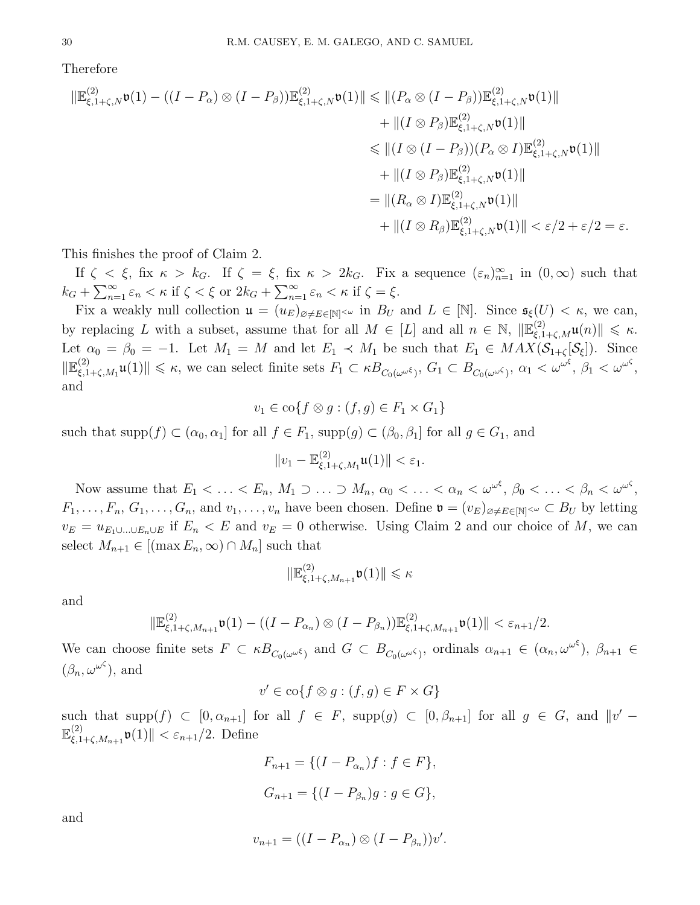Therefore

$$
\|\mathbb{E}_{\xi,1+\zeta,N}^{(2)}\mathfrak{v}(1) - ((I - P_{\alpha}) \otimes (I - P_{\beta}))\mathbb{E}_{\xi,1+\zeta,N}^{(2)}\mathfrak{v}(1)\| \leq \|(P_{\alpha} \otimes (I - P_{\beta}))\mathbb{E}_{\xi,1+\zeta,N}^{(2)}\mathfrak{v}(1)\| \n+ \|(I \otimes P_{\beta})\mathbb{E}_{\xi,1+\zeta,N}^{(2)}\mathfrak{v}(1)\| \n\leq \|(I \otimes (I - P_{\beta}))(P_{\alpha} \otimes I)\mathbb{E}_{\xi,1+\zeta,N}^{(2)}\mathfrak{v}(1)\| \n+ \|(I \otimes P_{\beta})\mathbb{E}_{\xi,1+\zeta,N}^{(2)}\mathfrak{v}(1)\| \n= \|(R_{\alpha} \otimes I)\mathbb{E}_{\xi,1+\zeta,N}^{(2)}\mathfrak{v}(1)\| \n+ \|(I \otimes R_{\beta})\mathbb{E}_{\xi,1+\zeta,N}^{(2)}\mathfrak{v}(1)\| < \varepsilon/2 + \varepsilon/2 = \varepsilon.
$$

This finishes the proof of Claim 2.

If  $\zeta < \xi$ , fix  $\kappa > k_G$ . If  $\zeta = \xi$ , fix  $\kappa > 2k_G$ . Fix a sequence  $(\varepsilon_n)_{n=1}^{\infty}$  in  $(0, \infty)$  such that  $k_G + \sum_{n=1}^{\infty} \varepsilon_n < \kappa$  if  $\zeta < \xi$  or  $2k_G + \sum_{n=1}^{\infty} \varepsilon_n < \kappa$  if  $\zeta = \xi$ .

Fix a weakly null collection  $\mathfrak{u} = (u_E)_{\emptyset \neq E \in [\mathbb{N}]^{<\omega}}$  in  $B_U$  and  $L \in [\mathbb{N}]$ . Since  $\mathfrak{s}_{\xi}(U) < \kappa$ , we can, by replacing L with a subset, assume that for all  $M \in [L]$  and all  $n \in \mathbb{N}$ ,  $\|\mathbb{E}_{\xi,1+\zeta,M}^{(2)}\mathfrak{u}(n)\| \leq \kappa$ . Let  $\alpha_0 = \beta_0 = -1$ . Let  $M_1 = M$  and let  $E_1 \prec M_1$  be such that  $E_1 \in MAX(\mathcal{S}_{1+\zeta}[\mathcal{S}_{\xi}])$ . Since  $\mathbb{E}^{(2)}_{\xi,1}$  $\mathcal{L}_{\xi,1+\zeta,M_1}\mathfrak{u}(1)\| \leq \kappa$ , we can select finite sets  $F_1 \subset \kappa B_{C_0(\omega^{\omega^{\zeta}})}$ ,  $G_1 \subset B_{C_0(\omega^{\omega^{\zeta}})}$ ,  $\alpha_1 < \omega^{\omega^{\zeta}}$ ,  $\beta_1 < \omega^{\omega^{\zeta}}$ , and

$$
v_1 \in \mathrm{co}\{f \otimes g : (f,g) \in F_1 \times G_1\}
$$

such that  $\text{supp}(f) \subset (\alpha_0, \alpha_1]$  for all  $f \in F_1$ ,  $\text{supp}(g) \subset (\beta_0, \beta_1]$  for all  $g \in G_1$ , and

$$
||v_1-\mathbb{E}_{\xi,1+\zeta,M_1}^{(2)}\mathfrak{u}(1)||<\varepsilon_1.
$$

Now assume that  $E_1 < \ldots < E_n$ ,  $M_1 \supset \ldots \supset M_n$ ,  $\alpha_0 < \ldots < \alpha_n < \omega^{\omega^\xi}$ ,  $\beta_0 < \ldots < \beta_n < \omega^{\omega^\zeta}$ ,  $F_1, \ldots, F_n, G_1, \ldots, G_n$ , and  $v_1, \ldots, v_n$  have been chosen. Define  $\mathfrak{v} = (v_E)_{\emptyset \neq E \in [\mathbb{N}]^{<\omega}} \subset B_U$  by letting  $v_E = u_{E_1 \cup \ldots \cup E_n \cup E}$  if  $E_n < E$  and  $v_E = 0$  otherwise. Using Claim 2 and our choice of M, we can select  $M_{n+1} \in [(\max E_n, \infty) \cap M_n]$  such that

$$
\|\mathbb{E}^{(2)}_{\xi,1+\zeta,M_{n+1}}\mathfrak{v}(1)\|\leqslant \kappa
$$

and

$$
\|\mathbb{E}^{(2)}_{\xi,1+\zeta,M_{n+1}}\mathfrak{v}(1)-((I-P_{\alpha_n})\otimes (I-P_{\beta_n}))\mathbb{E}^{(2)}_{\xi,1+\zeta,M_{n+1}}\mathfrak{v}(1)\|<\varepsilon_{n+1}/2.
$$

We can choose finite sets  $F \subset \kappa B_{C_0(\omega^{\omega^\xi})}$  and  $G \subset B_{C_0(\omega^{\omega^\zeta})}$ , ordinals  $\alpha_{n+1} \in (\alpha_n, \omega^{\omega^\xi})$ ,  $\beta_{n+1} \in$  $(\beta_n, \omega^{\omega^{\zeta}})$ , and

$$
v' \in \text{co}\{f \otimes g : (f, g) \in F \times G\}
$$

such that  $\text{supp}(f) \subset [0, \alpha_{n+1}]$  for all  $f \in F$ ,  $\text{supp}(g) \subset [0, \beta_{n+1}]$  for all  $g \in G$ , and  $||v' \mathbb{E}^{(2)}$  $\|\xi_{\xi,1+\zeta,M_{n+1}}^{(2)}\mathfrak{v}(1)\| < \varepsilon_{n+1}/2.$  Define

$$
F_{n+1} = \{ (I - P_{\alpha_n})f : f \in F \},\
$$
  

$$
G_{n+1} = \{ (I - P_{\beta_n})g : g \in G \},\
$$

and

$$
v_{n+1} = ((I - P_{\alpha_n}) \otimes (I - P_{\beta_n}))v'.
$$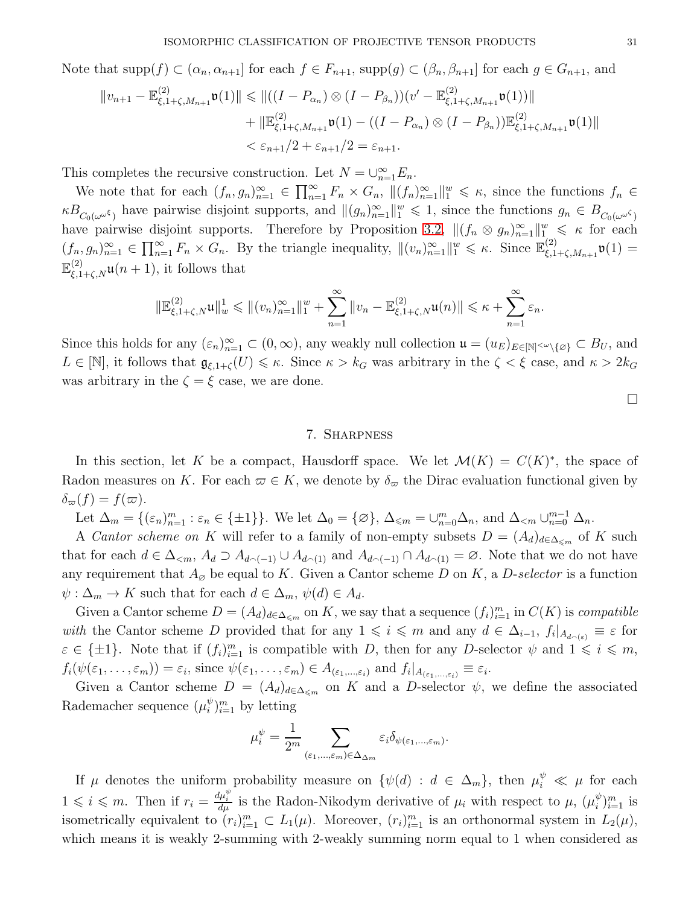Note that  $\text{supp}(f) \subset (\alpha_n, \alpha_{n+1}]$  for each  $f \in F_{n+1}$ ,  $\text{supp}(g) \subset (\beta_n, \beta_{n+1}]$  for each  $g \in G_{n+1}$ , and

$$
||v_{n+1} - \mathbb{E}^{(2)}_{\xi,1+\zeta,M_{n+1}} \mathfrak{v}(1)|| \le ||((I - P_{\alpha_n}) \otimes (I - P_{\beta_n}))(v' - \mathbb{E}^{(2)}_{\xi,1+\zeta,M_{n+1}} \mathfrak{v}(1))||
$$
  
+  $||\mathbb{E}^{(2)}_{\xi,1+\zeta,M_{n+1}} \mathfrak{v}(1) - ((I - P_{\alpha_n}) \otimes (I - P_{\beta_n}))\mathbb{E}^{(2)}_{\xi,1+\zeta,M_{n+1}} \mathfrak{v}(1)||$   
<  $\le \varepsilon_{n+1}/2 + \varepsilon_{n+1}/2 = \varepsilon_{n+1}.$ 

This completes the recursive construction. Let  $N = \bigcup_{n=1}^{\infty} E_n$ .

We note that for each  $(f_n, g_n)_{n=1}^{\infty} \in \prod_{n=1}^{\infty} F_n \times G_n$ ,  $||(f_n)_{n=1}^{\infty}||_1^w \leq \kappa$ , since the functions  $f_n \in$  $\kappa B_{C_0(\omega^{\omega^\zeta})}$  have pairwise disjoint supports, and  $\|(g_n)_{n=1}^{\infty}\|_{1}^w \leq 1$ , since the functions  $g_n \in B_{C_0(\omega^{\omega^\zeta})}$ have pairwise disjoint supports. Therefore by Proposition [3.2,](#page-7-1)  $\|(f_n \otimes g_n)_{n=1}^{\infty}\|_{L_{\infty}}^w \le \kappa$  for each  $(f_n, g_n)_{n=1}^{\infty} \in \prod_{n=1}^{\infty} F_n \times G_n$ . By the triangle inequality,  $\|(v_n)_{n=1}^{\infty}\|_{1}^w \leq \kappa$ . Since  $\mathbb{E}_{\xi,1}^{(2)}$  $\zeta^{(2)}_{\xi,1+\zeta,M_{n+1}}\mathfrak{v}(1)=$  $\mathbb{E}_{\xi,1+\zeta,N}^{(2)}\mathfrak{u}(n+1)$ , it follows that

$$
\|\mathbb{E}^{(2)}_{\xi,1+\zeta,N}\mathfrak{u}\|^1_w\leqslant\|(v_n)_{n=1}^\infty\|_1^w+\sum_{n=1}^\infty\|v_n-\mathbb{E}^{(2)}_{\xi,1+\zeta,N}\mathfrak{u}(n)\|\leqslant\kappa+\sum_{n=1}^\infty\varepsilon_n.
$$

Since this holds for any  $(\varepsilon_n)_{n=1}^{\infty} \subset (0,\infty)$ , any weakly null collection  $\mathfrak{u} = (u_E)_{E \in [\mathbb{N}] \le \omega \setminus \{\varnothing\}} \subset B_U$ , and  $L \in [\mathbb{N}]$ , it follows that  $\mathfrak{g}_{\xi,1+\zeta}(U) \leq \kappa$ . Since  $\kappa > k_G$  was arbitrary in the  $\zeta < \xi$  case, and  $\kappa > 2k_G$ was arbitrary in the  $\zeta = \xi$  case, we are done.

 $\Box$ 

#### 7. Sharpness

<span id="page-30-0"></span>In this section, let K be a compact, Hausdorff space. We let  $\mathcal{M}(K) = C(K)^*$ , the space of Radon measures on K. For each  $\varpi \in K$ , we denote by  $\delta_{\varpi}$  the Dirac evaluation functional given by  $\delta_{\varpi}(f) = f(\varpi).$ 

Let  $\Delta_m = \{ (\varepsilon_n)_{n=1}^m : \varepsilon_n \in \{\pm 1\} \}.$  We let  $\Delta_0 = \{ \varnothing \}, \Delta_{\leq m} = \bigcup_{n=0}^m \Delta_n$ , and  $\Delta_{\leq m} \cup_{n=0}^{m-1} \Delta_n$ .

A Cantor scheme on K will refer to a family of non-empty subsets  $D = (A_d)_{d \in \Delta_{\leq m}}$  of K such that for each  $d \in \Delta_{\leq m}$ ,  $A_d \supset A_{d \cap (-1)} \cup A_{d \cap (1)}$  and  $A_{d \cap (-1)} \cap A_{d \cap (1)} = \emptyset$ . Note that we do not have any requirement that  $A_{\varnothing}$  be equal to K. Given a Cantor scheme D on K, a D-selector is a function  $\psi: \Delta_m \to K$  such that for each  $d \in \Delta_m$ ,  $\psi(d) \in A_d$ .

Given a Cantor scheme  $D = (A_d)_{d \in \Delta_{\leq m}}$  on K, we say that a sequence  $(f_i)_{i=1}^m$  in  $C(K)$  is *compatible* with the Cantor scheme D provided that for any  $1 \leq i \leq m$  and any  $d \in \Delta_{i-1}$ ,  $f_i|_{A_{d \cap \{\varepsilon\}}} \equiv \varepsilon$  for  $\varepsilon \in {\pm 1}$ . Note that if  $(f_i)_{i=1}^m$  is compatible with D, then for any D-selector  $\psi$  and  $1 \leq i \leq m$ ,  $f_i(\psi(\varepsilon_1,\ldots,\varepsilon_m))=\varepsilon_i$ , since  $\psi(\varepsilon_1,\ldots,\varepsilon_m)\in A_{(\varepsilon_1,\ldots,\varepsilon_i)}$  and  $f_i|_{A_{(\varepsilon_1,\ldots,\varepsilon_i)}}\equiv\varepsilon_i$ .

Given a Cantor scheme  $D = (A_d)_{d \in \Delta_{\leq m}}$  on K and a D-selector  $\psi$ , we define the associated Rademacher sequence  $(\mu_i^{\psi})$  $\binom{w}{i}$ <sub>i-1</sub> by letting

$$
\mu_i^{\psi} = \frac{1}{2^m} \sum_{(\varepsilon_1,\ldots,\varepsilon_m) \in \Delta_{\Delta_m}} \varepsilon_i \delta_{\psi(\varepsilon_1,\ldots,\varepsilon_m)}.
$$

If  $\mu$  denotes the uniform probability measure on  $\{\psi(d) : d \in \Delta_m\}$ , then  $\mu_i^{\psi} \ll \mu$  for each  $1 \leq i \leq m$ . Then if  $r_i = \frac{d\mu_i^{\psi}}{d\mu}$  is the Radon-Nikodym derivative of  $\mu_i$  with respect to  $\mu$ ,  $(\mu_i^{\psi})$  $_{i}^{\psi})_{i=1}^{m}$  is isometrically equivalent to  $(r_i)_{i=1}^m \subset L_1(\mu)$ . Moreover,  $(r_i)_{i=1}^m$  is an orthonormal system in  $L_2(\mu)$ , which means it is weakly 2-summing with 2-weakly summing norm equal to 1 when considered as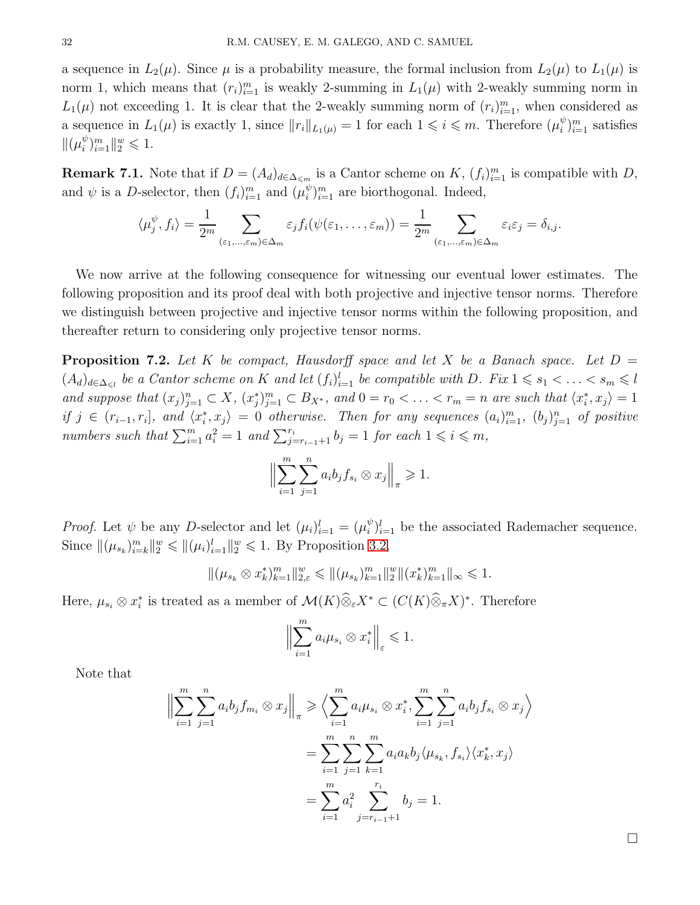a sequence in  $L_2(\mu)$ . Since  $\mu$  is a probability measure, the formal inclusion from  $L_2(\mu)$  to  $L_1(\mu)$  is norm 1, which means that  $(r_i)_{i=1}^m$  is weakly 2-summing in  $L_1(\mu)$  with 2-weakly summing norm in  $L_1(\mu)$  not exceeding 1. It is clear that the 2-weakly summing norm of  $(r_i)_{i=1}^m$ , when considered as a sequence in  $L_1(\mu)$  is exactly 1, since  $||r_i||_{L_1(\mu)} = 1$  for each  $1 \leq i \leq m$ . Therefore  $(\mu_i^{\psi})$  $_{i}^{\psi}$ <sub>i=1</sub> satisfies  $\|(\mu_i^{\psi}$  $_{i}^{\psi}$ <sub>i=1</sub> $\|_{2}^{w} \leq 1$ .

**Remark 7.1.** Note that if  $D = (A_d)_{d \in \Delta_{\leq m}}$  is a Cantor scheme on K,  $(f_i)_{i=1}^m$  is compatible with D, and  $\psi$  is a D-selector, then  $(f_i)_{i=1}^m$  and  $(\mu_i^{\psi})$  $\binom{\psi}{i}$ <sub>i'</sub> are biorthogonal. Indeed,

$$
\langle \mu_j^{\psi}, f_i \rangle = \frac{1}{2^m} \sum_{(\varepsilon_1, \ldots, \varepsilon_m) \in \Delta_m} \varepsilon_j f_i(\psi(\varepsilon_1, \ldots, \varepsilon_m)) = \frac{1}{2^m} \sum_{(\varepsilon_1, \ldots, \varepsilon_m) \in \Delta_m} \varepsilon_i \varepsilon_j = \delta_{i,j}.
$$

We now arrive at the following consequence for witnessing our eventual lower estimates. The following proposition and its proof deal with both projective and injective tensor norms. Therefore we distinguish between projective and injective tensor norms within the following proposition, and thereafter return to considering only projective tensor norms.

<span id="page-31-0"></span>**Proposition 7.2.** Let K be compact, Hausdorff space and let X be a Banach space. Let  $D =$  $(A_d)_{d \in \Delta_{\leq l}}$  be a Cantor scheme on K and let  $(f_i)_{i=1}^l$  be compatible with D. Fix  $1 \leq s_1 < \ldots < s_m \leq l$ and suppose that  $(x_j)_{j=1}^n \subset X$ ,  $(x_j^*)_{j=1}^m \subset B_{X^*}$ , and  $0 = r_0 < \ldots < r_m = n$  are such that  $\langle x_i^*, x_j \rangle = 1$ if  $j \in (r_{i-1}, r_i]$ , and  $\langle x_i^*, x_j \rangle = 0$  otherwise. Then for any sequences  $(a_i)_{i=1}^m$ ,  $(b_j)_{j=1}^n$  of positive numbers such that  $\sum_{i=1}^{m} a_i^2 = 1$  and  $\sum_{j=r_{i-1}+1}^{r_i} b_j = 1$  for each  $1 \leq i \leq m$ ,

$$
\Big\|\sum_{i=1}^m\sum_{j=1}^n a_ib_jf_{s_i}\otimes x_j\Big\|_{\pi}\geq 1.
$$

*Proof.* Let  $\psi$  be any *D*-selector and let  $(\mu_i)_{i=1}^l = (\mu_i^{\psi})$  $\psi_i^{\psi}$ <sub>i=1</sub> be the associated Rademacher sequence. Since  $\|(\mu_{s_k})_{i=k}^m\|_2^w \leq \|\mu_i\|_{i=1}^l\|_2^w \leq 1$ . By Proposition [3.2,](#page-7-1)

$$
\|(\mu_{s_k} \otimes x_k^*)_{k=1}^m\|_{2,\varepsilon}^w \leq \|\mu_{s_k}\|_{k=1}^m\|_{2}^w \|\mu_{s_k}\|_{k=1}^m\|_{\infty} \leq 1.
$$

Here,  $\mu_{s_i} \otimes x_i^*$  is treated as a member of  $\mathcal{M}(K) \otimes_{\varepsilon} X^* \subset (C(K) \otimes_{\pi} X)^*$ . Therefore

$$
\left\|\sum_{i=1}^m a_i \mu_{s_i} \otimes x_i^*\right\|_{\varepsilon} \leq 1.
$$

Note that

$$
\left\| \sum_{i=1}^{m} \sum_{j=1}^{n} a_{i} b_{j} f_{m_{i}} \otimes x_{j} \right\|_{\pi} \geq \left\langle \sum_{i=1}^{m} a_{i} \mu_{s_{i}} \otimes x_{i}^{*}, \sum_{i=1}^{m} \sum_{j=1}^{n} a_{i} b_{j} f_{s_{i}} \otimes x_{j} \right\rangle
$$

$$
= \sum_{i=1}^{m} \sum_{j=1}^{n} \sum_{k=1}^{m} a_{i} a_{k} b_{j} \langle \mu_{s_{k}}, f_{s_{i}} \rangle \langle x_{k}^{*}, x_{j} \rangle
$$

$$
= \sum_{i=1}^{m} a_{i}^{2} \sum_{j=r_{i-1}+1}^{r_{i}} b_{j} = 1.
$$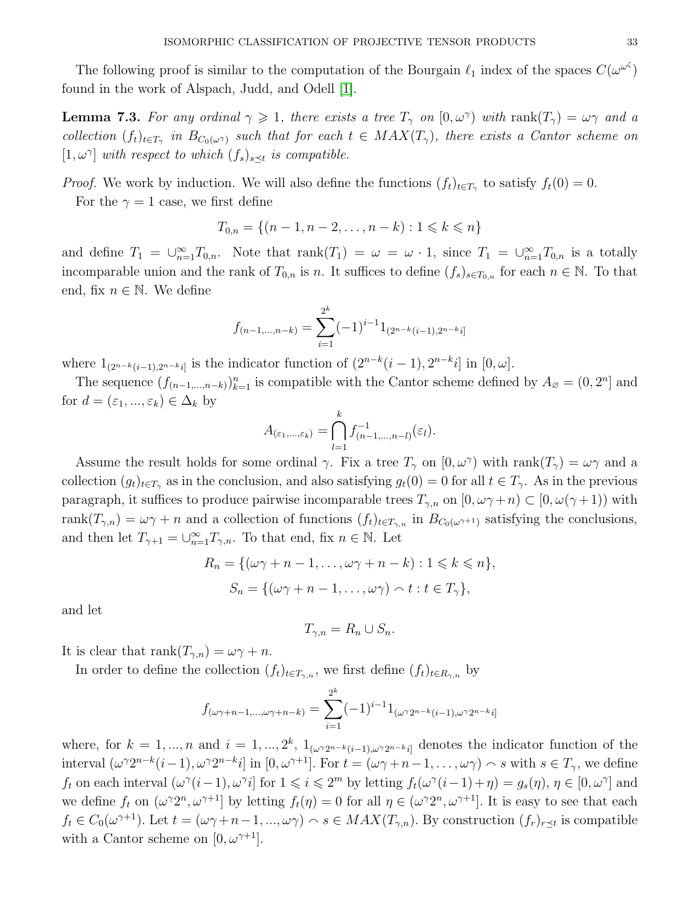The following proof is similar to the computation of the Bourgain  $\ell_1$  index of the spaces  $C(\omega^{\omega^{\zeta}})$ found in the work of Alspach, Judd, and Odell [\[1\]](#page-37-5).

<span id="page-32-0"></span>**Lemma 7.3.** For any ordinal  $\gamma \geq 1$ , there exists a tree  $T_{\gamma}$  on  $[0, \omega^{\gamma})$  with  $\text{rank}(T_{\gamma}) = \omega \gamma$  and a collection  $(f_t)_{t\in T_\gamma}$  in  $B_{C_0(\omega\gamma)}$  such that for each  $t\in MAX(T_\gamma)$ , there exists a Cantor scheme on  $[1, \omega^{\gamma}]$  with respect to which  $(f_s)_{s \preceq t}$  is compatible.

*Proof.* We work by induction. We will also define the functions  $(f_t)_{t \in T_\gamma}$  to satisfy  $f_t(0) = 0$ . For the  $\gamma = 1$  case, we first define

$$
T_{0,n} = \{(n-1, n-2, \dots, n-k) : 1 \leq k \leq n\}
$$

and define  $T_1 = \bigcup_{n=1}^{\infty} T_{0,n}$ . Note that  $\text{rank}(T_1) = \omega = \omega \cdot 1$ , since  $T_1 = \bigcup_{n=1}^{\infty} T_{0,n}$  is a totally incomparable union and the rank of  $T_{0,n}$  is n. It suffices to define  $(f_s)_{s\in T_{0,n}}$  for each  $n \in \mathbb{N}$ . To that end, fix  $n \in \mathbb{N}$ . We define

$$
f_{(n-1,...,n-k)} = \sum_{i=1}^{2^k} (-1)^{i-1} 1_{(2^{n-k}(i-1),2^{n-k}i]}
$$

where  $1_{(2^{n-k}(i-1),2^{n-k}i]}$  is the indicator function of  $(2^{n-k}(i-1),2^{n-k}i]$  in  $[0,\omega]$ .

The sequence  $(f_{(n-1,...,n-k)})_{k=1}^n$  is compatible with the Cantor scheme defined by  $A_{\varnothing} = (0, 2^n]$  and for  $d = (\varepsilon_1, ..., \varepsilon_k) \in \Delta_k$  by

$$
A_{(\varepsilon_1,\ldots,\varepsilon_k)} = \bigcap_{l=1}^k f_{(n-1,\ldots,n-l)}^{-1}(\varepsilon_l).
$$

Assume the result holds for some ordinal  $\gamma$ . Fix a tree  $T_{\gamma}$  on  $[0,\omega^{\gamma})$  with rank $(T_{\gamma}) = \omega \gamma$  and a collection  $(g_t)_{t\in T_\gamma}$  as in the conclusion, and also satisfying  $g_t(0) = 0$  for all  $t \in T_\gamma$ . As in the previous paragraph, it suffices to produce pairwise incomparable trees  $T_{\gamma,n}$  on  $[0, \omega\gamma+n] \subset [0, \omega(\gamma+1))$  with rank $(T_{\gamma,n}) = \omega \gamma + n$  and a collection of functions  $(f_t)_{t \in T_{\gamma,n}}$  in  $B_{C_0(\omega^{\gamma+1})}$  satisfying the conclusions, and then let  $T_{\gamma+1} = \bigcup_{n=1}^{\infty} T_{\gamma,n}$ . To that end, fix  $n \in \mathbb{N}$ . Let

$$
R_n = \{ (\omega \gamma + n - 1, \dots, \omega \gamma + n - k) : 1 \leq k \leq n \},
$$
  

$$
S_n = \{ (\omega \gamma + n - 1, \dots, \omega \gamma) \cap t : t \in T_{\gamma} \},
$$

and let

$$
T_{\gamma,n} = R_n \cup S_n.
$$

It is clear that  $\text{rank}(T_{\gamma,n}) = \omega \gamma + n$ .

In order to define the collection  $(f_t)_{t \in T_{\gamma,n}}$ , we first define  $(f_t)_{t \in R_{\gamma,n}}$  by

$$
f_{(\omega\gamma+n-1,...,\omega\gamma+n-k)} = \sum_{i=1}^{2^k} (-1)^{i-1} 1_{(\omega\gamma 2^{n-k}(i-1),\omega\gamma 2^{n-k}i]}
$$

where, for  $k = 1, ..., n$  and  $i = 1, ..., 2^k$ ,  $1_{(\omega^{\gamma}2^{n-k}(i-1), \omega^{\gamma}2^{n-k}i]}$  denotes the indicator function of the interval  $(\omega^{\gamma}2^{n-k}(i-1), \omega^{\gamma}2^{n-k}i]$  in  $[0, \omega^{\gamma+1}]$ . For  $t = (\omega \gamma + n - 1, \ldots, \omega \gamma) \wedge s$  with  $s \in T_{\gamma}$ , we define  $f_t$  on each interval  $(\omega^{\gamma}(i-1), \omega^{\gamma}i]$  for  $1 \leqslant i \leqslant 2^m$  by letting  $f_t(\omega^{\gamma}(i-1)+\eta) = g_s(\eta), \eta \in [0, \omega^{\gamma}]$  and we define  $f_t$  on  $(\omega^{\gamma}2^{n}, \omega^{\gamma+1}]$  by letting  $f_t(\eta) = 0$  for all  $\eta \in (\omega^{\gamma}2^{n}, \omega^{\gamma+1}]$ . It is easy to see that each  $f_t \in C_0(\omega^{\gamma+1})$ . Let  $t = (\omega \gamma + n - 1, ..., \omega \gamma) \cap s \in MAX(T_{\gamma,n})$ . By construction  $(f_r)_{r \le t}$  is compatible with a Cantor scheme on  $[0, \omega^{\gamma+1}]$ .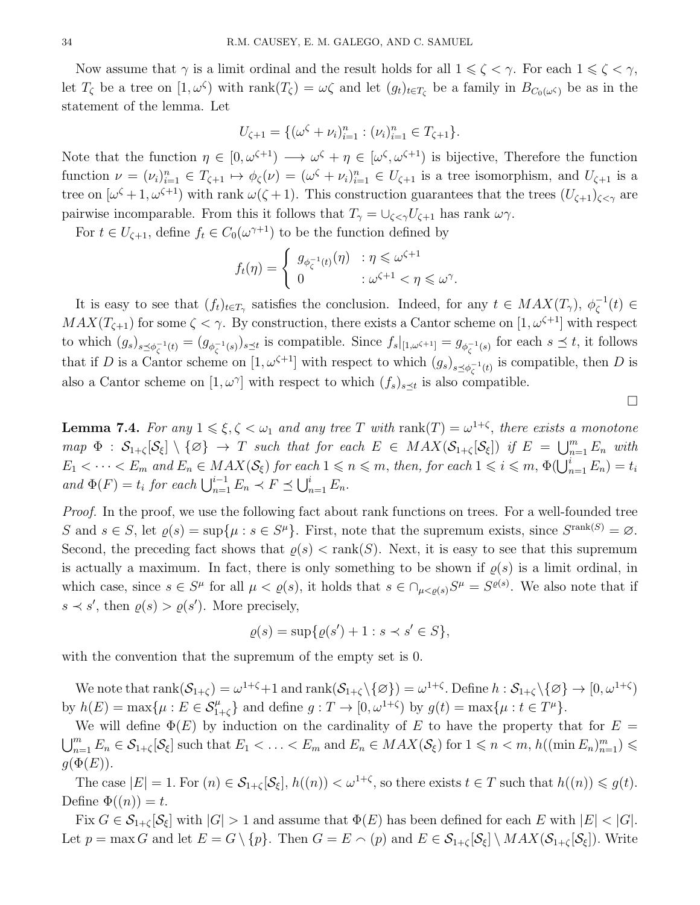Now assume that  $\gamma$  is a limit ordinal and the result holds for all  $1 \leq \zeta < \gamma$ . For each  $1 \leq \zeta < \gamma$ , let  $T_{\zeta}$  be a tree on  $[1, \omega^{\zeta}]$  with  $rank(T_{\zeta}) = \omega \zeta$  and let  $(g_t)_{t \in T_{\zeta}}$  be a family in  $B_{C_0(\omega^{\zeta})}$  be as in the statement of the lemma. Let

$$
U_{\zeta+1} = \{ (\omega^{\zeta} + \nu_i)_{i=1}^n : (\nu_i)_{i=1}^n \in T_{\zeta+1} \}.
$$

Note that the function  $\eta \in [0, \omega^{\zeta+1}) \longrightarrow \omega^{\zeta} + \eta \in [\omega^{\zeta}, \omega^{\zeta+1})$  is bijective, Therefore the function function  $\nu = (\nu_i)_{i=1}^n \in T_{\zeta+1} \mapsto \phi_{\zeta}(\nu) = (\omega^{\zeta} + \nu_i)_{i=1}^n \in U_{\zeta+1}$  is a tree isomorphism, and  $U_{\zeta+1}$  is a tree on  $[\omega^{\zeta}+1,\omega^{\zeta+1})$  with rank  $\omega(\zeta+1)$ . This construction guarantees that the trees  $(U_{\zeta+1})_{\zeta<\gamma}$  are pairwise incomparable. From this it follows that  $T_{\gamma} = \bigcup_{\zeta \leq \gamma} U_{\zeta+1}$  has rank  $\omega \gamma$ .

For  $t \in U_{\zeta+1}$ , define  $f_t \in C_0(\omega^{\gamma+1})$  to be the function defined by

$$
f_t(\eta) = \begin{cases} g_{\phi_{\zeta}^{-1}(t)}(\eta) & : \eta \leq \omega^{\zeta+1} \\ 0 & : \omega^{\zeta+1} < \eta \leq \omega^{\gamma}. \end{cases}
$$

It is easy to see that  $(f_t)_{t\in T_\gamma}$  satisfies the conclusion. Indeed, for any  $t\in MAX(T_\gamma), \phi_{\zeta}^{-1}(t) \in$  $MAX(T_{\zeta+1})$  for some  $\zeta < \gamma$ . By construction, there exists a Cantor scheme on  $[1, \omega^{\zeta+1}]$  with respect to which  $(g_s)_{s \preceq \phi_{\zeta}^{-1}(t)} = (g_{\phi_{\zeta}^{-1}(s)})_{s \preceq t}$  is compatible. Since  $f_s|_{[1,\omega^{\zeta+1}]} = g_{\phi_{\zeta}^{-1}(s)}$  for each  $s \preceq t$ , it follows that if D is a Cantor scheme on  $[1, \omega^{\zeta+1}]$  with respect to which  $(g_s)_{s \preceq \phi_{\zeta}^{-1}(t)}$  is compatible, then D is also a Cantor scheme on  $[1, \omega^{\gamma}]$  with respect to which  $(f_s)_{s \leq t}$  is also compatible.

<span id="page-33-0"></span>**Lemma 7.4.** For any  $1 \le \xi, \zeta < \omega_1$  and any tree T with rank(T) =  $\omega^{1+\zeta}$ , there exists a monotone  $map \Phi : S_{1+\zeta}[\mathcal{S}_{\xi}] \setminus \{\varnothing\} \rightarrow T$  such that for each  $E \in MAX(S_{1+\zeta}[\mathcal{S}_{\xi}])$  if  $E = \bigcup_{n=1}^{m} E_n$  with  $E_1 < \cdots < E_m$  and  $E_n \in MAX(S_{\xi})$  for each  $1 \leqslant n \leqslant m$ , then, for each  $1 \leqslant i \leqslant m$ ,  $\Phi(\bigcup_{n=1}^{i} E_n) = t_i$ and  $\Phi(F) = t_i$  for each  $\bigcup_{n=1}^{i-1} E_n \prec F \preceq \bigcup_{n=1}^{i} E_n$ .

Proof. In the proof, we use the following fact about rank functions on trees. For a well-founded tree S and  $s \in S$ , let  $\varrho(s) = \sup\{\mu : s \in S^{\mu}\}\$ . First, note that the supremum exists, since  $S^{\text{rank}(S)} = \varnothing$ . Second, the preceding fact shows that  $\rho(s) < \text{rank}(S)$ . Next, it is easy to see that this supremum is actually a maximum. In fact, there is only something to be shown if  $\rho(s)$  is a limit ordinal, in which case, since  $s \in S^{\mu}$  for all  $\mu < \varrho(s)$ , it holds that  $s \in \bigcap_{\mu < \varrho(s)} S^{\mu} = S^{\varrho(s)}$ . We also note that if  $s \prec s'$ , then  $\varrho(s) > \varrho(s')$ . More precisely,

$$
\varrho(s) = \sup \{ \varrho(s') + 1 : s \prec s' \in S \},\
$$

with the convention that the supremum of the empty set is 0.

We note that  $\text{rank}(\mathcal{S}_{1+\zeta}) = \omega^{1+\zeta} + 1$  and  $\text{rank}(\mathcal{S}_{1+\zeta}\setminus\{\varnothing\}) = \omega^{1+\zeta}$ . Define  $h: \mathcal{S}_{1+\zeta}\setminus\{\varnothing\} \to [0, \omega^{1+\zeta})$ by  $h(E) = \max\{\mu : E \in \mathcal{S}_{1+\zeta}^{\mu}\}\$ and define  $g: T \to [0, \omega^{1+\zeta})$  by  $g(t) = \max\{\mu : t \in T^{\mu}\}.$ 

We will define  $\Phi(E)$  by induction on the cardinality of E to have the property that for  $E =$  $\bigcup_{n=1}^m E_n \in \mathcal{S}_{1+\zeta}[\mathcal{S}_{\xi}]$  such that  $E_1 < \ldots < E_m$  and  $E_n \in MAX(\mathcal{S}_{\xi})$  for  $1 \leqslant n < m$ ,  $h((\min E_n)_{n=1}^m) \leqslant$  $g(\Phi(E)).$ 

The case  $|E| = 1$ . For  $(n) \in S_{1+\zeta}[\mathcal{S}_{\xi}], h((n)) < \omega^{1+\zeta}$ , so there exists  $t \in T$  such that  $h((n)) \leq g(t)$ . Define  $\Phi((n)) = t$ .

Fix  $G \in \mathcal{S}_{1+\zeta}[\mathcal{S}_{\xi}]$  with  $|G| > 1$  and assume that  $\Phi(E)$  has been defined for each E with  $|E| < |G|$ . Let  $p = \max G$  and let  $E = G \setminus \{p\}$ . Then  $G = E \cap (p)$  and  $E \in S_{1+\zeta}[S_{\xi}] \setminus MAX(S_{1+\zeta}[S_{\xi}])$ . Write

 $\Box$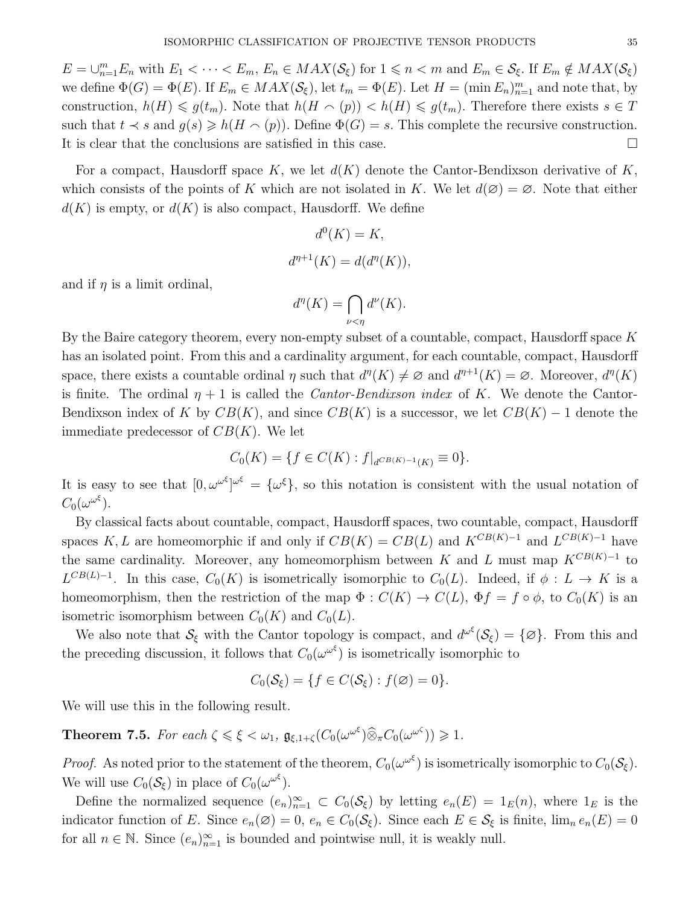$E = \bigcup_{n=1}^{m} E_n$  with  $E_1 < \cdots < E_m$ ,  $E_n \in MAX(S_{\xi})$  for  $1 \leq n < m$  and  $E_m \in S_{\xi}$ . If  $E_m \notin MAX(S_{\xi})$ we define  $\Phi(G) = \Phi(E)$ . If  $E_m \in MAX(S_{\xi})$ , let  $t_m = \Phi(E)$ . Let  $H = (\min E_n)_{n=1}^m$  and note that, by construction,  $h(H) \leq g(t_m)$ . Note that  $h(H \cap (p)) < h(H) \leq g(t_m)$ . Therefore there exists  $s \in T$ such that  $t \prec s$  and  $g(s) \geq h(H \cap (p))$ . Define  $\Phi(G) = s$ . This complete the recursive construction. It is clear that the conclusions are satisfied in this case.

For a compact, Hausdorff space K, we let  $d(K)$  denote the Cantor-Bendixson derivative of K, which consists of the points of K which are not isolated in K. We let  $d(\emptyset) = \emptyset$ . Note that either  $d(K)$  is empty, or  $d(K)$  is also compact, Hausdorff. We define

$$
d0(K) = K,
$$
  

$$
d\eta+1(K) = d(d\eta(K)),
$$

and if  $\eta$  is a limit ordinal,

$$
d^n(K) = \bigcap_{\nu < \eta} d^{\nu}(K).
$$

By the Baire category theorem, every non-empty subset of a countable, compact, Hausdorff space  $K$ has an isolated point. From this and a cardinality argument, for each countable, compact, Hausdorff space, there exists a countable ordinal  $\eta$  such that  $d^{\eta}(K) \neq \emptyset$  and  $d^{\eta+1}(K) = \emptyset$ . Moreover,  $d^{\eta}(K)$ is finite. The ordinal  $\eta + 1$  is called the *Cantor-Bendixson index* of K. We denote the Cantor-Bendixson index of K by  $CB(K)$ , and since  $CB(K)$  is a successor, we let  $CB(K) - 1$  denote the immediate predecessor of  $CB(K)$ . We let

$$
C_0(K) = \{ f \in C(K) : f|_{d^{CB(K)-1}(K)} \equiv 0 \}.
$$

It is easy to see that  $[0, \omega^{\omega^{\xi}}]^{\omega^{\xi}} = {\{\omega^{\xi}\}}$ , so this notation is consistent with the usual notation of  $C_0(\omega^{\omega^\xi}).$ 

By classical facts about countable, compact, Hausdorff spaces, two countable, compact, Hausdorff spaces K, L are homeomorphic if and only if  $CB(K) = CB(L)$  and  $K^{CB(K)-1}$  and  $L^{CB(K)-1}$  have the same cardinality. Moreover, any homeomorphism between K and L must map  $K^{CB(K)-1}$  to  $L^{CB(L)-1}$ . In this case,  $C_0(K)$  is isometrically isomorphic to  $C_0(L)$ . Indeed, if  $\phi: L \to K$  is a homeomorphism, then the restriction of the map  $\Phi: C(K) \to C(L)$ ,  $\Phi f = f \circ \phi$ , to  $C_0(K)$  is an isometric isomorphism between  $C_0(K)$  and  $C_0(L)$ .

We also note that  $\mathcal{S}_{\xi}$  with the Cantor topology is compact, and  $d^{\omega^{\xi}}(\mathcal{S}_{\xi}) = {\varnothing}$ . From this and the preceding discussion, it follows that  $C_0(\omega^{\omega^{\xi}})$  is isometrically isomorphic to

$$
C_0(\mathcal{S}_{\xi}) = \{f \in C(\mathcal{S}_{\xi}) : f(\varnothing) = 0\}.
$$

We will use this in the following result.

**Theorem 7.5.** For each  $\zeta \leq \xi < \omega_1$ ,  $\mathfrak{g}_{\xi,1+\zeta}(C_0(\omega^{\omega^{\xi}})) \widehat{\otimes}_{\pi} C_0(\omega^{\omega^{\zeta}})) \geq 1$ .

*Proof.* As noted prior to the statement of the theorem,  $C_0(\omega^{\omega^{\xi}})$  is isometrically isomorphic to  $C_0(\mathcal{S}_{\xi})$ . We will use  $C_0(\mathcal{S}_{\xi})$  in place of  $C_0(\omega^{\omega^{\xi}})$ .

Define the normalized sequence  $(e_n)_{n=1}^{\infty} \subset C_0(\mathcal{S}_{\xi})$  by letting  $e_n(E) = 1_E(n)$ , where  $1_E$  is the indicator function of E. Since  $e_n(\emptyset) = 0$ ,  $e_n \in C_0(\mathcal{S}_{\xi})$ . Since each  $E \in \mathcal{S}_{\xi}$  is finite,  $\lim_n e_n(E) = 0$ for all  $n \in \mathbb{N}$ . Since  $(e_n)_{n=1}^{\infty}$  is bounded and pointwise null, it is weakly null.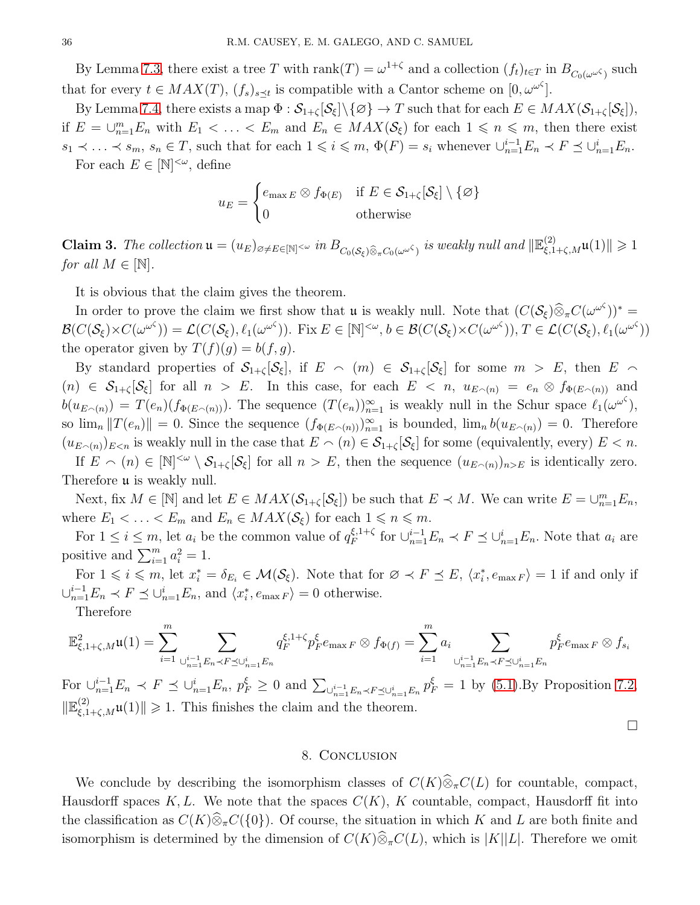By Lemma [7.3,](#page-32-0) there exist a tree T with  $rank(T) = \omega^{1+\zeta}$  and a collection  $(f_t)_{t \in T}$  in  $B_{C_0(\omega^{\omega^{\zeta}})}$  such that for every  $t \in MAX(T)$ ,  $(f_s)_{s \leq t}$  is compatible with a Cantor scheme on  $[0, \omega^{\omega^{\zeta}}]$ .

By Lemma [7.4,](#page-33-0) there exists a map  $\Phi : \mathcal{S}_{1+\zeta}[\mathcal{S}_{\xi}]\backslash\{\varnothing\} \to T$  such that for each  $E \in MAX(\mathcal{S}_{1+\zeta}[\mathcal{S}_{\xi}]),$ if  $E = \bigcup_{n=1}^m E_n$  with  $E_1 < \ldots < E_m$  and  $E_n \in MAX(S_{\xi})$  for each  $1 \leq n \leq m$ , then there exist  $s_1 \prec \ldots \prec s_m$ ,  $s_n \in T$ , such that for each  $1 \leqslant i \leqslant m$ ,  $\Phi(F) = s_i$  whenever  $\cup_{n=1}^{i-1} E_n \prec F \preceq \cup_{n=1}^{i} E_n$ .

For each  $E \in [\mathbb{N}]^{<\omega}$ , define

$$
u_E = \begin{cases} e_{\max E} \otimes f_{\Phi(E)} & \text{if } E \in \mathcal{S}_{1+\zeta}[\mathcal{S}_{\xi}] \setminus \{\varnothing\} \\ 0 & \text{otherwise} \end{cases}
$$

**Claim 3.** The collection  $\mathfrak{u} = (u_E)_{\emptyset \neq E \in [\mathbb{N}]^{<\omega}}$  in  $B_{C_0(S_{\xi}) \widehat{\otimes}_{\pi} C_0(\omega^{\omega^{\zeta}})}$  is weakly null and  $\|\mathbb{E}_{\xi,1+\zeta,M}^{(2)}\mathfrak{u}(1)\| \geq 1$ for all  $M \in \mathbb{N}$ .

It is obvious that the claim gives the theorem.

In order to prove the claim we first show that u is weakly null. Note that  $(C(S_\xi) \widehat{\otimes}_\pi C(\omega^{\omega^\zeta}))^* =$  $\mathcal{B}(C(\mathcal{S}_{\xi})\times C(\omega^{\omega^{\zeta}})) = \mathcal{L}(C(\mathcal{S}_{\xi}), \ell_1(\omega^{\omega^{\zeta}})).$  Fix  $E \in [\mathbb{N}]^{<\omega}, b \in \mathcal{B}(C(\mathcal{S}_{\xi})\times C(\omega^{\omega^{\zeta}})), T \in \mathcal{L}(C(\mathcal{S}_{\xi}), \ell_1(\omega^{\omega^{\zeta}}))$ the operator given by  $T(f)(g) = b(f, g)$ .

By standard properties of  $S_{1+\zeta}[\mathcal{S}_{\xi}]$ , if  $E \cap (m) \in S_{1+\zeta}[\mathcal{S}_{\xi}]$  for some  $m > E$ , then  $E \cap$  $(n) \in S_{1+\zeta}[\mathcal{S}_{\xi}]$  for all  $n > E$ . In this case, for each  $E < n$ ,  $u_{E(\alpha)} = e_n \otimes f_{\Phi(E(\alpha))}$  and  $b(u_{E_{\cap}(n)}) = T(e_n)(f_{\Phi(E_{\cap}(n))})$ . The sequence  $(T(e_n))_{n=1}^{\infty}$  is weakly null in the Schur space  $\ell_1(\omega^{\omega^{\zeta}})$ , so  $\lim_{n} ||T(e_n)|| = 0$ . Since the sequence  $(f_{\Phi(E \cap (n))})_{n=1}^{\infty}$  is bounded,  $\lim_{n} b(u_{E \cap (n)}) = 0$ . Therefore  $(u_{E<sub>n</sub>)}|_{E<sub>n</sub>}$  is weakly null in the case that  $E \n\sim (n) \in \mathcal{S}_{1+\zeta}[\mathcal{S}_{\xi}]$  for some (equivalently, every)  $E < n$ .

If  $E \n\cap (n) \in [\mathbb{N}]^{\lt \omega} \setminus \mathcal{S}_{1+\zeta}[\mathcal{S}_{\xi}]$  for all  $n > E$ , then the sequence  $(u_{E\wedge(n)})_{n>E}$  is identically zero. Therefore **u** is weakly null.

Next, fix  $M \in [\mathbb{N}]$  and let  $E \in MAX(\mathcal{S}_{1+\zeta}[\mathcal{S}_{\xi}])$  be such that  $E \prec M$ . We can write  $E = \cup_{n=1}^m E_n$ , where  $E_1 < \ldots < E_m$  and  $E_n \in MAX(S_{\xi})$  for each  $1 \leq n \leq m$ .

For  $1 \leq i \leq m$ , let  $a_i$  be the common value of  $q_F^{\xi,1+\zeta}$  $E_F^{\xi,1+\zeta}$  for  $\bigcup_{n=1}^{i-1} E_n \prec F \preceq \bigcup_{n=1}^{i} E_n$ . Note that  $a_i$  are positive and  $\sum_{i=1}^{m} a_i^2 = 1$ .

For  $1 \leq i \leq m$ , let  $x_i^* = \delta_{E_i} \in \mathcal{M}(\mathcal{S}_{\xi})$ . Note that for  $\varnothing \prec F \preceq E$ ,  $\langle x_i^*, e_{\max F} \rangle = 1$  if and only if  $\bigcup_{n=1}^{i-1} E_n \prec F \preceq \bigcup_{n=1}^{i} E_n$ , and  $\langle x_i^*, e_{\max F} \rangle = 0$  otherwise.

Therefore

$$
\mathbb{E}^{2}_{\xi,1+\zeta,M}\mathfrak{u}(1)=\sum_{i=1}^{m}\sum_{\cup_{n=1}^{i-1}E_{n}\prec F\preceq\cup_{n=1}^{i}E_{n}}q_{F}^{\xi,1+\zeta}p_{F}^{\xi}e_{\max F}\otimes f_{\Phi(f)}=\sum_{i=1}^{m}a_{i}\sum_{\cup_{n=1}^{i-1}E_{n}\prec F\preceq\cup_{n=1}^{i}E_{n}}p_{F}^{\xi}e_{\max F}\otimes f_{s_{i}}
$$

For  $\bigcup_{n=1}^{i-1} E_n \prec F \preceq \bigcup_{n=1}^{i} E_n$ ,  $p_F^{\xi} \geq 0$  and  $\sum_{\bigcup_{n=1}^{i-1} E_n \prec F \preceq \bigcup_{n=1}^{i} E_n} p_F^{\xi} = 1$  by [\(5.1\)](#page-13-0). By Proposition [7.2,](#page-31-0)  $\|\mathbb{E}^{(2)}_{\xi,1+\zeta,M}\mathfrak{u}(1)\|\geqslant 1.$  This finishes the claim and the theorem.

 $\Box$ 

#### 8. Conclusion

We conclude by describing the isomorphism classes of  $C(K)\widehat{\otimes}_\pi C(L)$  for countable, compact, Hausdorff spaces K, L. We note that the spaces  $C(K)$ , K countable, compact, Hausdorff fit into the classification as  $C(K)\widehat{\otimes}_{\pi}C({0})$ . Of course, the situation in which K and L are both finite and isomorphism is determined by the dimension of  $C(K)\widehat{\otimes}_{\pi}C(L)$ , which is  $|K||L|$ . Therefore we omit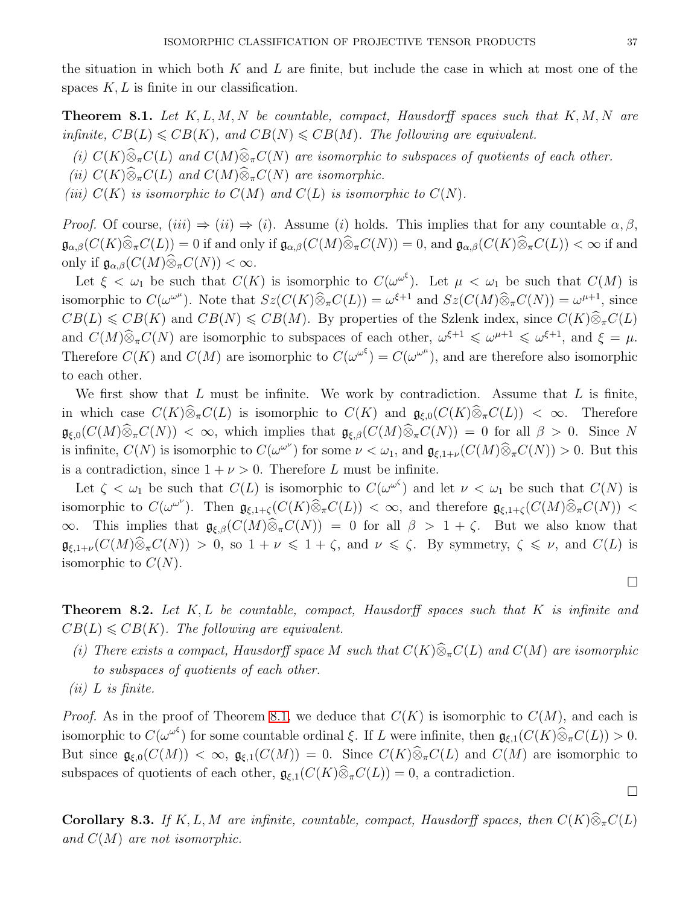the situation in which both  $K$  and  $L$  are finite, but include the case in which at most one of the spaces  $K, L$  is finite in our classification.

**Theorem 8.1.** Let  $K, L, M, N$  be countable, compact, Hausdorff spaces such that  $K, M, N$  are infinite,  $CB(L) \leqslant CB(K)$ , and  $CB(N) \leqslant CB(M)$ . The following are equivalent.

(i)  $C(K)\widehat{\otimes}_{\pi}C(L)$  and  $C(M)\widehat{\otimes}_{\pi}C(N)$  are isomorphic to subspaces of quotients of each other.

<span id="page-36-0"></span>(ii)  $C(K)\widehat{\otimes}_{\pi}C(L)$  and  $C(M)\widehat{\otimes}_{\pi}C(N)$  are isomorphic.

(iii)  $C(K)$  is isomorphic to  $C(M)$  and  $C(L)$  is isomorphic to  $C(N)$ .

*Proof.* Of course,  $(iii) \Rightarrow (ii) \Rightarrow (i)$ . Assume (i) holds. This implies that for any countable  $\alpha, \beta$ ,  $\mathfrak{g}_{\alpha,\beta}(C(K)\widehat{\otimes}_{\pi}C(L))=0$  if and only if  $\mathfrak{g}_{\alpha,\beta}(C(M)\widehat{\otimes}_{\pi}C(N))=0$ , and  $\mathfrak{g}_{\alpha,\beta}(C(K)\widehat{\otimes}_{\pi}C(L))<\infty$  if and only if  $\mathfrak{g}_{\alpha,\beta}(C(M)\widehat{\otimes}_{\pi}C(N)) < \infty$ .

Let  $\xi < \omega_1$  be such that  $C(K)$  is isomorphic to  $C(\omega^{\omega^{\xi}})$ . Let  $\mu < \omega_1$  be such that  $C(M)$  is isomorphic to  $C(\omega^{\omega^{\mu}})$ . Note that  $Sz(C(K)\widehat{\otimes}_{\pi}C(L)) = \omega^{\xi+1}$  and  $Sz(C(M)\widehat{\otimes}_{\pi}C(N)) = \omega^{\mu+1}$ , since  $CB(L) \leq CB(K)$  and  $CB(N) \leq CB(M)$ . By properties of the Szlenk index, since  $C(K)\widehat{\otimes}_{\pi}C(L)$ and  $C(M)\widehat{\otimes}_{\pi}C(N)$  are isomorphic to subspaces of each other,  $\omega^{\xi+1} \leq \omega^{\mu+1} \leq \omega^{\xi+1}$ , and  $\xi = \mu$ . Therefore  $C(K)$  and  $C(M)$  are isomorphic to  $C(\omega^{\omega^{\xi}}) = C(\omega^{\omega^{\mu}})$ , and are therefore also isomorphic to each other.

We first show that  $L$  must be infinite. We work by contradiction. Assume that  $L$  is finite, in which case  $C(K)\widehat{\otimes}_{\pi}C(L)$  is isomorphic to  $C(K)$  and  $\mathfrak{g}_{\xi,0}(C(K)\widehat{\otimes}_{\pi}C(L)) < \infty$ . Therefore  $\mathfrak{g}_{\xi,0}(C(M)\widehat{\otimes}_{\pi}C(N)) < \infty$ , which implies that  $\mathfrak{g}_{\xi,\beta}(C(M)\widehat{\otimes}_{\pi}C(N)) = 0$  for all  $\beta > 0$ . Since N is infinite,  $C(N)$  is isomorphic to  $C(\omega^{\omega^{\nu}})$  for some  $\nu < \omega_1$ , and  $\mathfrak{g}_{\xi,1+\nu}(C(M)\widehat{\otimes}_{\pi}C(N)) > 0$ . But this is a contradiction, since  $1 + \nu > 0$ . Therefore L must be infinite.

Let  $\zeta < \omega_1$  be such that  $C(L)$  is isomorphic to  $C(\omega^{\omega^{\zeta}})$  and let  $\nu < \omega_1$  be such that  $C(N)$  is isomorphic to  $C(\omega^{\omega^{\nu}})$ . Then  $\mathfrak{g}_{\xi,1+\zeta}(C(K)\widehat{\otimes}_{\pi}C(L)) < \infty$ , and therefore  $\mathfrak{g}_{\xi,1+\zeta}(C(M)\widehat{\otimes}_{\pi}C(N)) <$  $\infty$ . This implies that  $\mathfrak{g}_{\xi,\beta}(C(M)\widehat{\otimes}_{\pi}C(N)) = 0$  for all  $\beta > 1 + \zeta$ . But we also know that  $\mathfrak{g}_{\xi,1+\nu}(C(M)\widehat{\otimes}_{\pi}C(N)) > 0$ , so  $1+\nu \leq 1+\zeta$ , and  $\nu \leq \zeta$ . By symmetry,  $\zeta \leq \nu$ , and  $C(L)$  is isomorphic to  $C(N)$ .

**Theorem 8.2.** Let  $K, L$  be countable, compact, Hausdorff spaces such that  $K$  is infinite and  $CB(L) \leqslant CB(K)$ . The following are equivalent.

- (i) There exists a compact, Hausdorff space M such that  $C(K)\widehat{\otimes}_{\pi}C(L)$  and  $C(M)$  are isomorphic to subspaces of quotients of each other.
- $(ii)$  L is finite.

*Proof.* As in the proof of Theorem [8.1,](#page-36-0) we deduce that  $C(K)$  is isomorphic to  $C(M)$ , and each is isomorphic to  $C(\omega^{\omega^{\xi}})$  for some countable ordinal  $\xi$ . If L were infinite, then  $\mathfrak{g}_{\xi,1}(C(K)\widehat{\otimes}_{\pi}C(L)) > 0$ . But since  $\mathfrak{g}_{\xi,0}(C(M)) < \infty$ ,  $\mathfrak{g}_{\xi,1}(C(M)) = 0$ . Since  $C(K)\widehat{\otimes}_{\pi}C(L)$  and  $C(M)$  are isomorphic to subspaces of quotients of each other,  $\mathfrak{g}_{\xi,1}(C(K)\widehat{\otimes}_{\pi}C(L)) = 0$ , a contradiction.

 $\Box$ 

 $\Box$ 

**Corollary 8.3.** If K, L, M are infinite, countable, compact, Hausdorff spaces, then  $C(K)\widehat{\otimes}_{\pi}C(L)$ and  $C(M)$  are not isomorphic.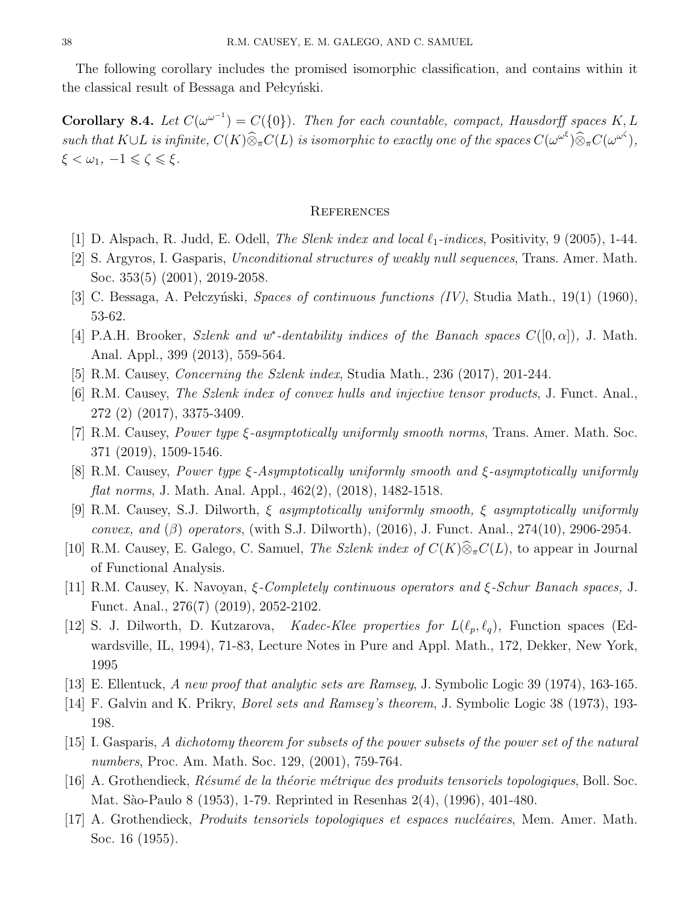The following corollary includes the promised isomorphic classification, and contains within it the classical result of Bessaga and Pelcynski.

**Corollary 8.4.** Let  $C(\omega^{\omega^{-1}}) = C({0})$ . Then for each countable, compact, Hausdorff spaces K, L such that  $K \cup L$  is infinite,  $C(K) \widehat{\otimes}_{\pi} C(L)$  is isomorphic to exactly one of the spaces  $C(\omega^{\omega^{\xi}}) \widehat{\otimes}_{\pi} C(\omega^{\omega^{\zeta}})$ ,  $\xi < \omega_1, -1 \leqslant \zeta \leqslant \xi.$ 

#### **REFERENCES**

- <span id="page-37-5"></span>[1] D. Alspach, R. Judd, E. Odell, *The Slenk index and local*  $\ell_1$ -*indices*, Positivity, 9 (2005), 1-44.
- [2] S. Argyros, I. Gasparis, Unconditional structures of weakly null sequences, Trans. Amer. Math. Soc. 353(5) (2001), 2019-2058.
- [3] C. Bessaga, A. Pełczyński, Spaces of continuous functions  $(IV)$ , Studia Math., 19(1) (1960), 53-62.
- <span id="page-37-1"></span>[4] P.A.H. Brooker, Szlenk and w<sup>\*</sup>-dentability indices of the Banach spaces  $C([0,\alpha])$ , J. Math. Anal. Appl., 399 (2013), 559-564.
- [5] R.M. Causey, *Concerning the Szlenk index*, Studia Math., 236 (2017), 201-244.
- [6] R.M. Causey, The Szlenk index of convex hulls and injective tensor products, J. Funct. Anal., 272 (2) (2017), 3375-3409.
- [7] R.M. Causey, Power type ξ-asymptotically uniformly smooth norms, Trans. Amer. Math. Soc. 371 (2019), 1509-1546.
- [8] R.M. Causey, Power type ξ-Asymptotically uniformly smooth and ξ-asymptotically uniformly flat norms, J. Math. Anal. Appl., 462(2), (2018), 1482-1518.
- <span id="page-37-0"></span>[9] R.M. Causey, S.J. Dilworth, ξ asymptotically uniformly smooth, ξ asymptotically uniformly convex, and (β) operators, (with S.J. Dilworth),  $(2016)$ , J. Funct. Anal.,  $274(10)$ ,  $2906-2954$ .
- <span id="page-37-4"></span>[10] R.M. Causey, E. Galego, C. Samuel, The Szlenk index of  $C(K)\widehat{\otimes}_{\pi}C(L)$ , to appear in Journal of Functional Analysis.
- [11] R.M. Causey, K. Navoyan, ξ-Completely continuous operators and ξ-Schur Banach spaces, J. Funct. Anal., 276(7) (2019), 2052-2102.
- [12] S. J. Dilworth, D. Kutzarova, Kadec-Klee properties for  $L(\ell_p, \ell_q)$ , Function spaces (Edwardsville, IL, 1994), 71-83, Lecture Notes in Pure and Appl. Math., 172, Dekker, New York, 1995
- <span id="page-37-3"></span><span id="page-37-2"></span>[13] E. Ellentuck, A new proof that analytic sets are Ramsey, J. Symbolic Logic 39 (1974), 163-165.
- [14] F. Galvin and K. Prikry, Borel sets and Ramsey's theorem, J. Symbolic Logic 38 (1973), 193- 198.
- [15] I. Gasparis, A dichotomy theorem for subsets of the power subsets of the power set of the natural numbers, Proc. Am. Math. Soc. 129, (2001), 759-764.
- [16] A. Grothendieck,  $R\acute{e}sum\acute{e}$  de la théorie métrique des produits tensoriels topologiques, Boll. Soc. Mat. S`ao-Paulo 8 (1953), 1-79. Reprinted in Resenhas 2(4), (1996), 401-480.
- [17] A. Grothendieck, *Produits tensoriels topologiques et espaces nucléaires*, Mem. Amer. Math. Soc. 16 (1955).